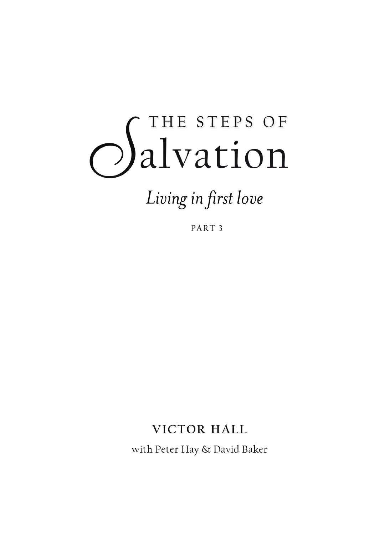# *Salvation*

Living in first love

PART<sub>3</sub>

# **VICTOR HALL**

with Peter Hay & David Baker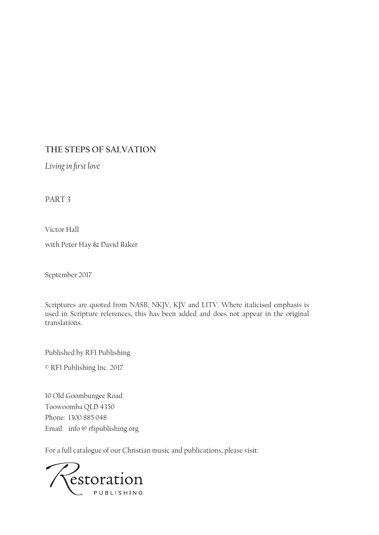### **THE STEPS OF SALVATION**

*Living in first love*

PART 3

Victor Hall

with Peter Hay & David Baker

September 2017

Scriptures are quoted from NASB, NKJV, KJV and LITV. Where italicised emphasis is used in Scripture references, this has been added and does not appear in the original translations.

Published by RFI Publishing

© RFI Publishing Inc. 2017

10 Old Goombungee Road Toowoomba QLD 4350 Phone: 1300 885 048 Email: info @ rfipublishing.org

For a full catalogue of our Christian music and publications, please visit:

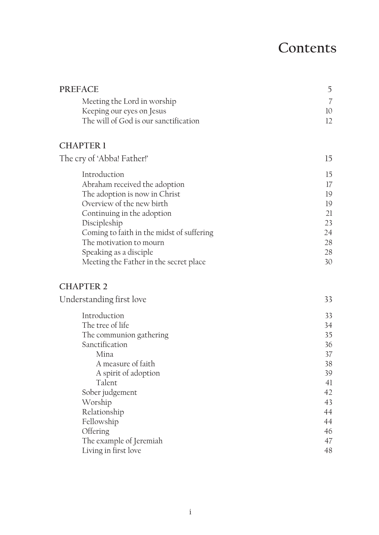# **Contents**

| <b>PREFACE</b>                            | 5  |
|-------------------------------------------|----|
| Meeting the Lord in worship               |    |
| Keeping our eyes on Jesus                 | 10 |
| The will of God is our sanctification     | 12 |
| <b>CHAPTER 1</b>                          |    |
| The cry of 'Abba! Father!'                | 15 |
| Introduction                              | 15 |
| Abraham received the adoption             | 17 |
| The adoption is now in Christ             | 19 |
| Overview of the new birth                 | 19 |
| Continuing in the adoption                | 21 |
| Discipleship                              | 23 |
| Coming to faith in the midst of suffering | 24 |
| The motivation to mourn                   | 28 |
| Speaking as a disciple                    | 28 |
| Meeting the Father in the secret place    | 30 |

#### **CHAPTER 2**

| Understanding first love | 33 |
|--------------------------|----|
| Introduction             | 33 |
| The tree of life         | 34 |
| The communion gathering  | 35 |
| Sanctification           | 36 |
| Mina                     | 37 |
| A measure of faith       | 38 |
| A spirit of adoption     | 39 |
| Talent                   | 41 |
| Sober judgement          | 42 |
| Worship                  | 43 |
| Relationship             | 44 |
| Fellowship               | 44 |
| Offering                 | 46 |
| The example of Jeremiah  | 47 |
| Living in first love     | 48 |
|                          |    |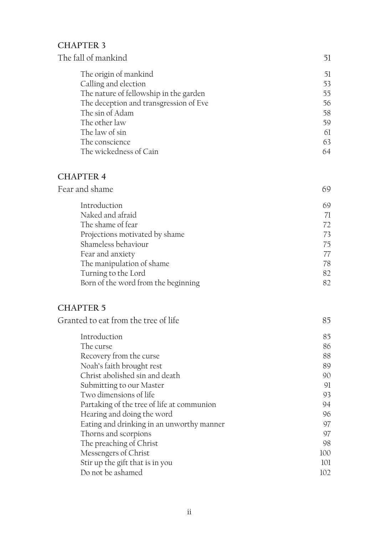# **CHAPTER 3**

| 51 |
|----|
| 53 |
| 55 |
| 56 |
| 58 |
| 59 |
| 61 |
| 63 |
| 64 |
|    |

### **CHAPTER 4**

| Fear and shame |  |
|----------------|--|
|                |  |

| Introduction                        | 69 |
|-------------------------------------|----|
| Naked and afraid                    | 71 |
| The shame of fear                   | 72 |
| Projections motivated by shame      | 73 |
| Shameless behaviour                 | 75 |
| Fear and anxiety                    | 77 |
| The manipulation of shame           | 78 |
| Turning to the Lord                 | 82 |
| Born of the word from the beginning | 82 |
|                                     |    |

# **CHAPTER 5**

| Granted to eat from the tree of life |  |  |
|--------------------------------------|--|--|
|--------------------------------------|--|--|

| Introduction                               | 85  |
|--------------------------------------------|-----|
| The curse                                  | 86  |
| Recovery from the curse                    | 88  |
| Noah's faith brought rest                  | 89  |
| Christ abolished sin and death             | 90  |
| Submitting to our Master                   | 91  |
| Two dimensions of life                     | 93  |
| Partaking of the tree of life at communion | 94  |
| Hearing and doing the word                 | 96  |
| Eating and drinking in an unworthy manner  | 97  |
| Thorns and scorpions                       | 97  |
| The preaching of Christ                    | 98  |
| Messengers of Christ                       | 100 |
| Stir up the gift that is in you            | 101 |
| Do not be ashamed                          | 102 |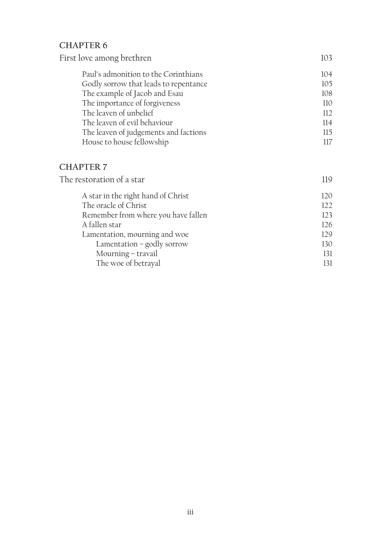# **CHAPTER 6**

| First love among brethren             | 103 |
|---------------------------------------|-----|
| Paul's admonition to the Corinthians  | 104 |
| Godly sorrow that leads to repentance | 105 |
| The example of Jacob and Esau         | 108 |
| The importance of forgiveness         | 110 |
| The leaven of unbelief                | 112 |
| The leaven of evil behaviour          | 114 |
| The leaven of judgements and factions | 115 |
| House to house fellowship             | 117 |
|                                       |     |

### **CHAPTER 7**

| The restoration of a star           | 119 |
|-------------------------------------|-----|
| A star in the right hand of Christ  | 120 |
| The oracle of Christ                | 122 |
| Remember from where you have fallen | 123 |
| A fallen star                       | 126 |
| Lamentation, mourning and woe       | 129 |
| Lamentation - godly sorrow          | 130 |
| Mourning - travail                  | 131 |
| The woe of betrayal                 | 131 |
|                                     |     |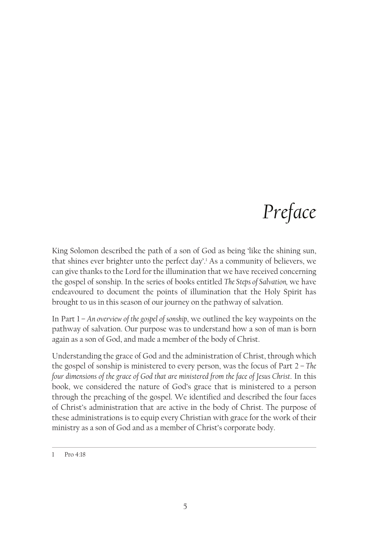# *Preface*

King Solomon described the path of a son of God as being 'like the shining sun, that shines ever brighter unto the perfect day'.<sup>1</sup> As a community of believers, we can give thanks to the Lord for the illumination that we have received concerning the gospel of sonship. In the series of books entitled *The Steps of Salvation,* we have endeavoured to document the points of illumination that the Holy Spirit has brought to us in this season of our journey on the pathway of salvation.

In Part 1 *– An overview of the gospel of sonship*, we outlined the key waypoints on the pathway of salvation. Our purpose was to understand how a son of man is born again as a son of God, and made a member of the body of Christ.

Understanding the grace of God and the administration of Christ, through which the gospel of sonship is ministered to every person, was the focus of Part 2 *– The four dimensions of the grace of God that are ministered from the face of Jesus Christ*. In this book, we considered the nature of God's grace that is ministered to a person through the preaching of the gospel. We identified and described the four faces of Christ's administration that are active in the body of Christ. The purpose of these administrations is to equip every Christian with grace for the work of their ministry as a son of God and as a member of Christ's corporate body.

<sup>1</sup> Pro 4:18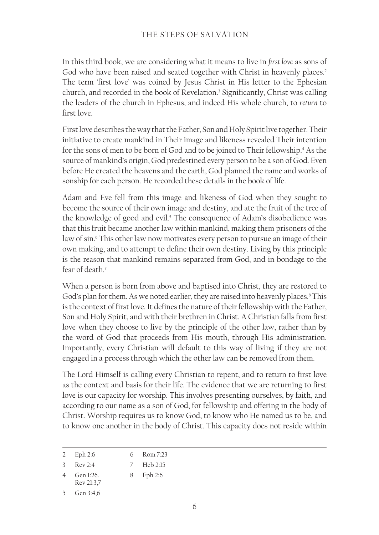### THE STEPS OF SALVATION

In this third book, we are considering what it means to live in *first love* as sons of God who have been raised and seated together with Christ in heavenly places.<sup>2</sup> The term 'first love' was coined by Jesus Christ in His letter to the Ephesian church, and recorded in the book of Revelation.3 Significantly, Christ was calling the leaders of the church in Ephesus, and indeed His whole church, to *return* to first love.

First love describes the way that the Father, Son and Holy Spirit live together. Their initiative to create mankind in Their image and likeness revealed Their intention for the sons of men to be born of God and to be joined to Their fellowship.<sup>4</sup> As the source of mankind's origin, God predestined every person to be a son of God. Even before He created the heavens and the earth, God planned the name and works of sonship for each person. He recorded these details in the book of life.

Adam and Eve fell from this image and likeness of God when they sought to become the source of their own image and destiny, and ate the fruit of the tree of the knowledge of good and evil.<sup>5</sup> The consequence of Adam's disobedience was that this fruit became another law within mankind, making them prisoners of the law of sin.<sup>6</sup> This other law now motivates every person to pursue an image of their own making, and to attempt to define their own destiny. Living by this principle is the reason that mankind remains separated from God, and in bondage to the fear of death?

When a person is born from above and baptised into Christ, they are restored to God's plan for them. As we noted earlier, they are raised into heavenly places.<sup>8</sup> This is the context of first love. It defines the nature of their fellowship with the Father, Son and Holy Spirit, and with their brethren in Christ. A Christian falls from first love when they choose to live by the principle of the other law, rather than by the word of God that proceeds from His mouth, through His administration. Importantly, every Christian will default to this way of living if they are not engaged in a process through which the other law can be removed from them.

The Lord Himself is calling every Christian to repent, and to return to first love as the context and basis for their life. The evidence that we are returning to first love is our capacity for worship. This involves presenting ourselves, by faith, and according to our name as a son of God, for fellowship and offering in the body of Christ. Worship requires us to know God, to know who He named us to be, and to know one another in the body of Christ. This capacity does not reside within

| Eph 2:6 | Rom 7:23 |
|---------|----------|
|         |          |

```
3 Rev 2:4
                   7 Heb 2:15
```
<sup>4</sup> Gen 1:26. Rev 21:3,7 8 Eph 2:6

<sup>5</sup> Gen 3:4,6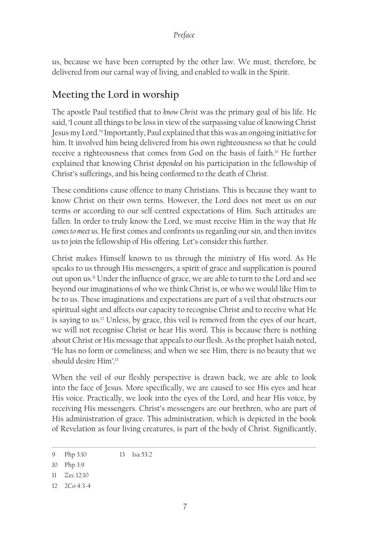### *Preface*

us, because we have been corrupted by the other law. We must, therefore, be delivered from our carnal way of living, and enabled to walk in the Spirit.

# **Meeting the Lord in worship**

The apostle Paul testified that to *know Christ* was the primary goal of his life. He said, 'I count all things to be loss in view of the surpassing value of knowing Christ Jesus my Lord.'9 Importantly, Paul explained that this was an ongoing initiative for him. It involved him being delivered from his own righteousness so that he could receive a righteousness that comes from God on the basis of faith.10 He further explained that knowing Christ *depended* on his participation in the fellowship of Christ's sufferings, and his being conformed to the death of Christ.

These conditions cause offence to many Christians. This is because they want to know Christ on their own terms. However, the Lord does not meet us on our terms or according to our self-centred expectations of Him. Such attitudes are fallen. In order to truly know the Lord, we must receive Him in the way that *He comes to meet us*. He first comes and confronts us regarding our sin, and then invites us to join the fellowship of His offering. Let's consider this further.

Christ makes Himself known to us through the ministry of His word. As He speaks to us through His messengers, a spirit of grace and supplication is poured out upon us.11 Under the influence of grace, we are able to turn to the Lord and see beyond our imaginations of who we think Christ is, or who we would like Him to be to us. These imaginations and expectations are part of a veil that obstructs our spiritual sight and affects our capacity to recognise Christ and to receive what He is saying to us.12 Unless, by grace, this veil is removed from the eyes of our heart, we will not recognise Christ or hear His word. This is because there is nothing about Christ or His message that appeals to our flesh. As the prophet Isaiah noted, 'He has no form or comeliness; and when we see Him, there is no beauty that we should desire Him'.13

When the veil of our fleshly perspective is drawn back, we are able to look into the face of Jesus. More specifically, we are caused to see His eyes and hear His voice. Practically, we look into the eyes of the Lord, and hear His voice, by receiving His messengers. Christ's messengers are our brethren, who are part of His administration of grace. This administration, which is depicted in the book of Revelation as four living creatures, is part of the body of Christ. Significantly,

<sup>9</sup> Php 3:10 13 Isa 53:2

<sup>10</sup> Php 3:9

<sup>11</sup> Zec 12:10

<sup>12</sup> 2Co 4:3-4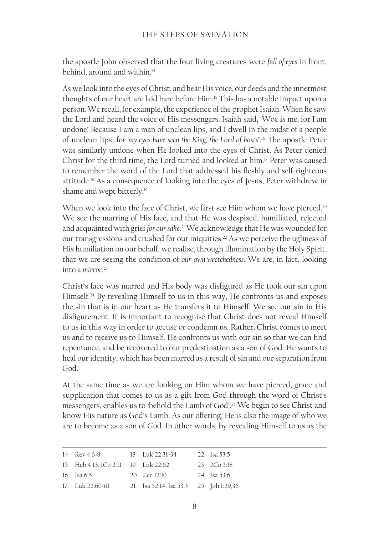the apostle John observed that the four living creatures were *full of eyes* in front, behind, around and within.<sup>14</sup>

As we look into the eyes of Christ, and hear His voice, our deeds and the innermost thoughts of our heart are laid bare before Him.<sup>15</sup> This has a notable impact upon a person. We recall, for example, the experience of the prophet Isaiah. When he saw the Lord and heard the voice of His messengers, Isaiah said, 'Woe is me, for I am undone! Because I am a man of unclean lips, and I dwell in the midst of a people of unclean lips; for *my eyes have seen the King, the Lord of hosts'*. <sup>16</sup> The apostle Peter was similarly undone when He looked into the eyes of Christ. As Peter denied Christ for the third time, the Lord turned and looked at him.17 Peter was caused to remember the word of the Lord that addressed his fleshly and self-righteous attitude.18 As a consequence of looking into the eyes of Jesus, Peter withdrew in shame and wept bitterly.<sup>19</sup>

When we look into the face of Christ, we first see Him whom we have pierced.<sup>20</sup> We see the marring of His face, and that He was despised, humiliated, rejected and acquainted with grief *for our sake*. 21 We acknowledge that He was wounded for our transgressions and crushed for our iniquities.<sup>22</sup> As we perceive the ugliness of His humiliation on our behalf, we realise, through illumination by the Holy Spirit, that we are seeing the condition of *our own wretchedness*. We are, in fact, looking into a *mirror*. 23

Christ's face was marred and His body was disfigured as He took our sin upon Himself.24 By revealing Himself to us in this way, He confronts us and exposes the sin that is in our heart as He transfers it to Himself. We see our sin in His disfigurement. It is important to recognise that Christ does not reveal Himself to us in this way in order to accuse or condemn us. Rather, Christ comes to meet us and to receive us to Himself. He confronts us with our sin so that we can find repentance, and be recovered to our predestination as a son of God. He wants to heal our identity, which has been marred as a result of sin and our separation from God.

At the same time as we are looking on Him whom we have pierced, grace and supplication that comes to us as a gift from God through the word of Christ's messengers, enables us to 'behold the Lamb of God'.25 We begin to see Christ and know His nature as God's Lamb. As our offering, He is also the image of who we are to become as a son of God. In other words, by revealing Himself to us as the

| 14 Rev 4:6-8                       | $18$ Luk $22:31-34$                   | 22 Isa 53:5        |
|------------------------------------|---------------------------------------|--------------------|
| 15 Heb 4:13. 1Co 2:11 19 Luk 22:62 |                                       | $23 \quad 2Co3:18$ |
| 16 Isa 6:5                         | $20 \quad Zec 12:10$                  | 24 Isa 53:6        |
| 17 Luk 22:60-61                    | 21 Isa 52:14. Isa 53:3 25 Joh 1:29,36 |                    |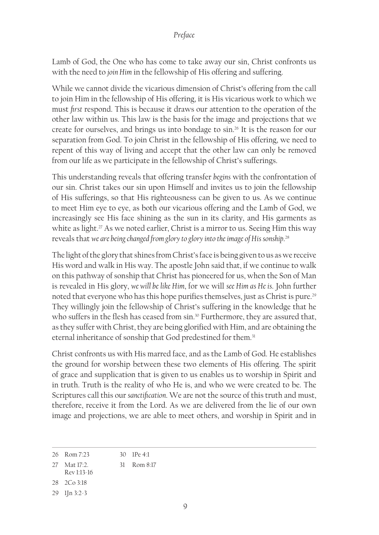#### *Preface*

Lamb of God, the One who has come to take away our sin, Christ confronts us with the need to *join Him* in the fellowship of His offering and suffering.

While we cannot divide the vicarious dimension of Christ's offering from the call to join Him in the fellowship of His offering, it is His vicarious work to which we must *first* respond. This is because it draws our attention to the operation of the other law within us. This law is the basis for the image and projections that we create for ourselves, and brings us into bondage to sin.26 It is the reason for our separation from God. To join Christ in the fellowship of His offering, we need to repent of this way of living and accept that the other law can only be removed from our life as we participate in the fellowship of Christ's sufferings.

This understanding reveals that offering transfer *begins* with the confrontation of our sin. Christ takes our sin upon Himself and invites us to join the fellowship of His sufferings, so that His righteousness can be given to us. As we continue to meet Him eye to eye, as both our vicarious offering and the Lamb of God, we increasingly see His face shining as the sun in its clarity, and His garments as white as light.<sup>27</sup> As we noted earlier, Christ is a mirror to us. Seeing Him this way reveals that *we are being changed from glory to glory into the image of His sonship*. 28

The light of the glory that shines from Christ's face is being given to us as we receive His word and walk in His way. The apostle John said that, if we continue to walk on this pathway of sonship that Christ has pioneered for us, when the Son of Man is revealed in His glory, *we will be like Him*, for we will *see Him as He is*. John further noted that everyone who has this hope purifies themselves, just as Christ is pure.<sup>29</sup> They willingly join the fellowship of Christ's suffering in the knowledge that he who suffers in the flesh has ceased from sin.<sup>30</sup> Furthermore, they are assured that, as they suffer with Christ, they are being glorified with Him, and are obtaining the eternal inheritance of sonship that God predestined for them.<sup>31</sup>

Christ confronts us with His marred face, and as the Lamb of God. He establishes the ground for worship between these two elements of His offering. The spirit of grace and supplication that is given to us enables us to worship in Spirit and in truth. Truth is the reality of who He is, and who we were created to be. The Scriptures call this our *sanctification*. We are not the source of this truth and must, therefore, receive it from the Lord. As we are delivered from the lie of our own image and projections, we are able to meet others, and worship in Spirit and in

- Rev 1:13‑16
- 28 2Co 3:18
- 29 1Jn 3:2-3

<sup>26</sup> Rom 7:23 30 1Pe 4:1

<sup>27</sup> Mat 17:2. 31 Rom 8:17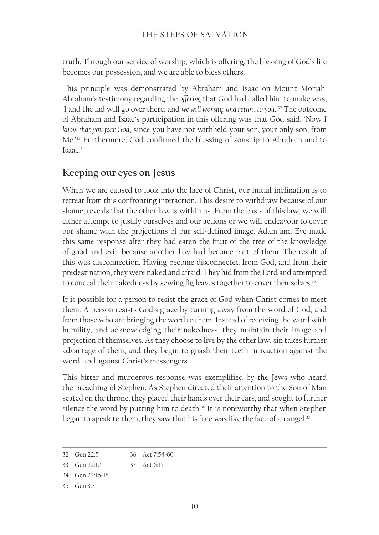truth. Through our service of worship, which is offering, the blessing of God's life becomes our possession, and we are able to bless others.

This principle was demonstrated by Abraham and Isaac on Mount Moriah. Abraham's testimony regarding the *offering* that God had called him to make was, 'I and the lad will go over there; and *we will worship and return to you*.'32 The outcome of Abraham and Isaac's participation in this offering was that God said, 'Now *I know that you fear God*, since you have not withheld your son, your only son, from Me.'33 Furthermore, God confirmed the blessing of sonship to Abraham and to Isaac.34

# **Keeping our eyes on Jesus**

When we are caused to look into the face of Christ, our initial inclination is to retreat from this confronting interaction. This desire to withdraw because of our shame, reveals that the other law is within us. From the basis of this law, we will either attempt to justify ourselves and our actions or we will endeavour to cover our shame with the projections of our self-defined image. Adam and Eve made this same response after they had eaten the fruit of the tree of the knowledge of good and evil, because another law had become part of them. The result of this was disconnection. Having become disconnected from God, and from their predestination, they were naked and afraid. They hid from the Lord and attempted to conceal their nakedness by sewing fig leaves together to cover themselves.<sup>35</sup>

It is possible for a person to resist the grace of God when Christ comes to meet them. A person resists God's grace by turning away from the word of God, and from those who are bringing the word to them. Instead of receiving the word with humility, and acknowledging their nakedness, they maintain their image and projection of themselves. As they choose to live by the other law, sin takes further advantage of them, and they begin to gnash their teeth in reaction against the word, and against Christ's messengers.

This bitter and murderous response was exemplified by the Jews who heard the preaching of Stephen. As Stephen directed their attention to the Son of Man seated on the throne, they placed their hands over their ears, and sought to further silence the word by putting him to death.<sup>36</sup> It is noteworthy that when Stephen began to speak to them, they saw that his face was like the face of an angel.<sup>37</sup>

<sup>32</sup> Gen 22:5 36 Act 7:54‑60

<sup>33</sup> Gen 22:12 37 Act 6:15

<sup>34</sup> Gen 22:16‑18

<sup>35</sup> Gen 3:7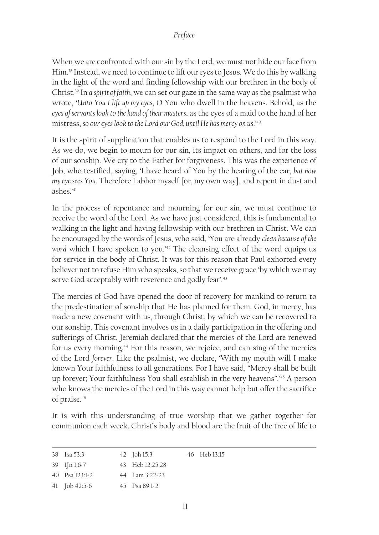#### *Preface*

When we are confronted with our sin by the Lord, we must not hide our face from Him.38 Instead, we need to continue to lift our eyes to Jesus. We do this by walking in the light of the word and finding fellowship with our brethren in the body of Christ.39 In *a spirit of faith*, we can set our gaze in the same way as the psalmist who wrote, '*Unto You I lift up my eyes*, O You who dwell in the heavens. Behold, as the *eyes of servants look to the hand of their masters*, as the eyes of a maid to the hand of her mistress, *so our eyes look to the Lord our God, until He has mercy on us*.'40

It is the spirit of supplication that enables us to respond to the Lord in this way. As we do, we begin to mourn for our sin, its impact on others, and for the loss of our sonship. We cry to the Father for forgiveness. This was the experience of Job, who testified, saying, 'I have heard of You by the hearing of the ear, *but now my eye sees You*. Therefore I abhor myself [or, my own way], and repent in dust and ashes<sup>'41</sup>

In the process of repentance and mourning for our sin, we must continue to receive the word of the Lord. As we have just considered, this is fundamental to walking in the light and having fellowship with our brethren in Christ. We can be encouraged by the words of Jesus, who said, 'You are already *clean because of the*  word which I have spoken to you.<sup>'42</sup> The cleansing effect of the word equips us for service in the body of Christ. It was for this reason that Paul exhorted every believer not to refuse Him who speaks, so that we receive grace 'by which we may serve God acceptably with reverence and godly fear'.<sup>43</sup>

The mercies of God have opened the door of recovery for mankind to return to the predestination of sonship that He has planned for them. God, in mercy, has made a new covenant with us, through Christ, by which we can be recovered to our sonship. This covenant involves us in a daily participation in the offering and sufferings of Christ. Jeremiah declared that the mercies of the Lord are renewed for us every morning.<sup>44</sup> For this reason, we rejoice, and can sing of the mercies of the Lord *forever*. Like the psalmist, we declare, 'With my mouth will I make known Your faithfulness to all generations. For I have said, "Mercy shall be built up forever; Your faithfulness You shall establish in the very heavens".'45 A person who knows the mercies of the Lord in this way cannot help but offer the sacrifice of praise.<sup>46</sup>

It is with this understanding of true worship that we gather together for communion each week. Christ's body and blood are the fruit of the tree of life to

| 38 Isa 53:3      | 42 Joh 15:3               | 46 Heb 13:15 |
|------------------|---------------------------|--------------|
| $39$ l[n l:6-7   | 43 Heb 12:25.28           |              |
| 40 Psa $123:1-2$ | 44 $\sqrt{27}$ am 3:22-23 |              |
| 41 Job 42:5-6    | 45 Psa 89:1-2             |              |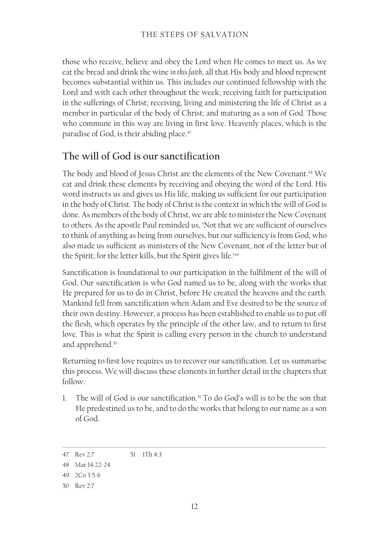those who receive, believe and obey the Lord when He comes to meet us. As we eat the bread and drink the wine *in this faith*, all that His body and blood represent becomes substantial within us. This includes our continued fellowship with the Lord and with each other throughout the week; receiving faith for participation in the sufferings of Christ; receiving, living and ministering the life of Christ as a member in particular of the body of Christ; and maturing as a son of God. Those who commune in this way are living in first love. Heavenly places, which is the paradise of God, is their abiding place.<sup>47</sup>

# **The will of God is our sanctification**

The body and blood of Jesus Christ are the elements of the New Covenant.<sup>48</sup> We eat and drink these elements by receiving and obeying the word of the Lord. His word instructs us and gives us His life, making us sufficient for our participation in the body of Christ. The body of Christ is the context in which the will of God is done. As members of the body of Christ, we are able to minister the New Covenant to others. As the apostle Paul reminded us, 'Not that we are sufficient of ourselves to think of anything as being from ourselves, but our sufficiency is from God, who also made us sufficient as ministers of the New Covenant, not of the letter but of the Spirit; for the letter kills, but the Spirit gives life.'49

Sanctification is foundational to our participation in the fulfilment of the will of God. Our sanctification is who God named us to be, along with the works that He prepared for us to do in Christ, before He created the heavens and the earth. Mankind fell from sanctification when Adam and Eve desired to be the source of their own destiny. However, a process has been established to enable us to put off the flesh, which operates by the principle of the other law, and to return to first love. This is what the Spirit is calling every person in the church to understand and apprehend.50

Returning to first love requires us to recover our sanctification. Let us summarise this process. We will discuss these elements in further detail in the chapters that follow.

1. The will of God is our sanctification.<sup>51</sup> To do God's will is to be the son that He predestined us to be, and to do the works that belong to our name as a son of God.

<sup>47</sup> Rev 2:7 51 1Th 4:3

<sup>48</sup> Mar 14:22-24

<sup>49</sup> 2Co 3:5‑6

<sup>50</sup> Rev 2:7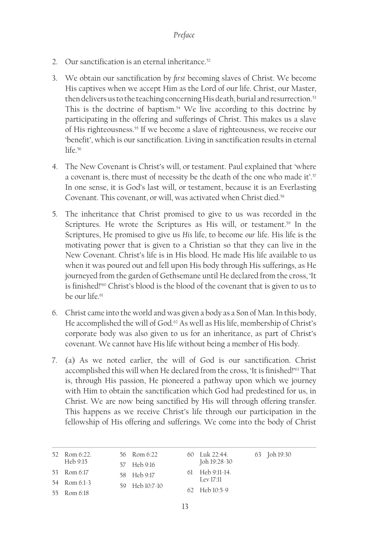- 2. Our sanctification is an eternal inheritance.<sup>52</sup>
- 3. We obtain our sanctification by *first* becoming slaves of Christ. We become His captives when we accept Him as the Lord of our life. Christ, our Master, then delivers us to the teaching concerning His death, burial and resurrection.<sup>53</sup> This is the doctrine of baptism.<sup>54</sup> We live according to this doctrine by participating in the offering and sufferings of Christ. This makes us a slave of His righteousness.<sup>55</sup> If we become a slave of righteousness, we receive our 'benefit', which is our sanctification. Living in sanctification results in eternal life.<sup>56</sup>
- 4. The New Covenant is Christ's will, or testament. Paul explained that 'where a covenant is, there must of necessity be the death of the one who made it'.<sup>57</sup> In one sense, it is God's last will, or testament, because it is an Everlasting Covenant. This covenant, or will, was activated when Christ died.<sup>58</sup>
- 5. The inheritance that Christ promised to give to us was recorded in the Scriptures. He wrote the Scriptures as His will, or testament.<sup>59</sup> In the Scriptures, He promised to give us *His* life, to become *our* life. His life is the motivating power that is given to a Christian so that they can live in the New Covenant. Christ's life is in His blood. He made His life available to us when it was poured out and fell upon His body through His sufferings, as He journeyed from the garden of Gethsemane until He declared from the cross, 'It is finished!'60 Christ's blood is the blood of the covenant that is given to us to be our life<sup>61</sup>
- 6. Christ came into the world and was given a body as a Son of Man. In this body, He accomplished the will of God.<sup>62</sup> As well as His life, membership of Christ's corporate body was also given to us for an inheritance, as part of Christ's covenant. We cannot have His life without being a member of His body.
- 7. (a) As we noted earlier, the will of God is our sanctification. Christ accomplished this will when He declared from the cross, 'It is finished!'<sup>63</sup> That is, through His passion, He pioneered a pathway upon which we journey with Him to obtain the sanctification which God had predestined for us, in Christ. We are now being sanctified by His will through offering transfer. This happens as we receive Christ's life through our participation in the fellowship of His offering and sufferings. We come into the body of Christ

| 52 Rom 6:22. | 56 Rom 6:22    | 60 Luk 22:44.     | 63 Joh 19:30 |
|--------------|----------------|-------------------|--------------|
| Heb 9:15     | 57 Heb 9:16    | Joh 19:28-30      |              |
| 53 Rom 6:17  | 58 Heb 9:17    | $61$ Heb 9:11-14. |              |
| 54 Rom 6:1-3 | 59 Heb 10:7-10 | Lev 17:11         |              |
| 55 Rom 6:18  |                | $62$ Heb $10:5-9$ |              |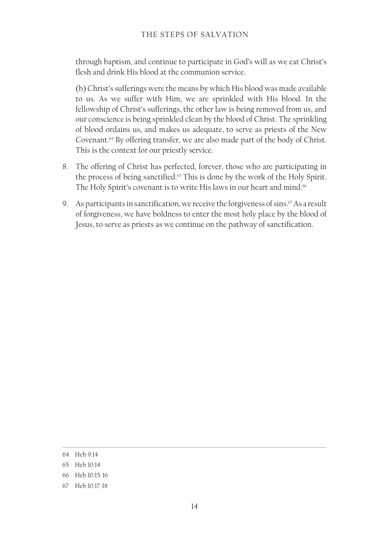### THE STEPS OF SALVATION

through baptism, and continue to participate in God's will as we eat Christ's flesh and drink His blood at the communion service.

(b) Christ's sufferings were the means by which His blood was made available to us. As we suffer with Him, we are sprinkled with His blood. In the fellowship of Christ's sufferings, the other law is being removed from us, and our conscience is being sprinkled clean by the blood of Christ. The sprinkling of blood ordains us, and makes us adequate, to serve as priests of the New Covenant.64 By offering transfer, we are also made part of the body of Christ. This is the context for our priestly service.

- 8. The offering of Christ has perfected, forever, those who are participating in the process of being sanctified.<sup>65</sup> This is done by the work of the Holy Spirit. The Holy Spirit's covenant is to write His laws in our heart and mind.<sup>66</sup>
- 9. As participants in sanctification, we receive the forgiveness of sins. $67$  As a result of forgiveness, we have boldness to enter the most holy place by the blood of Jesus, to serve as priests as we continue on the pathway of sanctification.

<sup>64</sup> Heb 9:14

<sup>65</sup> Heb 10:14

<sup>66</sup> Heb 10:15‑16

<sup>67</sup> Heb 10:17‑18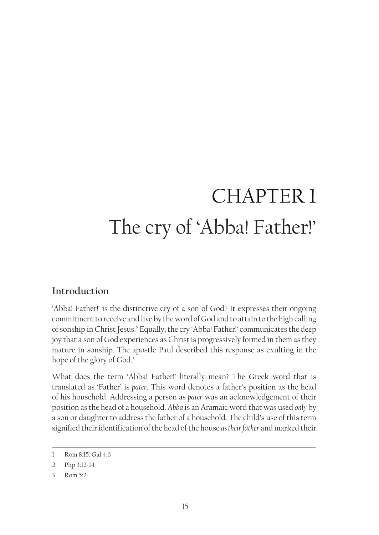# CHAPTER 1 The cry of 'Abba! Father!'

# **Introduction**

'Abba! Father!' is the distinctive cry of a son of God.<sup>1</sup> It expresses their ongoing commitment to receive and live by the word of God and to attain to the high calling of sonship in Christ Jesus.2 Equally, the cry 'Abba! Father!' communicates the deep joy that a son of God experiences as Christ is progressively formed in them as they mature in sonship. The apostle Paul described this response as exulting in the hope of the glory of God.<sup>3</sup>

What does the term 'Abba! Father!' literally mean? The Greek word that is translated as 'Father' is *pater*. This word denotes a father's position as the head of his household. Addressing a person as *pater* was an acknowledgement of their position as the head of a household. *Abba* is an Aramaic word that was used *only* by a son or daughter to address the father of a household. The child's use of this term signified their identification of the head of the house *as their father* and marked their

<sup>1</sup> Rom 8:15. Gal 4:6

<sup>2</sup> Php 3:12-14

<sup>3</sup> Rom 5:2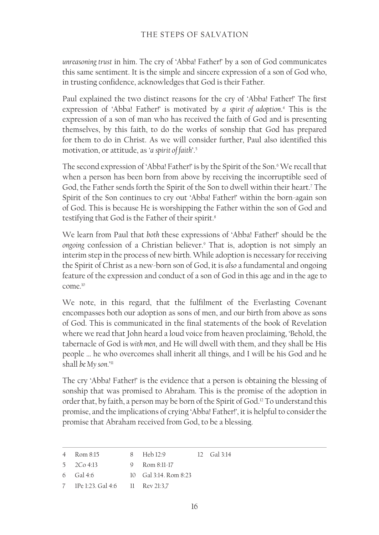### THE STEPS OF SALVATION

*unreasoning trust* in him. The cry of 'Abba! Father!' by a son of God communicates this same sentiment. It is the simple and sincere expression of a son of God who, in trusting confidence, acknowledges that God is their Father.

Paul explained the two distinct reasons for the cry of 'Abba! Father!' The first expression of 'Abba! Father!' is motivated by *a spirit of adoption*. 4 This is the expression of a son of man who has received the faith of God and is presenting themselves, by this faith, to do the works of sonship that God has prepared for them to do in Christ. As we will consider further, Paul also identified this motivation, or attitude, as *'a spirit of faith*'.5

The second expression of 'Abba! Father!' is by the Spirit of the Son.<sup>6</sup> We recall that when a person has been born from above by receiving the incorruptible seed of God, the Father sends forth the Spirit of the Son to dwell within their heart.7 The Spirit of the Son continues to cry out 'Abba! Father!' within the born-again son of God. This is because He is worshipping the Father within the son of God and testifying that God is the Father of their spirit.<sup>8</sup>

We learn from Paul that *both* these expressions of 'Abba! Father!' should be the *ongoing* confession of a Christian believer.9 That is, adoption is not simply an interim step in the process of new birth. While adoption is necessary for receiving the Spirit of Christ as a new-born son of God, it is *also* a fundamental and ongoing feature of the expression and conduct of a son of God in this age and in the age to come.10

We note, in this regard, that the fulfilment of the Everlasting Covenant encompasses both our adoption as sons of men, and our birth from above as sons of God. This is communicated in the final statements of the book of Revelation where we read that John heard a loud voice from heaven proclaiming, 'Behold, the tabernacle of God is *with men*, and He will dwell with them, and they shall be His people … he who overcomes shall inherit all things, and I will be his God and he shall *be* My son.'<sup>11</sup>

The cry 'Abba! Father!' is the evidence that a person is obtaining the blessing of sonship that was promised to Abraham. This is the promise of the adoption in order that, by faith, a person may be born of the Spirit of God.<sup>12</sup> To understand this promise, and the implications of crying 'Abba! Father!', it is helpful to consider the promise that Abraham received from God, to be a blessing.

| Heb 12:9<br>12 $\frac{1}{2}$ Gal 3:14<br>Rom 8:15<br>the contract of the contract of the contract of the contract of the contract of the contract of the contract of |  |
|----------------------------------------------------------------------------------------------------------------------------------------------------------------------|--|
|----------------------------------------------------------------------------------------------------------------------------------------------------------------------|--|

5 2Co 4:13 9 Rom 8:11-17

7 1Pe 1:23. Gal 4:6 11 Rev 21:3,7

<sup>6</sup> Gal 4:6 10 Gal 3:14. Rom 8:23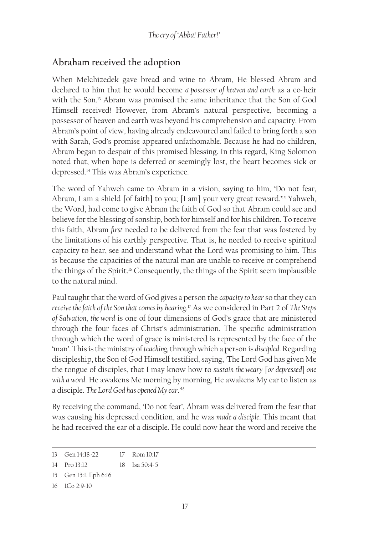### **Abraham received the adoption**

When Melchizedek gave bread and wine to Abram, He blessed Abram and declared to him that he would become *a possessor of heaven and earth* as a co-heir with the Son.13 Abram was promised the same inheritance that the Son of God Himself received! However, from Abram's natural perspective, becoming a possessor of heaven and earth was beyond his comprehension and capacity. From Abram's point of view, having already endeavoured and failed to bring forth a son with Sarah, God's promise appeared unfathomable. Because he had no children, Abram began to despair of this promised blessing. In this regard, King Solomon noted that, when hope is deferred or seemingly lost, the heart becomes sick or depressed.14 This was Abram's experience.

The word of Yahweh came to Abram in a vision, saying to him, 'Do not fear, Abram, I am a shield [of faith] to you; [I am] your very great reward.'15 Yahweh, the Word, had come to give Abram the faith of God so that Abram could see and believe for the blessing of sonship, both for himself and for his children. To receive this faith, Abram *first* needed to be delivered from the fear that was fostered by the limitations of his earthly perspective. That is, he needed to receive spiritual capacity to hear, see and understand what the Lord was promising to him. This is because the capacities of the natural man are unable to receive or comprehend the things of the Spirit.16 Consequently, the things of the Spirit seem implausible to the natural mind.

Paul taught that the word of God gives a person the *capacity to hear* so that they can *receive the faith of the Son that comes by hearing*. 17 As we considered in Part 2 of *The Steps of Salvation*, *the word* is one of four dimensions of God's grace that are ministered through the four faces of Christ's administration. The specific administration through which the word of grace is ministered is represented by the face of the 'man'. This is the ministry of *teaching,* through which a person is *discipled*. Regarding discipleship, the Son of God Himself testified, saying, 'The Lord God has given Me the tongue of disciples, that I may know how to *sustain the weary* [*or depressed*] *one with a word*. He awakens Me morning by morning, He awakens My ear to listen as a disciple. *The Lord God has opened My ear*.'18

By receiving the command, 'Do not fear', Abram was delivered from the fear that was causing his depressed condition, and he was *made a disciple*. This meant that he had received the ear of a disciple. He could now hear the word and receive the

<sup>13</sup> Gen 14:18-22 17 Rom 10:17

<sup>14</sup> Pro 13:12 18 Isa 50:4-5

<sup>15</sup> Gen 15:1. Eph 6:16

<sup>16</sup> 1Co 2:9‑10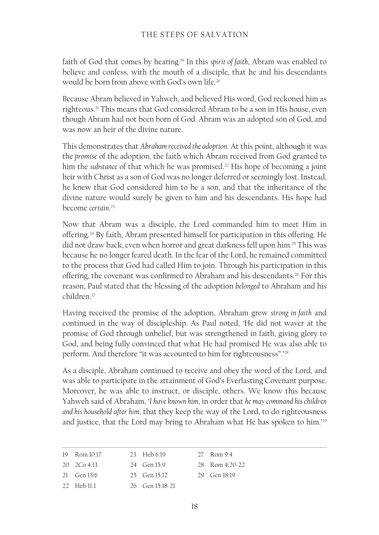faith of God that comes by hearing.19 In this *spirit of faith*, Abram was enabled to believe and confess, with the mouth of a disciple, that he and his descendants would be born from above with God's own life<sup>20</sup>

Because Abram believed in Yahweh, and believed His word, God reckoned him as righteous.21 This means that God considered Abram to be a son in His house, even though Abram had not been born of God. Abram was an adopted son of God, and was now an heir of the divine nature.

This demonstrates that *Abraham received the adoption*. At this point, although it was the *promise* of the adoption, the faith which Abram received from God granted to him the *substance* of that which he was promised.<sup>22</sup> His hope of becoming a joint heir with Christ as a son of God was no longer deferred or seemingly lost. Instead, he knew that God considered him to be a son, and that the inheritance of the divine nature would surely be given to him and his descendants. His hope had become *certain*. 23

Now that Abram was a disciple, the Lord commanded him to meet Him in offering.24 By faith, Abram presented himself for participation in this offering. He did not draw back, even when horror and great darkness fell upon him.25 This was because he no longer feared death. In the fear of the Lord, he remained committed to the process that God had called Him to join. Through his participation in this offering, the covenant was confirmed to Abraham and his descendants.26 For this reason, Paul stated that the blessing of the adoption *belonged* to Abraham and his children<sup>27</sup>

Having received the promise of the adoption, Abraham grew *strong in faith* and continued in the way of discipleship. As Paul noted, 'He did not waver at the promise of God through unbelief, but was strengthened in faith, giving glory to God, and being fully convinced that what He had promised He was also able to perform. And therefore "it was accounted to him for righteousness".<sup>28</sup>

As a disciple, Abraham continued to receive and obey the word of the Lord, and was able to participate in the attainment of God's Everlasting Covenant purpose. Moreover, he was able to instruct, or disciple, others. We know this because Yahweh said of Abraham, '*I have known him*, in order that *he may command his children and his household after him*, that they keep the way of the Lord, to do righteousness and justice, that the Lord may bring to Abraham what He has spoken to him.'29

| 19 Rom 10:17          | 23 Heb 6:19         | 27 Rom 9:4       |
|-----------------------|---------------------|------------------|
| $20 \quad 2Co 4:13$   | 24 Gen 15:9         | 28 Rom $4:20-22$ |
| $21$ Gen 15:6         | 25 Gen 15:12        | 29 Gen 18:19     |
| $22$ Heb $11 \cdot 1$ | $26$ Gen $15:18:21$ |                  |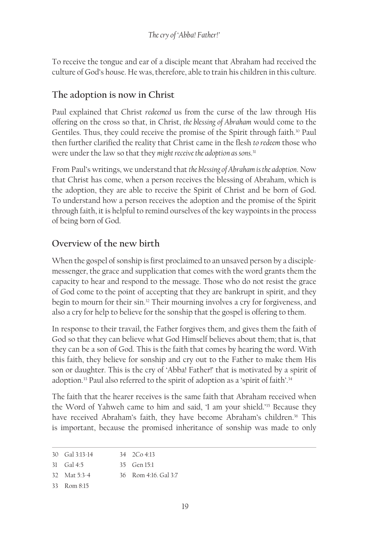To receive the tongue and ear of a disciple meant that Abraham had received the culture of God's house. He was, therefore, able to train his children in this culture.

### **The adoption is now in Christ**

Paul explained that Christ *redeemed* us from the curse of the law through His offering on the cross so that, in Christ, *the blessing of Abraham* would come to the Gentiles. Thus, they could receive the promise of the Spirit through faith.<sup>30</sup> Paul then further clarified the reality that Christ came in the flesh *to redeem* those who were under the law so that they *might receive the adoption as sons*. 31

From Paul's writings, we understand that *the blessing of Abraham is the adoption*. Now that Christ has come, when a person receives the blessing of Abraham, which is the adoption, they are able to receive the Spirit of Christ and be born of God. To understand how a person receives the adoption and the promise of the Spirit through faith, it is helpful to remind ourselves of the key waypoints in the process of being born of God.

### **Overview of the new birth**

When the gospel of sonship is first proclaimed to an unsaved person by a disciplemessenger, the grace and supplication that comes with the word grants them the capacity to hear and respond to the message. Those who do not resist the grace of God come to the point of accepting that they are bankrupt in spirit, and they begin to mourn for their sin.32 Their mourning involves a cry for forgiveness, and also a cry for help to believe for the sonship that the gospel is offering to them.

In response to their travail, the Father forgives them, and gives them the faith of God so that they can believe what God Himself believes about them; that is, that they can be a son of God. This is the faith that comes by hearing the word. With this faith, they believe for sonship and cry out to the Father to make them His son or daughter. This is the cry of 'Abba! Father!' that is motivated by a spirit of adoption.33 Paul also referred to the spirit of adoption as a 'spirit of faith'.34

The faith that the hearer receives is the same faith that Abraham received when the Word of Yahweh came to him and said, 'I am your shield.'35 Because they have received Abraham's faith, they have become Abraham's children.<sup>36</sup> This is important, because the promised inheritance of sonship was made to only

| $30 \text{ Gal } 3:13-14$ | $34 \quad 2Co \; 4:13$ |
|---------------------------|------------------------|
|                           |                        |

```
31 Gal 4:5
                      35 Gen 15:1
```
- 32 Mat 5:3-4 36 Rom 4:16. Gal 3:7
- 33 Rom 8:15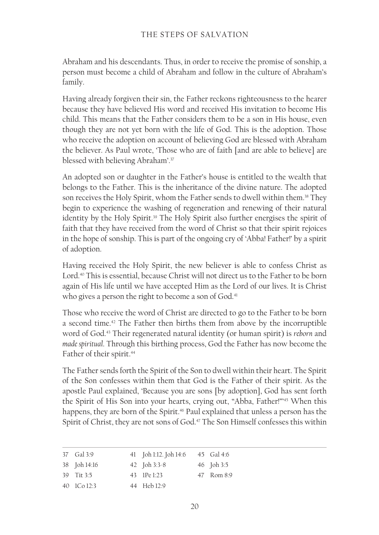Abraham and his descendants. Thus, in order to receive the promise of sonship, a person must become a child of Abraham and follow in the culture of Abraham's family.

Having already forgiven their sin, the Father reckons righteousness to the hearer because they have believed His word and received His invitation to become His child. This means that the Father considers them to be a son in His house, even though they are not yet born with the life of God. This is the adoption. Those who receive the adoption on account of believing God are blessed with Abraham the believer. As Paul wrote, 'Those who are of faith [and are able to believe] are blessed with believing Abraham'.37

An adopted son or daughter in the Father's house is entitled to the wealth that belongs to the Father. This is the inheritance of the divine nature. The adopted son receives the Holy Spirit, whom the Father sends to dwell within them.<sup>38</sup> They begin to experience the washing of regeneration and renewing of their natural identity by the Holy Spirit.39 The Holy Spirit also further energises the spirit of faith that they have received from the word of Christ so that their spirit rejoices in the hope of sonship. This is part of the ongoing cry of 'Abba! Father!' by a spirit of adoption.

Having received the Holy Spirit, the new believer is able to confess Christ as Lord.<sup>40</sup> This is essential, because Christ will not direct us to the Father to be born again of His life until we have accepted Him as the Lord of our lives. It is Christ who gives a person the right to become a son of God.<sup>41</sup>

Those who receive the word of Christ are directed to go to the Father to be born a second time.<sup>42</sup> The Father then births them from above by the incorruptible word of God.43 Their regenerated natural identity (or human spirit) is *reborn* and *made spiritual*. Through this birthing process, God the Father has now become the Father of their spirit.<sup>44</sup>

The Father sends forth the Spirit of the Son to dwell within their heart. The Spirit of the Son confesses within them that God is the Father of their spirit. As the apostle Paul explained, 'Because you are sons [by adoption], God has sent forth the Spirit of His Son into your hearts, crying out, "Abba, Father!"'45 When this happens, they are born of the Spirit.<sup>46</sup> Paul explained that unless a person has the Spirit of Christ, they are not sons of God.<sup>47</sup> The Son Himself confesses this within

| 37 Gal 3:9   | 41 Joh 1:12. Joh 14:6 45 Gal 4:6 |            |
|--------------|----------------------------------|------------|
| 38 Joh 14:16 | 42 Joh 3:3-8                     | 46 Joh 3:5 |
| 39 Tit 3:5   | 43 IPe 1:23                      | 47 Rom 8:9 |
| 40 ICo 12:3  | 44 Heb 12:9                      |            |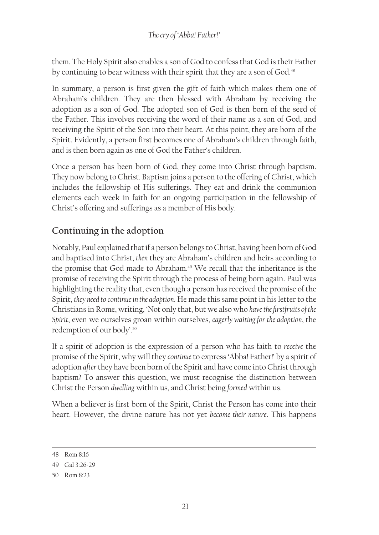them. The Holy Spirit also enables a son of God to confess that God is their Father by continuing to bear witness with their spirit that they are a son of God.<sup>48</sup>

In summary, a person is first given the gift of faith which makes them one of Abraham's children. They are then blessed with Abraham by receiving the adoption as a son of God. The adopted son of God is then born of the seed of the Father. This involves receiving the word of their name as a son of God, and receiving the Spirit of the Son into their heart. At this point, they are born of the Spirit. Evidently, a person first becomes one of Abraham's children through faith, and is then born again as one of God the Father's children.

Once a person has been born of God, they come into Christ through baptism. They now belong to Christ. Baptism joins a person to the offering of Christ, which includes the fellowship of His sufferings. They eat and drink the communion elements each week in faith for an ongoing participation in the fellowship of Christ's offering and sufferings as a member of His body.

### **Continuing in the adoption**

Notably, Paul explained that if a person belongs to Christ, having been born of God and baptised into Christ, *then* they are Abraham's children and heirs according to the promise that God made to Abraham.<sup>49</sup> We recall that the inheritance is the promise of receiving the Spirit through the process of being born again. Paul was highlighting the reality that, even though a person has received the promise of the Spirit, *they need to continue in the adoption*. He made this same point in his letter to the Christians in Rome, writing, 'Not only that, but we also who *have the firstfruits of the Spirit*, even we ourselves groan within ourselves, *eagerly waiting for the adoption*, the redemption of our body'.50

If a spirit of adoption is the expression of a person who has faith to *receive* the promise of the Spirit, why will they *continue* to express 'Abba! Father!' by a spirit of adoption *after* they have been born of the Spirit and have come into Christ through baptism? To answer this question, we must recognise the distinction between Christ the Person *dwelling* within us, and Christ being *formed* within us.

When a believer is first born of the Spirit, Christ the Person has come into their heart. However, the divine nature has not yet *become their nature*. This happens

<sup>48</sup> Rom 8:16

<sup>49</sup> Gal 3:26‑29

<sup>50</sup> Rom 8:23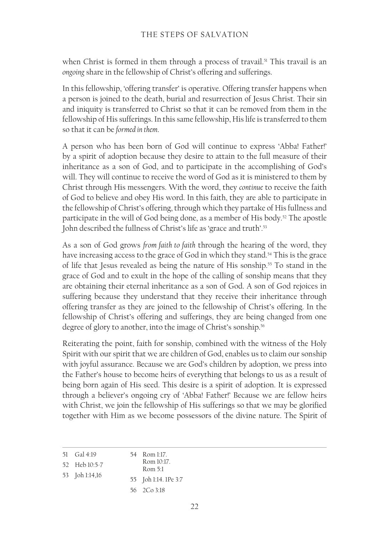when Christ is formed in them through a process of travail.<sup>51</sup> This travail is an *ongoing* share in the fellowship of Christ's offering and sufferings.

In this fellowship, 'offering transfer' is operative. Offering transfer happens when a person is joined to the death, burial and resurrection of Jesus Christ. Their sin and iniquity is transferred to Christ so that it can be removed from them in the fellowship of His sufferings. In this same fellowship, His life is transferred to them so that it can be *formed in them*.

A person who has been born of God will continue to express 'Abba! Father!' by a spirit of adoption because they desire to attain to the full measure of their inheritance as a son of God, and to participate in the accomplishing of God's will. They will continue to receive the word of God as it is ministered to them by Christ through His messengers. With the word, they *continue* to receive the faith of God to believe and obey His word. In this faith, they are able to participate in the fellowship of Christ's offering, through which they partake of His fullness and participate in the will of God being done, as a member of His body.<sup>52</sup> The apostle John described the fullness of Christ's life as 'grace and truth'.<sup>53</sup>

As a son of God grows *from faith to faith* through the hearing of the word, they have increasing access to the grace of God in which they stand.<sup>54</sup> This is the grace of life that Jesus revealed as being the nature of His sonship.<sup>55</sup> To stand in the grace of God and to exult in the hope of the calling of sonship means that they are obtaining their eternal inheritance as a son of God. A son of God rejoices in suffering because they understand that they receive their inheritance through offering transfer as they are joined to the fellowship of Christ's offering. In the fellowship of Christ's offering and sufferings, they are being changed from one degree of glory to another, into the image of Christ's sonship.<sup>56</sup>

Reiterating the point, faith for sonship, combined with the witness of the Holy Spirit with our spirit that we are children of God, enables us to claim our sonship with joyful assurance. Because we are God's children by adoption, we press into the Father's house to become heirs of everything that belongs to us as a result of being born again of His seed. This desire is a spirit of adoption. It is expressed through a believer's ongoing cry of 'Abba! Father!' Because we are fellow heirs with Christ, we join the fellowship of His sufferings so that we may be glorified together with Him as we become possessors of the divine nature. The Spirit of

| 51 | Gal 4:19 |  |
|----|----------|--|
|    |          |  |

```
54 Rom 1:17. 
   Rom 10:17.
```

```
52 Heb 10:5-7
53 Joh 1:14,16
```

```
Rom 5:1
55 Joh 1:14. 1Pe 3:7
```

```
56 2Co 3:18
```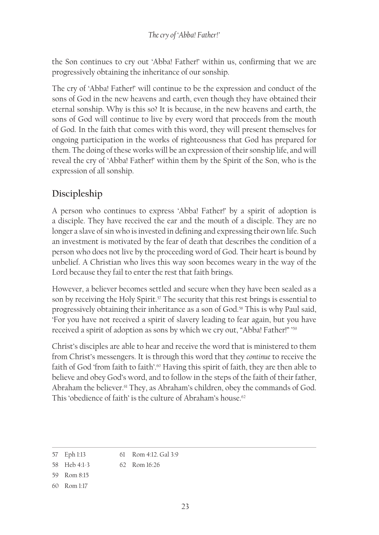the Son continues to cry out 'Abba! Father!' within us, confirming that we are progressively obtaining the inheritance of our sonship.

The cry of 'Abba! Father!' will continue to be the expression and conduct of the sons of God in the new heavens and earth, even though they have obtained their eternal sonship. Why is this so? It is because, in the new heavens and earth, the sons of God will continue to live by every word that proceeds from the mouth of God. In the faith that comes with this word, they will present themselves for ongoing participation in the works of righteousness that God has prepared for them. The doing of these works will be an expression of their sonship life, and will reveal the cry of 'Abba! Father!' within them by the Spirit of the Son, who is the expression of all sonship.

# **Discipleship**

A person who continues to express 'Abba! Father!' by a spirit of adoption is a disciple. They have received the ear and the mouth of a disciple. They are no longer a slave of sin who is invested in defining and expressing their own life. Such an investment is motivated by the fear of death that describes the condition of a person who does not live by the proceeding word of God. Their heart is bound by unbelief. A Christian who lives this way soon becomes weary in the way of the Lord because they fail to enter the rest that faith brings.

However, a believer becomes settled and secure when they have been sealed as a son by receiving the Holy Spirit.<sup>57</sup> The security that this rest brings is essential to progressively obtaining their inheritance as a son of God.<sup>58</sup> This is why Paul said, 'For you have not received a spirit of slavery leading to fear again, but you have received a spirit of adoption as sons by which we cry out, "Abba! Father!" ' 59

Christ's disciples are able to hear and receive the word that is ministered to them from Christ's messengers. It is through this word that they *continue* to receive the faith of God 'from faith to faith'.<sup>60</sup> Having this spirit of faith, they are then able to believe and obey God's word, and to follow in the steps of the faith of their father, Abraham the believer.<sup>61</sup> They, as Abraham's children, obey the commands of God. This 'obedience of faith' is the culture of Abraham's house.62

<sup>57</sup> Eph 1:13 61 Rom 4:12. Gal 3:9

<sup>58</sup> Heb 4:1-3 62 Rom 16:26

<sup>59</sup> Rom 8:15

<sup>60</sup> Rom 1:17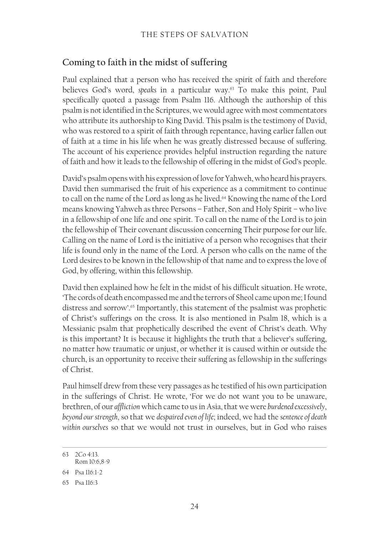### **Coming to faith in the midst of suffering**

Paul explained that a person who has received the spirit of faith and therefore believes God's word, *speaks* in a particular way.63 To make this point, Paul specifically quoted a passage from Psalm 116. Although the authorship of this psalm is not identified in the Scriptures, we would agree with most commentators who attribute its authorship to King David. This psalm is the testimony of David, who was restored to a spirit of faith through repentance, having earlier fallen out of faith at a time in his life when he was greatly distressed because of suffering. The account of his experience provides helpful instruction regarding the nature of faith and how it leads to the fellowship of offering in the midst of God's people.

David's psalm opens with his expression of love for Yahweh, who heard his prayers. David then summarised the fruit of his experience as a commitment to continue to call on the name of the Lord as long as he lived.<sup>64</sup> Knowing the name of the Lord means knowing Yahweh as three Persons – Father, Son and Holy Spirit – who live in a fellowship of one life and one spirit. To call on the name of the Lord is to join the fellowship of Their covenant discussion concerning Their purpose for our life. Calling on the name of Lord is the initiative of a person who recognises that their life is found only in the name of the Lord. A person who calls on the name of the Lord desires to be known in the fellowship of that name and to express the love of God, by offering, within this fellowship.

David then explained how he felt in the midst of his difficult situation. He wrote, 'The cords of death encompassed me and the terrors of Sheol came upon me; I found distress and sorrow'.<sup>65</sup> Importantly, this statement of the psalmist was prophetic of Christ's sufferings on the cross. It is also mentioned in Psalm 18, which is a Messianic psalm that prophetically described the event of Christ's death. Why is this important? It is because it highlights the truth that a believer's suffering, no matter how traumatic or unjust, or whether it is caused within or outside the church, is an opportunity to receive their suffering as fellowship in the sufferings of Christ.

Paul himself drew from these very passages as he testified of his own participation in the sufferings of Christ. He wrote, 'For we do not want you to be unaware, brethren, of our *affliction* which came to us in Asia, that we were *burdened excessively*, *beyond our strength*, so that we *despaired even of life*; indeed, we had the *sentence of death within ourselves* so that we would not trust in ourselves, but in God who raises

<sup>63</sup> 2Co 4:13. Rom 10:6,8‑9

<sup>64</sup> Psa 116:1‑2

<sup>65</sup> Psa 116:3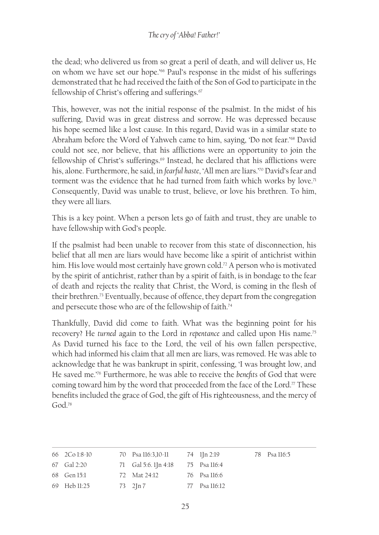the dead; who delivered us from so great a peril of death, and will deliver us, He on whom we have set our hope.'66 Paul's response in the midst of his sufferings demonstrated that he had received the faith of the Son of God to participate in the fellowship of Christ's offering and sufferings.<sup>67</sup>

This, however, was not the initial response of the psalmist. In the midst of his suffering, David was in great distress and sorrow. He was depressed because his hope seemed like a lost cause. In this regard, David was in a similar state to Abraham before the Word of Yahweh came to him, saying, 'Do not fear.'68 David could not see, nor believe, that his afflictions were an opportunity to join the fellowship of Christ's sufferings.<sup>69</sup> Instead, he declared that his afflictions were his, alone. Furthermore, he said, in *fearful haste*, 'All men are liars.'70 David's fear and torment was the evidence that he had turned from faith which works by love.<sup>71</sup> Consequently, David was unable to trust, believe, or love his brethren. To him, they were all liars.

This is a key point. When a person lets go of faith and trust, they are unable to have fellowship with God's people.

If the psalmist had been unable to recover from this state of disconnection, his belief that all men are liars would have become like a spirit of antichrist within him. His love would most certainly have grown cold.<sup>72</sup> A person who is motivated by the spirit of antichrist, rather than by a spirit of faith, is in bondage to the fear of death and rejects the reality that Christ, the Word, is coming in the flesh of their brethren.73 Eventually, because of offence, they depart from the congregation and persecute those who are of the fellowship of faith.<sup>74</sup>

Thankfully, David did come to faith. What was the beginning point for his recovery? He *turned* again to the Lord in *repentance* and called upon His name.75 As David turned his face to the Lord, the veil of his own fallen perspective, which had informed his claim that all men are liars, was removed. He was able to acknowledge that he was bankrupt in spirit, confessing, 'I was brought low, and He saved me.'76 Furthermore, he was able to receive the *benefits* of God that were coming toward him by the word that proceeded from the face of the Lord.<sup> $\pi$ </sup> These benefits included the grace of God, the gift of His righteousness, and the mercy of God<sup>78</sup>

| 66 2Co 1:8-10 | 70 Psa 116:3,10-11 74 1 In 2:19   |               | 78 Psa 116:5 |
|---------------|-----------------------------------|---------------|--------------|
| 67 Gal 2:20   | 71 Gal 5:6. 1Jn 4:18 75 Psa 116:4 |               |              |
| 68 Gen 15:1   | 72 Mat 24:12                      | 76 Psa 116:6  |              |
| 69 Heb 11:25  | $73 \quad 2 \ln 7$                | 77 Psa 116:12 |              |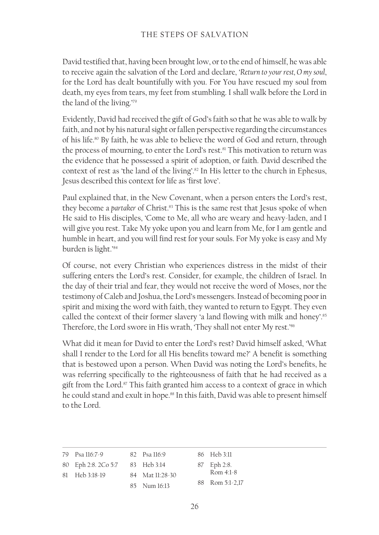David testified that, having been brought low, or to the end of himself, he was able to receive again the salvation of the Lord and declare, '*Return to your rest, O my soul*, for the Lord has dealt bountifully with you. For You have rescued my soul from death, my eyes from tears, my feet from stumbling. I shall walk before the Lord in the land of the living.'79

Evidently, David had received the gift of God's faith so that he was able to walk by faith, and not by his natural sight or fallen perspective regarding the circumstances of his life.80 By faith, he was able to believe the word of God and return, through the process of mourning, to enter the Lord's rest.<sup>81</sup> This motivation to return was the evidence that he possessed a spirit of adoption, or faith. David described the context of rest as 'the land of the living'.82 In His letter to the church in Ephesus, Jesus described this context for life as 'first love'.

Paul explained that, in the New Covenant, when a person enters the Lord's rest, they become a *partaker* of Christ.<sup>83</sup> This is the same rest that Jesus spoke of when He said to His disciples, 'Come to Me, all who are weary and heavy-laden, and I will give you rest. Take My yoke upon you and learn from Me, for I am gentle and humble in heart, and you will find rest for your souls. For My yoke is easy and My burden is light.'84

Of course, not every Christian who experiences distress in the midst of their suffering enters the Lord's rest. Consider, for example, the children of Israel. In the day of their trial and fear, they would not receive the word of Moses, nor the testimony of Caleb and Joshua, the Lord's messengers. Instead of becoming poor in spirit and mixing the word with faith, they wanted to return to Egypt. They even called the context of their former slavery 'a land flowing with milk and honey'.<sup>85</sup> Therefore, the Lord swore in His wrath, 'They shall not enter My rest.'<sup>86</sup>

What did it mean for David to enter the Lord's rest? David himself asked, 'What shall I render to the Lord for all His benefits toward me?' A benefit is something that is bestowed upon a person. When David was noting the Lord's benefits, he was referring specifically to the righteousness of faith that he had received as a gift from the Lord.<sup>87</sup> This faith granted him access to a context of grace in which he could stand and exult in hope.<sup>88</sup> In this faith, David was able to present himself to the Lord.

| 79 Psa 116:7-9                  | 82 Psa 116:9    | 86 Heb 3:11     |
|---------------------------------|-----------------|-----------------|
| 80 Eph 2:8. 2Co 5:7 83 Heb 3:14 |                 | 87 Eph 2:8.     |
| 81 Heb 3:18-19                  | 84 Mat 11:28-30 | Rom $4:1-8$     |
|                                 | 85 Num 16:13    | 88 Rom 5:1-2,17 |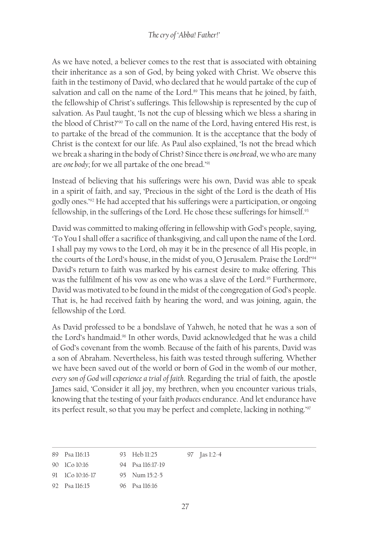### *The cry of 'Abba! Father!'*

As we have noted, a believer comes to the rest that is associated with obtaining their inheritance as a son of God, by being yoked with Christ. We observe this faith in the testimony of David, who declared that he would partake of the cup of salvation and call on the name of the Lord.<sup>89</sup> This means that he joined, by faith, the fellowship of Christ's sufferings. This fellowship is represented by the cup of salvation. As Paul taught, 'Is not the cup of blessing which we bless a sharing in the blood of Christ?'90 To call on the name of the Lord, having entered His rest, is to partake of the bread of the communion. It is the acceptance that the body of Christ is the context for our life. As Paul also explained, 'Is not the bread which we break a sharing in the body of Christ? Since there is *one bread*, we who are many are *one body*; for we all partake of the one bread.'91

Instead of believing that his sufferings were his own, David was able to speak in a spirit of faith, and say, 'Precious in the sight of the Lord is the death of His godly ones.'92 He had accepted that his sufferings were a participation, or ongoing fellowship, in the sufferings of the Lord. He chose these sufferings for himself.<sup>93</sup>

David was committed to making offering in fellowship with God's people, saying, 'To You I shall offer a sacrifice of thanksgiving, and call upon the name of the Lord. I shall pay my vows to the Lord, oh may it be in the presence of all His people, in the courts of the Lord's house, in the midst of you, O Jerusalem. Praise the Lord!'94 David's return to faith was marked by his earnest desire to make offering. This was the fulfilment of his vow as one who was a slave of the Lord.<sup>95</sup> Furthermore, David was motivated to be found in the midst of the congregation of God's people. That is, he had received faith by hearing the word, and was joining, again, the fellowship of the Lord.

As David professed to be a bondslave of Yahweh, he noted that he was a son of the Lord's handmaid.96 In other words, David acknowledged that he was a child of God's covenant from the womb. Because of the faith of his parents, David was a son of Abraham. Nevertheless, his faith was tested through suffering. Whether we have been saved out of the world or born of God in the womb of our mother, *every son of God will experience a trial of faith*. Regarding the trial of faith, the apostle James said, 'Consider it all joy, my brethren, when you encounter various trials, knowing that the testing of your faith *produces* endurance. And let endurance have its perfect result, so that you may be perfect and complete, lacking in nothing.'97

| 89 Psa 116:13 | 93 Heb 11:25     | 97 $\int \frac{1}{2}$ -4 |
|---------------|------------------|--------------------------|
| 90 ICo 10:16  | 94 Psa 116:17-19 |                          |

- 91 1Co 10:16‑17 95 Num 15:2-5
- 92 Psa 116:15 96 Psa 116:16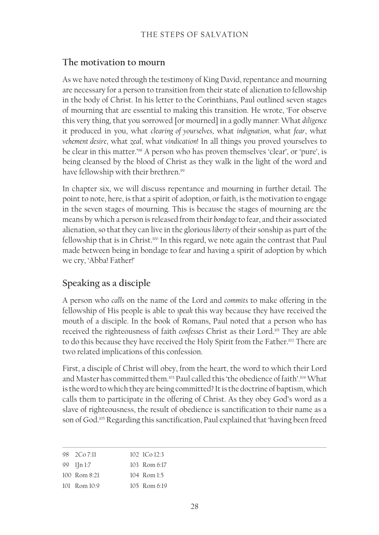### **The motivation to mourn**

As we have noted through the testimony of King David, repentance and mourning are necessary for a person to transition from their state of alienation to fellowship in the body of Christ. In his letter to the Corinthians, Paul outlined seven stages of mourning that are essential to making this transition. He wrote, 'For observe this very thing, that you sorrowed [or mourned] in a godly manner: What *diligence* it produced in you, what *clearing of yourselves*, what *indignation*, what *fear*, what *vehement desire*, what *zeal*, what *vindication*! In all things you proved yourselves to be clear in this matter.'98 A person who has proven themselves 'clear', or 'pure', is being cleansed by the blood of Christ as they walk in the light of the word and have fellowship with their brethren.<sup>99</sup>

In chapter six, we will discuss repentance and mourning in further detail. The point to note, here, is that a spirit of adoption, or faith, is the motivation to engage in the seven stages of mourning. This is because the stages of mourning are the means by which a person is released from their *bondage* to fear, and their associated alienation, so that they can live in the glorious *liberty* of their sonship as part of the fellowship that is in Christ.<sup>100</sup> In this regard, we note again the contrast that Paul made between being in bondage to fear and having a spirit of adoption by which we cry, 'Abba! Father!'

# **Speaking as a disciple**

A person who *calls* on the name of the Lord and *commits* to make offering in the fellowship of His people is able to *speak* this way because they have received the mouth of a disciple. In the book of Romans, Paul noted that a person who has received the righteousness of faith *confesses* Christ as their Lord.101 They are able to do this because they have received the Holy Spirit from the Father.<sup>102</sup> There are two related implications of this confession.

First, a disciple of Christ will obey, from the heart, the word to which their Lord and Master has committed them.103 Paul called this 'the obedience of faith'.104 What is the word to which they are being committed? It is the doctrine of baptism, which calls them to participate in the offering of Christ. As they obey God's word as a slave of righteousness, the result of obedience is sanctification to their name as a son of God.<sup>105</sup> Regarding this sanctification, Paul explained that 'having been freed

| 98 2Co 7:11             | $102 \text{ } 100 \text{ } 123$ |
|-------------------------|---------------------------------|
| 99 lJn 1:7              | 103 Rom 6:17                    |
| $100 \text{ Rom } 8.21$ | $104$ Rom $1.5$                 |
| $101$ Rom $10.9$        | $105$ Rom 6.19                  |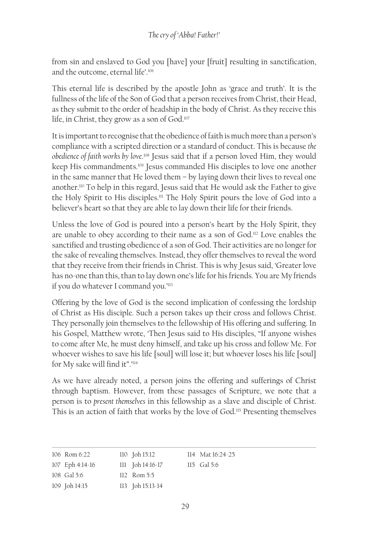from sin and enslaved to God you [have] your [fruit] resulting in sanctification, and the outcome, eternal life'.<sup>106</sup>

This eternal life is described by the apostle John as 'grace and truth'. It is the fullness of the life of the Son of God that a person receives from Christ, their Head, as they submit to the order of headship in the body of Christ. As they receive this life, in Christ, they grow as a son of God.107

It is important to recognise that the obedience of faith is much more than a person's compliance with a scripted direction or a standard of conduct. This is because *the*  obedience of faith works by love.<sup>108</sup> Jesus said that if a person loved Him, they would keep His commandments.<sup>109</sup> Jesus commanded His disciples to love one another in the same manner that He loved them – by laying down their lives to reveal one another.110 To help in this regard, Jesus said that He would ask the Father to give the Holy Spirit to His disciples.<sup>111</sup> The Holy Spirit pours the love of God into a believer's heart so that they are able to lay down their life for their friends.

Unless the love of God is poured into a person's heart by the Holy Spirit, they are unable to obey according to their name as a son of God.112 Love enables the sanctified and trusting obedience of a son of God. Their activities are no longer for the sake of revealing themselves. Instead, they offer themselves to reveal the word that they receive from their friends in Christ. This is why Jesus said, 'Greater love has no-one than this, than to lay down one's life for his friends. You are My friends if you do whatever I command you.'113

Offering by the love of God is the second implication of confessing the lordship of Christ as His disciple. Such a person takes up their cross and follows Christ. They personally join themselves to the fellowship of His offering and suffering. In his Gospel, Matthew wrote, 'Then Jesus said to His disciples, "If anyone wishes to come after Me, he must deny himself, and take up his cross and follow Me. For whoever wishes to save his life [soul] will lose it; but whoever loses his life [soul] for My sake will find it".'<sup>114</sup>

As we have already noted, a person joins the offering and sufferings of Christ through baptism. However, from these passages of Scripture, we note that a person is to *present themselves* in this fellowship as a slave and disciple of Christ. This is an action of faith that works by the love of God.115 Presenting themselves

| 106 Rom 6:22    | $110$ Joh $15:12$    | 114 Mat 16:24-25 |
|-----------------|----------------------|------------------|
| 107 Eph 4:14-16 | $111$ Joh $14:16-17$ | 115 Gal 5:6      |
| 108 Gal 5:6     | $112$ Rom 5:5        |                  |
| 109 Joh 14:15   | 113 Joh 15:13-14     |                  |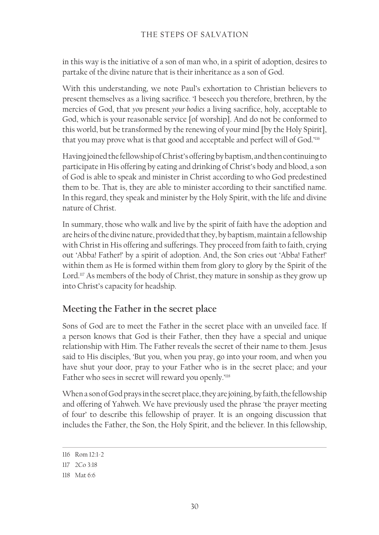in this way is the initiative of a son of man who, in a spirit of adoption, desires to partake of the divine nature that is their inheritance as a son of God.

With this understanding, we note Paul's exhortation to Christian believers to present themselves as a living sacrifice. 'I beseech you therefore, brethren, by the mercies of God, that *you* present *your bodies* a living sacrifice, holy, acceptable to God, which is your reasonable service [of worship]. And do not be conformed to this world, but be transformed by the renewing of your mind [by the Holy Spirit], that you may prove what is that good and acceptable and perfect will of God.'<sup>116</sup>

Having joined the fellowship of Christ's offering by baptism, and then continuing to participate in His offering by eating and drinking of Christ's body and blood, a son of God is able to speak and minister in Christ according to who God predestined them to be. That is, they are able to minister according to their sanctified name. In this regard, they speak and minister by the Holy Spirit, with the life and divine nature of Christ.

In summary, those who walk and live by the spirit of faith have the adoption and are heirs of the divine nature, provided that they, by baptism, maintain a fellowship with Christ in His offering and sufferings. They proceed from faith to faith, crying out 'Abba! Father!' by a spirit of adoption. And, the Son cries out 'Abba! Father!' within them as He is formed within them from glory to glory by the Spirit of the Lord.<sup>117</sup> As members of the body of Christ, they mature in sonship as they grow up into Christ's capacity for headship.

### **Meeting the Father in the secret place**

Sons of God are to meet the Father in the secret place with an unveiled face. If a person knows that God is their Father, then they have a special and unique relationship with Him. The Father reveals the secret of their name to them. Jesus said to His disciples, 'But you, when you pray, go into your room, and when you have shut your door, pray to your Father who is in the secret place; and your Father who sees in secret will reward you openly.'<sup>118</sup>

When a son of God prays in the secret place, they are joining, by faith, the fellowship and offering of Yahweh. We have previously used the phrase 'the prayer meeting of four' to describe this fellowship of prayer. It is an ongoing discussion that includes the Father, the Son, the Holy Spirit, and the believer. In this fellowship,

<sup>116</sup> Rom 12:1‑2

<sup>117</sup> 2Co 3:18

<sup>118</sup> Mat 6:6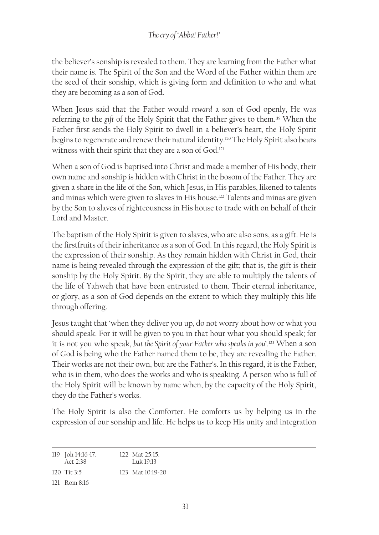the believer's sonship is revealed to them. They are learning from the Father what their name is. The Spirit of the Son and the Word of the Father within them are the seed of their sonship, which is giving form and definition to who and what they are becoming as a son of God.

When Jesus said that the Father would *reward* a son of God openly, He was referring to the *gift* of the Holy Spirit that the Father gives to them.119 When the Father first sends the Holy Spirit to dwell in a believer's heart, the Holy Spirit begins to regenerate and renew their natural identity.120 The Holy Spirit also bears witness with their spirit that they are a son of God.<sup>121</sup>

When a son of God is baptised into Christ and made a member of His body, their own name and sonship is hidden with Christ in the bosom of the Father. They are given a share in the life of the Son, which Jesus, in His parables, likened to talents and minas which were given to slaves in His house.<sup>122</sup> Talents and minas are given by the Son to slaves of righteousness in His house to trade with on behalf of their Lord and Master.

The baptism of the Holy Spirit is given to slaves, who are also sons, as a gift. He is the firstfruits of their inheritance as a son of God. In this regard, the Holy Spirit is the expression of their sonship. As they remain hidden with Christ in God, their name is being revealed through the expression of the gift; that is, the gift is their sonship by the Holy Spirit. By the Spirit, they are able to multiply the talents of the life of Yahweh that have been entrusted to them. Their eternal inheritance, or glory, as a son of God depends on the extent to which they multiply this life through offering.

Jesus taught that 'when they deliver you up, do not worry about how or what you should speak. For it will be given to you in that hour what you should speak; for it is not you who speak, *but the Spirit of your Father who speaks in you*'.123 When a son of God is being who the Father named them to be, they are revealing the Father. Their works are not their own, but are the Father's. In this regard, it is the Father, who is in them, who does the works and who is speaking. A person who is full of the Holy Spirit will be known by name when, by the capacity of the Holy Spirit, they do the Father's works.

The Holy Spirit is also the Comforter. He comforts us by helping us in the expression of our sonship and life. He helps us to keep His unity and integration

| 119 Joh 14:16-17.<br>Act $2.38$ | $122$ Mat $25:15$<br>$T$ uk 19.13 |
|---------------------------------|-----------------------------------|
| 120 Tit $3:5$                   | $123$ Mat $10.19 - 20$            |
| $121$ Rom $8.16$                |                                   |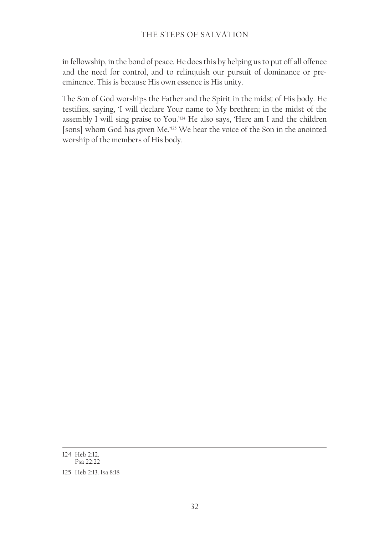in fellowship, in the bond of peace. He does this by helping us to put off all offence and the need for control, and to relinquish our pursuit of dominance or preeminence. This is because His own essence is His unity.

The Son of God worships the Father and the Spirit in the midst of His body. He testifies, saying, 'I will declare Your name to My brethren; in the midst of the assembly I will sing praise to You.'124 He also says, 'Here am I and the children [sons] whom God has given Me.'125 We hear the voice of the Son in the anointed worship of the members of His body.

<sup>124</sup> Heb 2:12. Psa 22:22

<sup>125</sup> Heb 2:13. Isa 8:18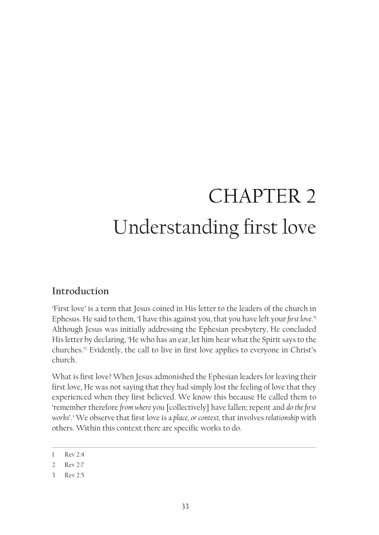# CHAPTER 2 Understanding first love

# **Introduction**

'First love' is a term that Jesus coined in His letter to the leaders of the church in Ephesus. He said to them, 'I have this against you, that you have left your *first love*.'1 Although Jesus was initially addressing the Ephesian presbytery, He concluded His letter by declaring, 'He who has an ear, let him hear what the Spirit says to the churches.'2 Evidently, the call to live in first love applies to everyone in Christ's church.

What is first love? When Jesus admonished the Ephesian leaders for leaving their first love, He was not saying that they had simply lost the feeling of love that they experienced when they first believed. We know this because He called them to 'remember therefore *from where* you [collectively] have fallen; repent and *do the first works*'.3 We observe that first love is a *place, or context,* that involves *relationship* with others. Within this context there are specific works to do.

<sup>1</sup> Rev 2:4

<sup>2</sup> Rev 2:7

<sup>3</sup> Rev 2:5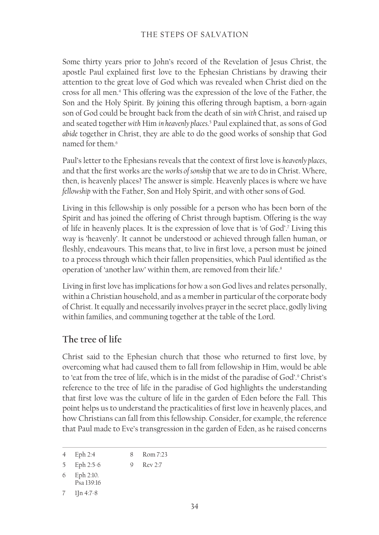### THE STEPS OF SALVATION

Some thirty years prior to John's record of the Revelation of Jesus Christ, the apostle Paul explained first love to the Ephesian Christians by drawing their attention to the great love of God which was revealed when Christ died on the cross for all men.4 This offering was the expression of the love of the Father, the Son and the Holy Spirit. By joining this offering through baptism, a born-again son of God could be brought back from the death of sin *with* Christ, and raised up and seated together *with* Him *in heavenly places*. 5 Paul explained that, as sons of God *abide* together in Christ, they are able to do the good works of sonship that God named for them<sup>6</sup>

Paul's letter to the Ephesians reveals that the context of first love is *heavenly places*, and that the first works are the *works of sonship* that we are to do in Christ. Where, then, is heavenly places? The answer is simple. Heavenly places is where we have *fellowship* with the Father, Son and Holy Spirit, and with other sons of God.

Living in this fellowship is only possible for a person who has been born of the Spirit and has joined the offering of Christ through baptism. Offering is the way of life in heavenly places. It is the expression of love that is 'of God'.7 Living this way is 'heavenly'. It cannot be understood or achieved through fallen human, or fleshly, endeavours. This means that, to live in first love, a person must be joined to a process through which their fallen propensities, which Paul identified as the operation of 'another law' within them, are removed from their life.<sup>8</sup>

Living in first love has implications for how a son God lives and relates personally, within a Christian household, and as a member in particular of the corporate body of Christ. It equally and necessarily involves prayer in the secret place, godly living within families, and communing together at the table of the Lord.

### **The tree of life**

Christ said to the Ephesian church that those who returned to first love, by overcoming what had caused them to fall from fellowship in Him, would be able to 'eat from the tree of life, which is in the midst of the paradise of God'.9 Christ's reference to the tree of life in the paradise of God highlights the understanding that first love was the culture of life in the garden of Eden before the Fall. This point helps us to understand the practicalities of first love in heavenly places, and how Christians can fall from this fellowship. Consider, for example, the reference that Paul made to Eve's transgression in the garden of Eden, as he raised concerns

<sup>4</sup> Eph 2:4 8 Rom 7:23

<sup>5</sup> Eph 2:5‑6 9 Rev 2:7

<sup>6</sup> Eph 2:10.

Psa 139:16

<sup>7</sup> 1Jn 4:7-8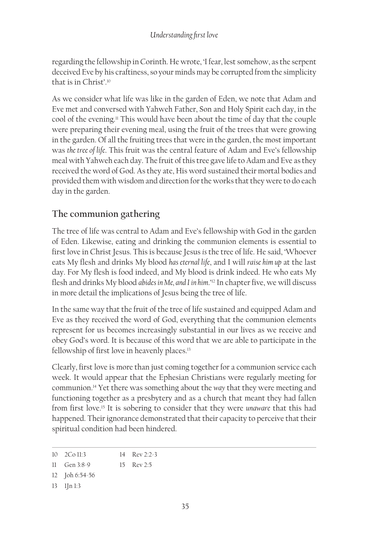regarding the fellowship in Corinth. He wrote, 'I fear, lest somehow, as the serpent deceived Eve by his craftiness, so your minds may be corrupted from the simplicity that is in Christ'.<sup>10</sup>

As we consider what life was like in the garden of Eden, we note that Adam and Eve met and conversed with Yahweh Father, Son and Holy Spirit each day, in the cool of the evening.<sup>11</sup> This would have been about the time of day that the couple were preparing their evening meal, using the fruit of the trees that were growing in the garden. Of all the fruiting trees that were in the garden, the most important was *the tree of life*. This fruit was the central feature of Adam and Eve's fellowship meal with Yahweh each day. The fruit of this tree gave life to Adam and Eve as they received the word of God. As they ate, His word sustained their mortal bodies and provided them with wisdom and direction for the works that they were to do each day in the garden.

## **The communion gathering**

The tree of life was central to Adam and Eve's fellowship with God in the garden of Eden. Likewise, eating and drinking the communion elements is essential to first love in Christ Jesus. This is because Jesus *is* the tree of life. He said, 'Whoever eats My flesh and drinks My blood *has eternal life*, and I will *raise him up* at the last day. For My flesh is food indeed, and My blood is drink indeed. He who eats My flesh and drinks My blood *abides in Me, and I in him*.'12 In chapter five, we will discuss in more detail the implications of Jesus being the tree of life.

In the same way that the fruit of the tree of life sustained and equipped Adam and Eve as they received the word of God, everything that the communion elements represent for us becomes increasingly substantial in our lives as we receive and obey God's word. It is because of this word that we are able to participate in the fellowship of first love in heavenly places.<sup>13</sup>

Clearly, first love is more than just coming together for a communion service each week. It would appear that the Ephesian Christians were regularly meeting for communion.14 Yet there was something about the *way* that they were meeting and functioning together as a presbytery and as a church that meant they had fallen from first love.15 It is sobering to consider that they were *unaware* that this had happened. Their ignorance demonstrated that their capacity to perceive that their spiritual condition had been hindered.

13 1Jn 1:3

<sup>10</sup> 2Co 11:3 14 Rev 2:2-3

<sup>11</sup> Gen 3:8-9 15 Rev 2:5

<sup>12</sup> Joh 6:54‑56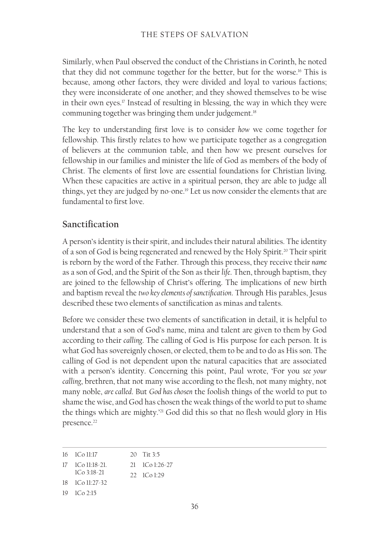Similarly, when Paul observed the conduct of the Christians in Corinth, he noted that they did not commune together for the better, but for the worse.16 This is because, among other factors, they were divided and loyal to various factions; they were inconsiderate of one another; and they showed themselves to be wise in their own eyes.17 Instead of resulting in blessing, the way in which they were communing together was bringing them under judgement.<sup>18</sup>

The key to understanding first love is to consider *how* we come together for fellowship. This firstly relates to how we participate together as a congregation of believers at the communion table, and then how we present ourselves for fellowship in our families and minister the life of God as members of the body of Christ. The elements of first love are essential foundations for Christian living. When these capacities are active in a spiritual person, they are able to judge all things, yet they are judged by no-one.19 Let us now consider the elements that are fundamental to first love.

#### **Sanctification**

A person's identity is their spirit, and includes their natural abilities. The identity of a son of God is being regenerated and renewed by the Holy Spirit.20 Their spirit is reborn by the word of the Father. Through this process, they receive their *name* as a son of God, and the Spirit of the Son as their *life*. Then, through baptism, they are joined to the fellowship of Christ's offering. The implications of new birth and baptism reveal the *two key elements of sanctification*. Through His parables, Jesus described these two elements of sanctification as minas and talents.

Before we consider these two elements of sanctification in detail, it is helpful to understand that a son of God's name, mina and talent are given to them by God according to their *calling*. The calling of God is His purpose for each person. It is what God has sovereignly chosen, or elected, them to be and to do as His son. The calling of God is not dependent upon the natural capacities that are associated with a person's identity. Concerning this point, Paul wrote, 'For you *see your calling*, brethren, that not many wise according to the flesh, not many mighty, not many noble, *are called*. But *God has chosen* the foolish things of the world to put to shame the wise, and God has chosen the weak things of the world to put to shame the things which are mighty.'<sup>21</sup> God did this so that no flesh would glory in His presence.<sup>22</sup>

16 1Co 11:17 17 1Co 11:18-21. 1Co 3:18-21 18 1Co 11:27-32 20 Tit 3:5 21 1Co 1:26‑27 22 1Co 1:29

19 1Co 2:15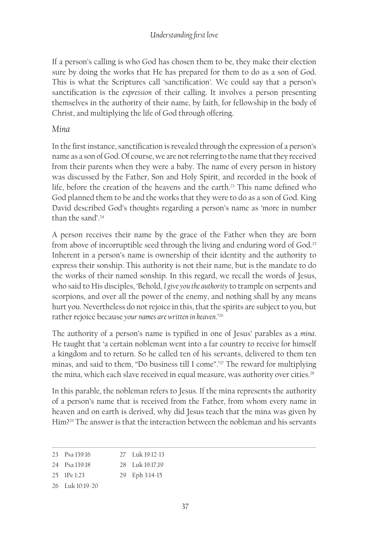If a person's calling is who God has chosen them to be, they make their election sure by doing the works that He has prepared for them to do as a son of God. This is what the Scriptures call 'sanctification'. We could say that a person's sanctification is the *expression* of their calling. It involves a person presenting themselves in the authority of their name, by faith, for fellowship in the body of Christ, and multiplying the life of God through offering.

#### *Mina*

In the first instance, sanctification is revealed through the expression of a person's name as a son of God. Of course, we are not referring to the name that they received from their parents when they were a baby. The name of every person in history was discussed by the Father, Son and Holy Spirit, and recorded in the book of life, before the creation of the heavens and the earth.23 This name defined who God planned them to be and the works that they were to do as a son of God. King David described God's thoughts regarding a person's name as 'more in number than the sand'.<sup>24</sup>

A person receives their name by the grace of the Father when they are born from above of incorruptible seed through the living and enduring word of God.25 Inherent in a person's name is ownership of their identity and the authority to express their sonship. This authority is not their name, but is the mandate to do the works of their named sonship. In this regard, we recall the words of Jesus, who said to His disciples, 'Behold, *I give you the authority* to trample on serpents and scorpions, and over all the power of the enemy, and nothing shall by any means hurt you. Nevertheless do not rejoice in this, that the spirits are subject to you, but rather rejoice because *your names are written in heaven*.'<sup>26</sup>

The authority of a person's name is typified in one of Jesus' parables as a *mina*. He taught that 'a certain nobleman went into a far country to receive for himself a kingdom and to return. So he called ten of his servants, delivered to them ten minas, and said to them, "Do business till I come".'27 The reward for multiplying the mina, which each slave received in equal measure, was authority over cities.<sup>28</sup>

In this parable, the nobleman refers to Jesus. If the mina represents the authority of a person's name that is received from the Father, from whom every name in heaven and on earth is derived, why did Jesus teach that the mina was given by Him?29 The answer is that the interaction between the nobleman and his servants

<sup>23</sup> Psa 139:16 27 Luk 19:12-13

<sup>24</sup> Psa 139:18 28 Luk 19:17,19

<sup>25</sup> 1Pe 1:23 29 Eph 3:14-15

<sup>26</sup> Luk 10:19‑20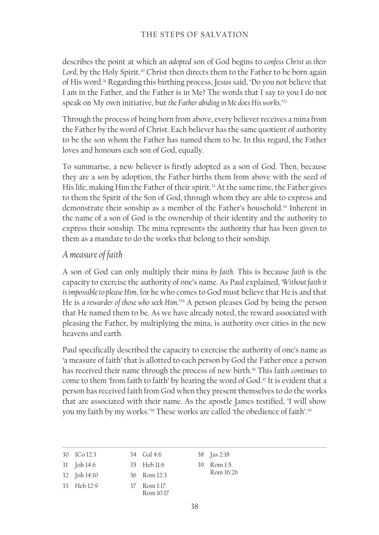describes the point at which an *adopted* son of God begins to *confess Christ as their*  Lord, by the Holy Spirit.<sup>30</sup> Christ then directs them to the Father to be born again of His word.31 Regarding this birthing process, Jesus said, 'Do you not believe that I am in the Father, and the Father is in Me? The words that I say to you I do not speak on My own initiative, but *the Father abiding in Me does His works*.'32

Through the process of being born from above, every believer receives a mina from the Father by the word of Christ. Each believer has the same quotient of authority to be the son whom the Father has named them to be. In this regard, the Father loves and honours each son of God, equally.

To summarise, a new believer is firstly adopted as a son of God. Then, because they are a son by adoption, the Father births them from above with the seed of His life, making Him the Father of their spirit.<sup>33</sup> At the same time, the Father gives to them the Spirit of the Son of God, through whom they are able to express and demonstrate their sonship as a member of the Father's household.<sup>34</sup> Inherent in the name of a son of God is the ownership of their identity and the authority to express their sonship. The mina represents the authority that has been given to them as a mandate to do the works that belong to their sonship.

#### *A measure of faith*

A son of God can only multiply their mina *by faith*. This is because *faith* is the capacity to exercise the authority of one's name. As Paul explained, '*Without faith it is impossible to please Him*, for he who comes to God must believe that He is and that He is *a rewarder of those who seek Him*.'35 A person pleases God by being the person that He named them to be. As we have already noted, the reward associated with pleasing the Father, by multiplying the mina, is authority over cities in the new heavens and earth.

Paul specifically described the capacity to exercise the authority of one's name as 'a measure of faith' that is allotted to each person by God the Father once a person has received their name through the process of new birth.<sup>36</sup> This faith *continues* to come to them 'from faith to faith' by hearing the word of God.37 It is evident that a person has received faith from God when they present themselves to do the works that are associated with their name. As the apostle James testified, 'I will show you my faith by my works.'38 These works are called 'the obedience of faith'.39

| 30 ICo 12:3  | 34 Gal 4:6                | 38 <b>Jas 2:18</b> |
|--------------|---------------------------|--------------------|
| 31 Joh 14:6  | 35 Heb 11:6               | 39 Rom 1:5.        |
| 32 Joh 14:10 | 36 Rom 12:3               | Rom 16:26          |
| 33 Heb 12:9  | 37 Rom 1:17.<br>Rom 10.17 |                    |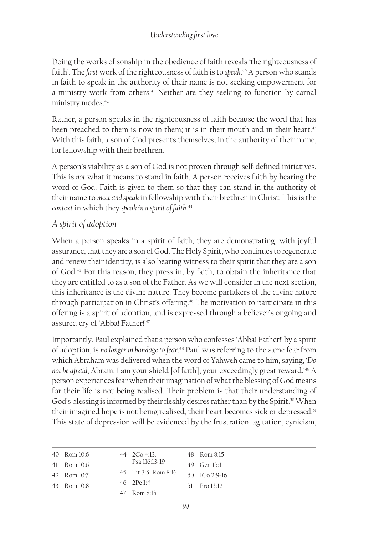Doing the works of sonship in the obedience of faith reveals 'the righteousness of faith'. The *first* work of the righteousness of faith is to *speak*. 40 A person who stands in faith to speak in the authority of their name is not seeking empowerment for a ministry work from others.<sup>41</sup> Neither are they seeking to function by carnal ministry modes.<sup>42</sup>

Rather, a person speaks in the righteousness of faith because the word that has been preached to them is now in them; it is in their mouth and in their heart.<sup>43</sup> With this faith, a son of God presents themselves, in the authority of their name, for fellowship with their brethren.

A person's viability as a son of God is not proven through self-defined initiatives. This is *not* what it means to stand in faith. A person receives faith by hearing the word of God. Faith is given to them so that they can stand in the authority of their name to *meet and speak* in fellowship with their brethren in Christ. This is the *context* in which they *speak in a spirit of faith*. 44

### *A spirit of adoption*

When a person speaks in a spirit of faith, they are demonstrating, with joyful assurance, that they are a son of God. The Holy Spirit, who continues to regenerate and renew their identity, is also bearing witness to their spirit that they are a son of God.45 For this reason, they press in, by faith, to obtain the inheritance that they are entitled to as a son of the Father. As we will consider in the next section, this inheritance is the divine nature. They become partakers of the divine nature through participation in Christ's offering.<sup>46</sup> The motivation to participate in this offering is a spirit of adoption, and is expressed through a believer's ongoing and assured cry of 'Abba! Father!'47

Importantly, Paul explained that a person who confesses 'Abba! Father!' by a spirit of adoption, is *no longer in bondage to fear*. 48 Paul was referring to the same fear from which Abraham was delivered when the word of Yahweh came to him, saying, '*Do not be afraid*, Abram. I am your shield [of faith], your exceedingly great reward.'49 A person experiences fear when their imagination of what the blessing of God means for their life is not being realised. Their problem is that their understanding of God's blessing is informed by their fleshly desires rather than by the Spirit.<sup>50</sup> When their imagined hope is not being realised, their heart becomes sick or depressed.<sup>51</sup> This state of depression will be evidenced by the frustration, agitation, cynicism,

| 40 Rom 10:6 | $44 \quad 2 \text{Co } 4:13.$ | 48 Rom 8:15                               |
|-------------|-------------------------------|-------------------------------------------|
| 41 Rom 10:6 | Psa 116:13-19                 | 49 Gen 15:1                               |
| 42 Rom 10:7 | 45 Tit 3:5, Rom 8:16          | $50 \quad 1 \quad \text{Co} \quad 2:9-16$ |
| 43 Rom 10:8 | 46 2Pe 14                     | 51 Pro $13:12$                            |
|             | 47 Rom 8:15                   |                                           |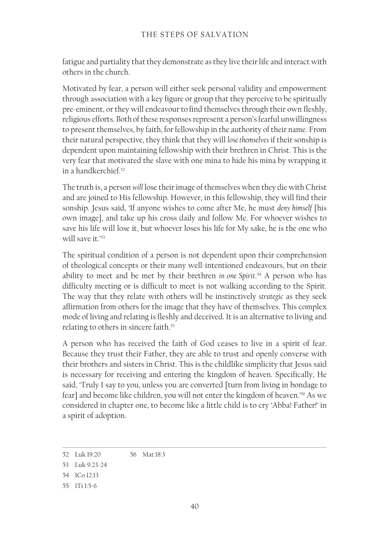fatigue and partiality that they demonstrate as they live their life and interact with others in the church.

Motivated by fear, a person will either seek personal validity and empowerment through association with a key figure or group that they perceive to be spiritually pre-eminent, or they will endeavour to find themselves through their own fleshly, religious efforts. Both of these responses represent a person's fearful unwillingness to present themselves, by faith, for fellowship in the authority of their name. From their natural perspective, they think that they will *lose themselves* if their sonship is dependent upon maintaining fellowship with their brethren in Christ. This is the very fear that motivated the slave with one mina to hide his mina by wrapping it in a handkerchief.52

The truth is, a person *will* lose their image of themselves when they die with Christ and are joined to His fellowship. However, in this fellowship, they will find their sonship. Jesus said, 'If anyone wishes to come after Me, he must *deny himself* [his own image], and take up his cross daily and follow Me. For whoever wishes to save his life will lose it, but whoever loses his life for My sake, he is the one who will save it.'<sup>53</sup>

The spiritual condition of a person is not dependent upon their comprehension of theological concepts or their many well-intentioned endeavours, but on their ability to meet and be met by their brethren *in one Spirit*. 54 A person who has difficulty meeting or is difficult to meet is not walking according to the Spirit. The way that they relate with others will be instinctively *strategic* as they seek affirmation from others for the image that they have of themselves. This complex mode of living and relating is fleshly and deceived. It is an alternative to living and relating to others in sincere faith.<sup>55</sup>

A person who has received the faith of God ceases to live in a spirit of fear. Because they trust their Father, they are able to trust and openly converse with their brothers and sisters in Christ. This is the childlike simplicity that Jesus said is necessary for receiving and entering the kingdom of heaven. Specifically, He said, 'Truly I say to you, unless you are converted [turn from living in bondage to fear] and become like children, you will not enter the kingdom of heaven.'56 As we considered in chapter one, to become like a little child is to cry 'Abba! Father!' in a spirit of adoption.

<sup>52</sup> Luk 19:20 56 Mat 18:3

<sup>53</sup> Luk 9:23-24

<sup>54</sup> 1Co 12:13

<sup>55</sup> 1Ti 1:5‑6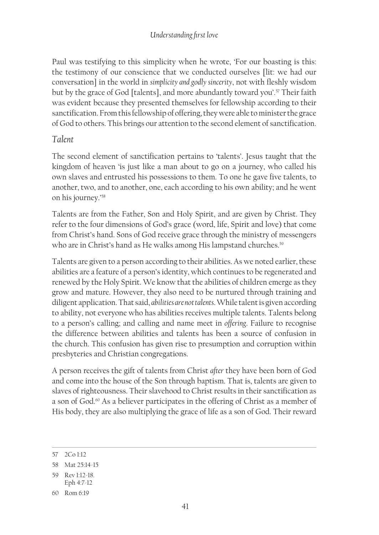#### *Understanding first love*

Paul was testifying to this simplicity when he wrote, 'For our boasting is this: the testimony of our conscience that we conducted ourselves [lit: we had our conversation] in the world in *simplicity and godly sincerity*, not with fleshly wisdom but by the grace of God [talents], and more abundantly toward you'.<sup>57</sup> Their faith was evident because they presented themselves for fellowship according to their sanctification. From this fellowship of offering, they were able to minister the grace of God to others. This brings our attention to the second element of sanctification.

#### *Talent*

The second element of sanctification pertains to 'talents'. Jesus taught that the kingdom of heaven 'is just like a man about to go on a journey, who called his own slaves and entrusted his possessions to them. To one he gave five talents, to another, two, and to another, one, each according to his own ability; and he went on his journey.'58

Talents are from the Father, Son and Holy Spirit, and are given by Christ. They refer to the four dimensions of God's grace (word, life, Spirit and love) that come from Christ's hand. Sons of God receive grace through the ministry of messengers who are in Christ's hand as He walks among His lampstand churches.<sup>59</sup>

Talents are given to a person according to their abilities. As we noted earlier, these abilities are a feature of a person's identity, which continues to be regenerated and renewed by the Holy Spirit. We know that the abilities of children emerge as they grow and mature. However, they also need to be nurtured through training and diligent application. That said, *abilities are not talents*. While talent is given according to ability, not everyone who has abilities receives multiple talents. Talents belong to a person's calling; and calling and name meet in *offering*. Failure to recognise the difference between abilities and talents has been a source of confusion in the church. This confusion has given rise to presumption and corruption within presbyteries and Christian congregations.

A person receives the gift of talents from Christ *after* they have been born of God and come into the house of the Son through baptism. That is, talents are given to slaves of righteousness. Their slavehood to Christ results in their sanctification as a son of God.<sup>60</sup> As a believer participates in the offering of Christ as a member of His body, they are also multiplying the grace of life as a son of God. Their reward

<sup>57</sup> 2Co 1:12

<sup>58</sup> Mat 25:14-15

<sup>59</sup> Rev 1:12-18.

Eph 4:7-12

<sup>60</sup> Rom 6:19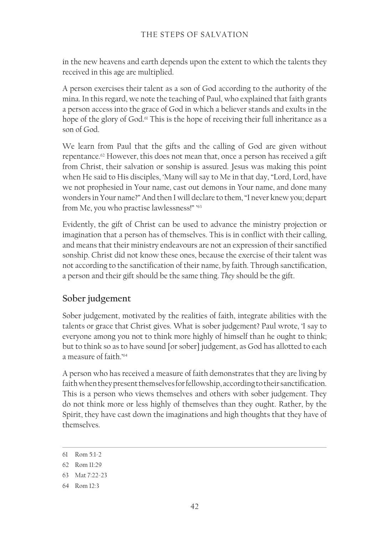in the new heavens and earth depends upon the extent to which the talents they received in this age are multiplied.

A person exercises their talent as a son of God according to the authority of the mina. In this regard, we note the teaching of Paul, who explained that faith grants a person access into the grace of God in which a believer stands and exults in the hope of the glory of God.<sup>61</sup> This is the hope of receiving their full inheritance as a son of God.

We learn from Paul that the gifts and the calling of God are given without repentance.<sup>62</sup> However, this does not mean that, once a person has received a gift from Christ, their salvation or sonship is assured. Jesus was making this point when He said to His disciples, 'Many will say to Me in that day, "Lord, Lord, have we not prophesied in Your name, cast out demons in Your name, and done many wonders in Your name?" And then I will declare to them, "I never knew you; depart from Me, you who practise lawlessness!" ' 63

Evidently, the gift of Christ can be used to advance the ministry projection or imagination that a person has of themselves. This is in conflict with their calling, and means that their ministry endeavours are not an expression of their sanctified sonship. Christ did not know these ones, because the exercise of their talent was not according to the sanctification of their name, by faith. Through sanctification, a person and their gift should be the same thing. *They* should be the gift.

## **Sober judgement**

Sober judgement, motivated by the realities of faith, integrate abilities with the talents or grace that Christ gives. What is sober judgement? Paul wrote, 'I say to everyone among you not to think more highly of himself than he ought to think; but to think so as to have sound [or sober] judgement, as God has allotted to each a measure of faith.'<sup>64</sup>

A person who has received a measure of faith demonstrates that they are living by faith when they present themselves for fellowship, according to their sanctification. This is a person who views themselves and others with sober judgement. They do not think more or less highly of themselves than they ought. Rather, by the Spirit, they have cast down the imaginations and high thoughts that they have of themselves.

<sup>61</sup> Rom 5:1‑2

<sup>62</sup> Rom 11:29

<sup>63</sup> Mat 7:22‑23

<sup>64</sup> Rom 12:3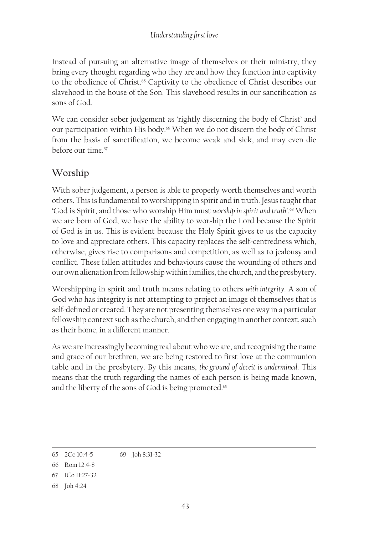Instead of pursuing an alternative image of themselves or their ministry, they bring every thought regarding who they are and how they function into captivity to the obedience of Christ.<sup>65</sup> Captivity to the obedience of Christ describes our slavehood in the house of the Son. This slavehood results in our sanctification as sons of God.

We can consider sober judgement as 'rightly discerning the body of Christ' and our participation within His body.<sup>66</sup> When we do not discern the body of Christ from the basis of sanctification, we become weak and sick, and may even die before our time.<sup>67</sup>

## **Worship**

With sober judgement, a person is able to properly worth themselves and worth others. This is fundamental to worshipping in spirit and in truth. Jesus taught that 'God is Spirit, and those who worship Him must *worship in spirit and truth'*. <sup>68</sup> When we are born of God, we have the ability to worship the Lord because the Spirit of God is in us. This is evident because the Holy Spirit gives to us the capacity to love and appreciate others. This capacity replaces the self-centredness which, otherwise, gives rise to comparisons and competition, as well as to jealousy and conflict. These fallen attitudes and behaviours cause the wounding of others and our own alienation from fellowship within families, the church, and the presbytery.

Worshipping in spirit and truth means relating to others *with integrity*. A son of God who has integrity is not attempting to project an image of themselves that is self-defined or created. They are not presenting themselves one way in a particular fellowship context such as the church, and then engaging in another context, such as their home, in a different manner.

As we are increasingly becoming real about who we are, and recognising the name and grace of our brethren, we are being restored to first love at the communion table and in the presbytery. By this means, *the ground of deceit is undermined*. This means that the truth regarding the names of each person is being made known, and the liberty of the sons of God is being promoted.<sup>69</sup>

<sup>65</sup> 2Co 10:4‑5 69 Joh 8:31‑32

<sup>66</sup> Rom 12:4‑8

<sup>67</sup> 1Co 11:27‑32

<sup>68</sup> Joh 4:24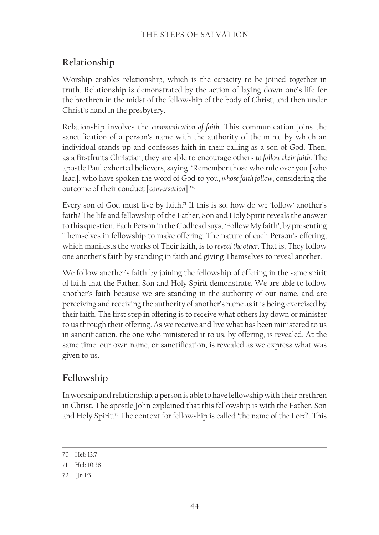#### THE STEPS OF SALVATION

# **Relationship**

Worship enables relationship, which is the capacity to be joined together in truth. Relationship is demonstrated by the action of laying down one's life for the brethren in the midst of the fellowship of the body of Christ, and then under Christ's hand in the presbytery.

Relationship involves the *communication of faith*. This communication joins the sanctification of a person's name with the authority of the mina, by which an individual stands up and confesses faith in their calling as a son of God. Then, as a firstfruits Christian, they are able to encourage others *to follow their faith*. The apostle Paul exhorted believers, saying, 'Remember those who rule over you [who lead], who have spoken the word of God to you, *whose faith follow*, considering the outcome of their conduct [*conversation*].'70

Every son of God must live by faith.<sup> $\pi$ </sup> If this is so, how do we 'follow' another's faith? The life and fellowship of the Father, Son and Holy Spirit reveals the answer to this question. Each Person in the Godhead says, 'Follow My faith', by presenting Themselves in fellowship to make offering. The nature of each Person's offering, which manifests the works of Their faith, is to *reveal the other*. That is, They follow one another's faith by standing in faith and giving Themselves to reveal another.

We follow another's faith by joining the fellowship of offering in the same spirit of faith that the Father, Son and Holy Spirit demonstrate. We are able to follow another's faith because we are standing in the authority of our name, and are perceiving and receiving the authority of another's name as it is being exercised by their faith. The first step in offering is to receive what others lay down or minister to us through their offering. As we receive and live what has been ministered to us in sanctification, the one who ministered it to us, by offering, is revealed. At the same time, our own name, or sanctification, is revealed as we express what was given to us.

# **Fellowship**

In worship and relationship, a person is able to have fellowship with their brethren in Christ. The apostle John explained that this fellowship is with the Father, Son and Holy Spirit.<sup>72</sup> The context for fellowship is called 'the name of the Lord'. This

<sup>70</sup> Heb 13:7

<sup>71</sup> Heb 10:38

<sup>72</sup> 1Jn 1:3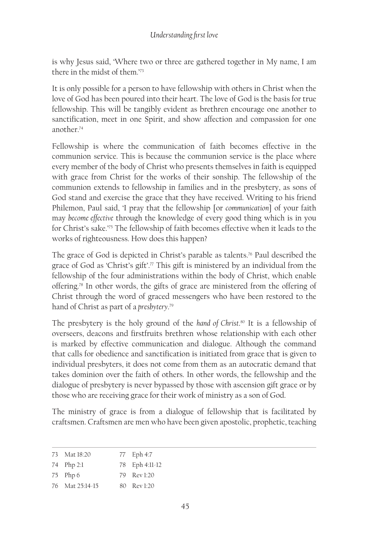is why Jesus said, 'Where two or three are gathered together in My name, I am there in the midst of them.'73

It is only possible for a person to have fellowship with others in Christ when the love of God has been poured into their heart. The love of God is the basis for true fellowship. This will be tangibly evident as brethren encourage one another to sanctification, meet in one Spirit, and show affection and compassion for one another.74

Fellowship is where the communication of faith becomes effective in the communion service. This is because the communion service is the place where every member of the body of Christ who presents themselves in faith is equipped with grace from Christ for the works of their sonship. The fellowship of the communion extends to fellowship in families and in the presbytery, as sons of God stand and exercise the grace that they have received. Writing to his friend Philemon, Paul said, 'I pray that the fellowship [or *communication*] of your faith may *become effective* through the knowledge of every good thing which is in you for Christ's sake.'75 The fellowship of faith becomes effective when it leads to the works of righteousness. How does this happen?

The grace of God is depicted in Christ's parable as talents.<sup>76</sup> Paul described the grace of God as 'Christ's gift'.<sup>77</sup> This gift is ministered by an individual from the fellowship of the four administrations within the body of Christ, which enable offering.78 In other words, the gifts of grace are ministered from the offering of Christ through the word of graced messengers who have been restored to the hand of Christ as part of a *presbytery*. 79

The presbytery is the holy ground of the *hand of Christ*. 80 It is a fellowship of overseers, deacons and firstfruits brethren whose relationship with each other is marked by effective communication and dialogue. Although the command that calls for obedience and sanctification is initiated from grace that is given to individual presbyters, it does not come from them as an autocratic demand that takes dominion over the faith of others. In other words, the fellowship and the dialogue of presbytery is never bypassed by those with ascension gift grace or by those who are receiving grace for their work of ministry as a son of God.

The ministry of grace is from a dialogue of fellowship that is facilitated by craftsmen. Craftsmen are men who have been given apostolic, prophetic, teaching

| 73 Mat 18:20    | 77 Eph 4:7     |
|-----------------|----------------|
| 74 Php 2:1      | 78 Eph 4:11-12 |
| $75$ Php 6      | 79 Rev 1:20    |
| 76 Mat 25:14-15 | 80 Rev 1:20    |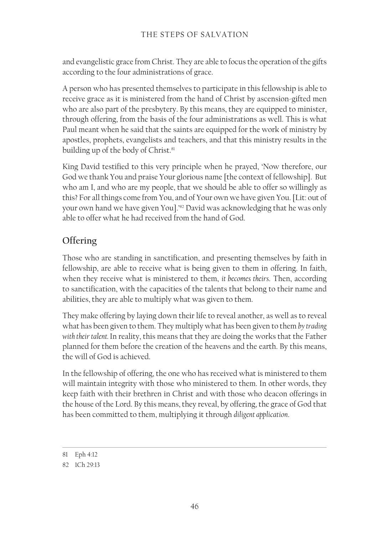and evangelistic grace from Christ. They are able to focus the operation of the gifts according to the four administrations of grace.

A person who has presented themselves to participate in this fellowship is able to receive grace as it is ministered from the hand of Christ by ascension-gifted men who are also part of the presbytery. By this means, they are equipped to minister, through offering, from the basis of the four administrations as well. This is what Paul meant when he said that the saints are equipped for the work of ministry by apostles, prophets, evangelists and teachers, and that this ministry results in the building up of the body of Christ.<sup>81</sup>

King David testified to this very principle when he prayed, 'Now therefore, our God we thank You and praise Your glorious name [the context of fellowship]. But who am I, and who are my people, that we should be able to offer so willingly as this? For all things come from You, and of Your own we have given You. [Lit: out of your own hand we have given You].'82 David was acknowledging that he was only able to offer what he had received from the hand of God.

# **Offering**

Those who are standing in sanctification, and presenting themselves by faith in fellowship, are able to receive what is being given to them in offering. In faith, when they receive what is ministered to them, *it becomes theirs*. Then, according to sanctification, with the capacities of the talents that belong to their name and abilities, they are able to multiply what was given to them.

They make offering by laying down their life to reveal another, as well as to reveal what has been given to them. They multiply what has been given to them *by trading with their talent.* In reality, this means that they are doing the works that the Father planned for them before the creation of the heavens and the earth. By this means, the will of God is achieved.

In the fellowship of offering, the one who has received what is ministered to them will maintain integrity with those who ministered to them. In other words, they keep faith with their brethren in Christ and with those who deacon offerings in the house of the Lord. By this means, they reveal, by offering, the grace of God that has been committed to them, multiplying it through *diligent application*.

<sup>81</sup> Eph 4:12

<sup>82</sup> 1Ch 29:13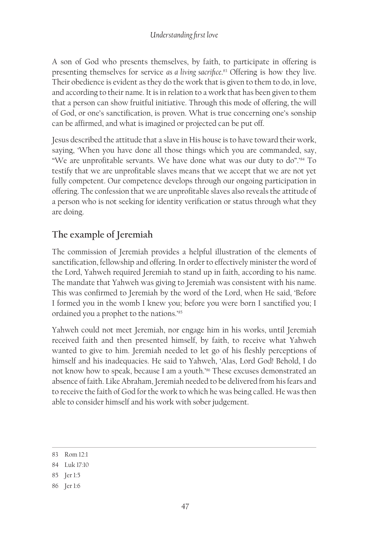A son of God who presents themselves, by faith, to participate in offering is presenting themselves for service *as a living sacrifice*. 83 Offering is how they live. Their obedience is evident as they do the work that is given to them to do, in love, and according to their name. It is in relation to a work that has been given to them that a person can show fruitful initiative. Through this mode of offering, the will of God, or one's sanctification, is proven. What is true concerning one's sonship can be affirmed, and what is imagined or projected can be put off.

Jesus described the attitude that a slave in His house is to have toward their work, saying, 'When you have done all those things which you are commanded, say, "We are unprofitable servants. We have done what was our duty to do".'84 To testify that we are unprofitable slaves means that we accept that we are not yet fully competent. Our competence develops through our ongoing participation in offering. The confession that we are unprofitable slaves also reveals the attitude of a person who is not seeking for identity verification or status through what they are doing.

# **The example of Jeremiah**

The commission of Jeremiah provides a helpful illustration of the elements of sanctification, fellowship and offering. In order to effectively minister the word of the Lord, Yahweh required Jeremiah to stand up in faith, according to his name. The mandate that Yahweh was giving to Jeremiah was consistent with his name. This was confirmed to Jeremiah by the word of the Lord, when He said, 'Before I formed you in the womb I knew you; before you were born I sanctified you; I ordained you a prophet to the nations.'85

Yahweh could not meet Jeremiah, nor engage him in his works, until Jeremiah received faith and then presented himself, by faith, to receive what Yahweh wanted to give to him. Jeremiah needed to let go of his fleshly perceptions of himself and his inadequacies. He said to Yahweh, 'Alas, Lord God! Behold, I do not know how to speak, because I am a youth.<sup>366</sup> These excuses demonstrated an absence of faith. Like Abraham, Jeremiah needed to be delivered from his fears and to receive the faith of God for the work to which he was being called. He was then able to consider himself and his work with sober judgement.

- 85 Jer 1:5
- 86 Jer 1:6

<sup>83</sup> Rom 12:1

<sup>84</sup> Luk 17:10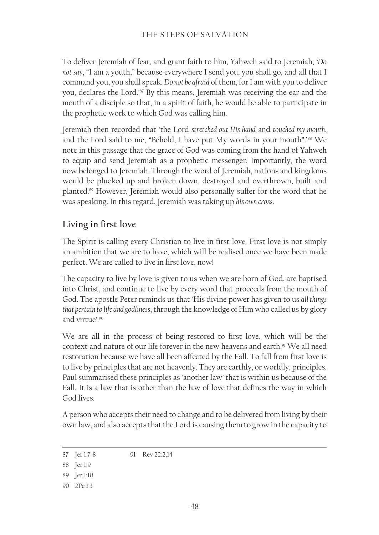To deliver Jeremiah of fear, and grant faith to him, Yahweh said to Jeremiah, '*Do not say*, "I am a youth," because everywhere I send you, you shall go, and all that I command you, you shall speak. *Do not be afraid* of them, for I am with you to deliver you, declares the Lord.'87 By this means, Jeremiah was receiving the ear and the mouth of a disciple so that, in a spirit of faith, he would be able to participate in the prophetic work to which God was calling him.

Jeremiah then recorded that 'the Lord *stretched out His hand* and *touched my mouth*, and the Lord said to me, "Behold, I have put My words in your mouth".'88 We note in this passage that the grace of God was coming from the hand of Yahweh to equip and send Jeremiah as a prophetic messenger. Importantly, the word now belonged to Jeremiah. Through the word of Jeremiah, nations and kingdoms would be plucked up and broken down, destroyed and overthrown, built and planted.89 However, Jeremiah would also personally suffer for the word that he was speaking. In this regard, Jeremiah was taking up *his own cross*.

### **Living in first love**

The Spirit is calling every Christian to live in first love. First love is not simply an ambition that we are to have, which will be realised once we have been made perfect. We are called to live in first love, now!

The capacity to live by love is given to us when we are born of God, are baptised into Christ, and continue to live by every word that proceeds from the mouth of God. The apostle Peter reminds us that 'His divine power has given to us *all things that pertain to life and godliness*, through the knowledge of Him who called us by glory and virtue'.90

We are all in the process of being restored to first love, which will be the context and nature of our life forever in the new heavens and earth.<sup>91</sup> We all need restoration because we have all been affected by the Fall. To fall from first love is to live by principles that are not heavenly. They are earthly, or worldly, principles. Paul summarised these principles as 'another law' that is within us because of the Fall. It is a law that is other than the law of love that defines the way in which God lives.

A person who accepts their need to change and to be delivered from living by their own law, and also accepts that the Lord is causing them to grow in the capacity to

<sup>87</sup> Jer 1:7-8 91 Rev 22:2,14

<sup>88</sup> Jer 1:9

<sup>89</sup> Jer 1:10

<sup>90</sup> 2Pe 1:3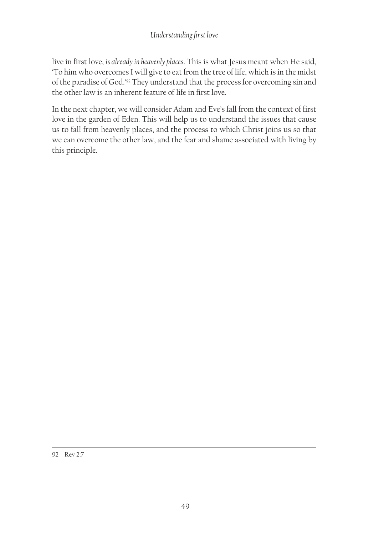live in first love, *is already in heavenly places*. This is what Jesus meant when He said, 'To him who overcomes I will give to eat from the tree of life, which is in the midst of the paradise of God.'92 They understand that the process for overcoming sin and the other law is an inherent feature of life in first love.

In the next chapter, we will consider Adam and Eve's fall from the context of first love in the garden of Eden. This will help us to understand the issues that cause us to fall from heavenly places, and the process to which Christ joins us so that we can overcome the other law, and the fear and shame associated with living by this principle.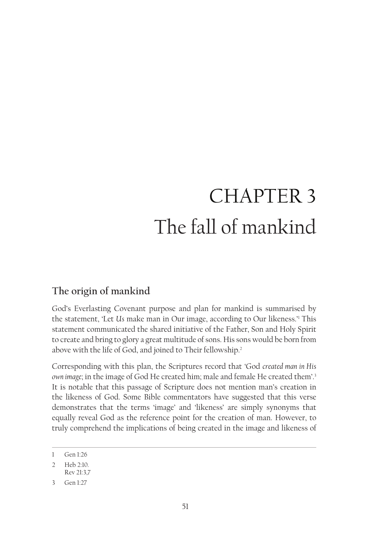# CHAPTER 3 The fall of mankind

# **The origin of mankind**

God's Everlasting Covenant purpose and plan for mankind is summarised by the statement, 'Let *Us* make man in Our image, according to Our likeness.'1 This statement communicated the shared initiative of the Father, Son and Holy Spirit to create and bring to glory a great multitude of sons. His sons would be born from above with the life of God, and joined to Their fellowship.<sup>2</sup>

Corresponding with this plan, the Scriptures record that 'God *created man in His own image*; in the image of God He created him; male and female He created them'.3 It is notable that this passage of Scripture does not mention man's creation in the likeness of God. Some Bible commentators have suggested that this verse demonstrates that the terms 'image' and 'likeness' are simply synonyms that equally reveal God as the reference point for the creation of man. However, to truly comprehend the implications of being created in the image and likeness of

<sup>1</sup> Gen 1:26

<sup>2</sup> Heb 2:10.

Rev 21:3,7

<sup>3</sup> Gen 1:27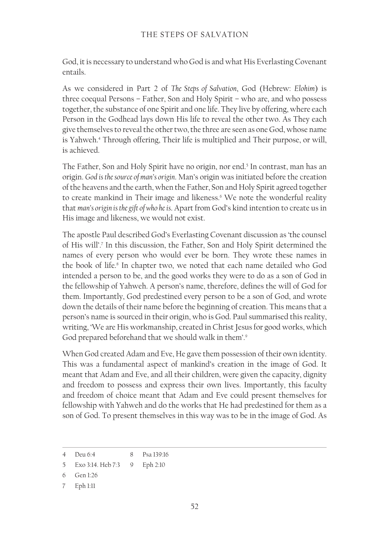God, it is necessary to understand who God is and what His Everlasting Covenant entails.

As we considered in Part 2 of *The Steps of Salvation*, God (Hebrew: *Elohim*) is three coequal Persons – Father, Son and Holy Spirit – who are, and who possess together, the substance of one Spirit and one life. They live by offering, where each Person in the Godhead lays down His life to reveal the other two. As They each give themselves to reveal the other two, the three are seen as one God, whose name is Yahweh.4 Through offering, Their life is multiplied and Their purpose, or will, is achieved.

The Father, Son and Holy Spirit have no origin, nor end.<sup>5</sup> In contrast, man has an origin. *God is the source of man's origin*. Man's origin was initiated before the creation of the heavens and the earth, when the Father, Son and Holy Spirit agreed together to create mankind in Their image and likeness.<sup>6</sup> We note the wonderful reality that *man's origin is the gift of who he is*. Apart from God's kind intention to create us in His image and likeness, we would not exist.

The apostle Paul described God's Everlasting Covenant discussion as 'the counsel of His will'.7 In this discussion, the Father, Son and Holy Spirit determined the names of every person who would ever be born. They wrote these names in the book of life.<sup>8</sup> In chapter two, we noted that each name detailed who God intended a person to be, and the good works they were to do as a son of God in the fellowship of Yahweh. A person's name, therefore, defines the will of God for them. Importantly, God predestined every person to be a son of God, and wrote down the details of their name before the beginning of creation. This means that a person's name is sourced in their origin, who is God. Paul summarised this reality, writing, 'We are His workmanship, created in Christ Jesus for good works, which God prepared beforehand that we should walk in them'.9

When God created Adam and Eve, He gave them possession of their own identity. This was a fundamental aspect of mankind's creation in the image of God. It meant that Adam and Eve, and all their children, were given the capacity, dignity and freedom to possess and express their own lives. Importantly, this faculty and freedom of choice meant that Adam and Eve could present themselves for fellowship with Yahweh and do the works that He had predestined for them as a son of God. To present themselves in this way was to be in the image of God. As

<sup>4</sup> Deu 6:4 8 Psa 139:16

<sup>5</sup> Exo 3:14. Heb 7:3 9 Eph 2:10

<sup>6</sup> Gen 1:26

<sup>7</sup> Eph 1:11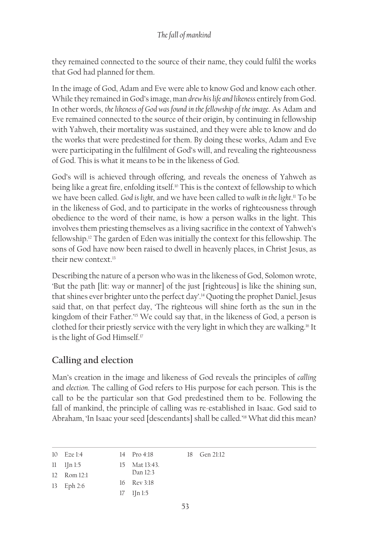they remained connected to the source of their name, they could fulfil the works that God had planned for them.

In the image of God, Adam and Eve were able to know God and know each other. While they remained in God's image, man *drew his life and likeness* entirely from God. In other words, *the likeness of God was found in the fellowship of the image*. As Adam and Eve remained connected to the source of their origin, by continuing in fellowship with Yahweh, their mortality was sustained, and they were able to know and do the works that were predestined for them. By doing these works, Adam and Eve were participating in the fulfilment of God's will, and revealing the righteousness of God. This is what it means to be in the likeness of God.

God's will is achieved through offering, and reveals the oneness of Yahweh as being like a great fire, enfolding itself.<sup>10</sup> This is the context of fellowship to which we have been called. *God is light,* and we have been called to *walk in the light*. 11 To be in the likeness of God, and to participate in the works of righteousness through obedience to the word of their name, is how a person walks in the light. This involves them priesting themselves as a living sacrifice in the context of Yahweh's fellowship.12 The garden of Eden was initially the context for this fellowship. The sons of God have now been raised to dwell in heavenly places, in Christ Jesus, as their new context.13

Describing the nature of a person who was in the likeness of God, Solomon wrote, 'But the path [lit: way or manner] of the just [righteous] is like the shining sun, that shines ever brighter unto the perfect day'.14 Quoting the prophet Daniel, Jesus said that, on that perfect day, 'The righteous will shine forth as the sun in the kingdom of their Father.'15 We could say that, in the likeness of God, a person is clothed for their priestly service with the very light in which they are walking.<sup>16</sup> It is the light of God Himself.17

# **Calling and election**

Man's creation in the image and likeness of God reveals the principles of *calling* and *election*. The calling of God refers to His purpose for each person. This is the call to be the particular son that God predestined them to be. Following the fall of mankind, the principle of calling was re-established in Isaac. God said to Abraham, 'In Isaac your seed [descendants] shall be called.'18 What did this mean?

| $10$ Eze $1:4$ | $14 \cdot \text{Pro } 4:18$ | $18$ Gen $21:12$ |
|----------------|-----------------------------|------------------|
|                |                             |                  |

| $\scriptstyle\rm II$ | - 1In 1:5 | 15 Mat 13:43. |
|----------------------|-----------|---------------|
|                      |           |               |

```
12 Rom 12:1
               Dan 12:3
```

```
13 Eph 2:6
          16 Rev 3:18
          17 1Jn 1:5
```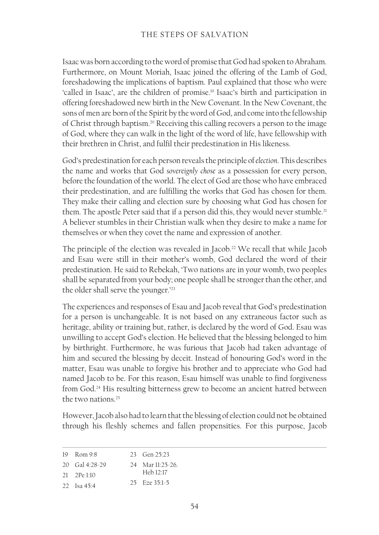Isaac was born according to the word of promise that God had spoken to Abraham. Furthermore, on Mount Moriah, Isaac joined the offering of the Lamb of God, foreshadowing the implications of baptism. Paul explained that those who were 'called in Isaac', are the children of promise.19 Isaac's birth and participation in offering foreshadowed new birth in the New Covenant. In the New Covenant, the sons of men are born of the Spirit by the word of God, and come into the fellowship of Christ through baptism.20 Receiving this calling recovers a person to the image of God, where they can walk in the light of the word of life, have fellowship with their brethren in Christ, and fulfil their predestination in His likeness.

God's predestination for each person reveals the principle of *election*. This describes the name and works that God *sovereignly chose* as a possession for every person, before the foundation of the world. The elect of God are those who have embraced their predestination, and are fulfilling the works that God has chosen for them. They make their calling and election sure by choosing what God has chosen for them. The apostle Peter said that if a person did this, they would never stumble.<sup>21</sup> A believer stumbles in their Christian walk when they desire to make a name for themselves or when they covet the name and expression of another.

The principle of the election was revealed in Jacob.<sup>22</sup> We recall that while Jacob and Esau were still in their mother's womb, God declared the word of their predestination. He said to Rebekah, 'Two nations are in your womb, two peoples shall be separated from your body; one people shall be stronger than the other, and the older shall serve the younger.'23

The experiences and responses of Esau and Jacob reveal that God's predestination for a person is unchangeable. It is not based on any extraneous factor such as heritage, ability or training but, rather, is declared by the word of God. Esau was unwilling to accept God's election. He believed that the blessing belonged to him by birthright. Furthermore, he was furious that Jacob had taken advantage of him and secured the blessing by deceit. Instead of honouring God's word in the matter, Esau was unable to forgive his brother and to appreciate who God had named Jacob to be. For this reason, Esau himself was unable to find forgiveness from God.<sup>24</sup> His resulting bitterness grew to become an ancient hatred between the two nations.25

However, Jacob also had to learn that the blessing of election could not be obtained through his fleshly schemes and fallen propensities. For this purpose, Jacob

| $19$ Rom $9.8$     | 23 Gen $25:23$    |
|--------------------|-------------------|
| 20 Gal 4:28-29     | 24 Mar 11:25-26.  |
| $21 - 2$ Pe 1:10   | Heb 12:17         |
| 22 <b>Isa 45.4</b> | $25$ Fze $35:1-5$ |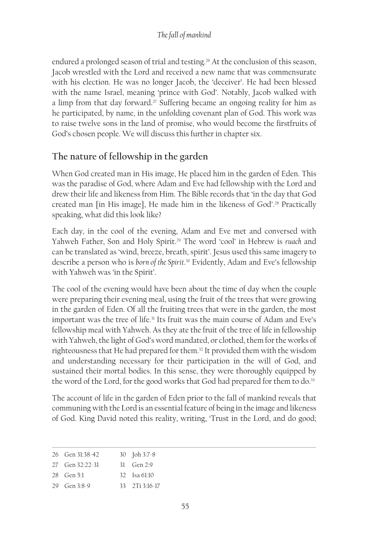#### *The fall of mankind*

endured a prolonged season of trial and testing.<sup>26</sup> At the conclusion of this season, Jacob wrestled with the Lord and received a new name that was commensurate with his election. He was no longer Jacob, the 'deceiver'. He had been blessed with the name Israel, meaning 'prince with God'. Notably, Jacob walked with a limp from that day forward.<sup>27</sup> Suffering became an ongoing reality for him as he participated, by name, in the unfolding covenant plan of God. This work was to raise twelve sons in the land of promise, who would become the firstfruits of God's chosen people. We will discuss this further in chapter six.

### **The nature of fellowship in the garden**

When God created man in His image, He placed him in the garden of Eden. This was the paradise of God, where Adam and Eve had fellowship with the Lord and drew their life and likeness from Him. The Bible records that 'in the day that God created man [in His image], He made him in the likeness of God'.28 Practically speaking, what did this look like?

Each day, in the cool of the evening, Adam and Eve met and conversed with Yahweh Father, Son and Holy Spirit.<sup>29</sup> The word 'cool' in Hebrew is *ruach* and can be translated as 'wind, breeze, breath, spirit'. Jesus used this same imagery to describe a person who is *born of the Spirit*. 30 Evidently, Adam and Eve's fellowship with Yahweh was 'in the Spirit'.

The cool of the evening would have been about the time of day when the couple were preparing their evening meal, using the fruit of the trees that were growing in the garden of Eden. Of all the fruiting trees that were in the garden, the most important was the tree of life.<sup>31</sup> Its fruit was the main course of Adam and Eve's fellowship meal with Yahweh. As they ate the fruit of the tree of life in fellowship with Yahweh, the light of God's word mandated, or clothed, them for the works of righteousness that He had prepared for them.32 It provided them with the wisdom and understanding necessary for their participation in the will of God, and sustained their mortal bodies. In this sense, they were thoroughly equipped by the word of the Lord, for the good works that God had prepared for them to do.<sup>33</sup>

The account of life in the garden of Eden prior to the fall of mankind reveals that communing with the Lord is an essential feature of being in the image and likeness of God. King David noted this reality, writing, 'Trust in the Lord, and do good;

| 26 Gen 31:38-42 | 30 $\int \phi$ 1 3:7-8              |
|-----------------|-------------------------------------|
| 27 Gen 32:22-31 | 31 Gen $2.9$                        |
| $28$ Gen 5:1    | 32 $\frac{52}{152}$ $\frac{52}{10}$ |
| 29 Gen 3:8-9    | $33 \quad 2Ti \quad 3:16-17$        |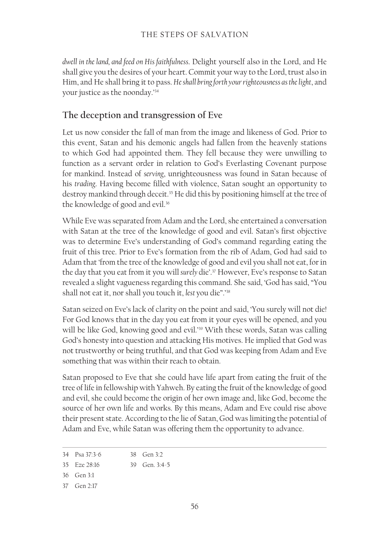#### THE STEPS OF SALVATION

*dwell in the land, and feed on His faithfulness*. Delight yourself also in the Lord, and He shall give you the desires of your heart. Commit your way to the Lord, trust also in Him, and He shall bring it to pass. *He shall bring forth your righteousness as the light*, and your justice as the noonday.'34

#### **The deception and transgression of Eve**

Let us now consider the fall of man from the image and likeness of God. Prior to this event, Satan and his demonic angels had fallen from the heavenly stations to which God had appointed them. They fell because they were unwilling to function as a servant order in relation to God's Everlasting Covenant purpose for mankind. Instead of *serving*, unrighteousness was found in Satan because of his *trading*. Having become filled with violence, Satan sought an opportunity to destroy mankind through deceit.<sup>35</sup> He did this by positioning himself at the tree of the knowledge of good and evil.<sup>36</sup>

While Eve was separated from Adam and the Lord, she entertained a conversation with Satan at the tree of the knowledge of good and evil. Satan's first objective was to determine Eve's understanding of God's command regarding eating the fruit of this tree. Prior to Eve's formation from the rib of Adam, God had said to Adam that 'from the tree of the knowledge of good and evil you shall not eat, for in the day that you eat from it you will *surely* die'.37 However, Eve's response to Satan revealed a slight vagueness regarding this command. She said, 'God has said, "You shall not eat it, nor shall you touch it, *lest* you die".'38

Satan seized on Eve's lack of clarity on the point and said, 'You surely will not die! For God knows that in the day you eat from it your eyes will be opened, and you will be like God, knowing good and evil.<sup>39</sup> With these words, Satan was calling God's honesty into question and attacking His motives. He implied that God was not trustworthy or being truthful, and that God was keeping from Adam and Eve something that was within their reach to obtain.

Satan proposed to Eve that she could have life apart from eating the fruit of the tree of life in fellowship with Yahweh. By eating the fruit of the knowledge of good and evil, she could become the origin of her own image and, like God, become the source of her own life and works. By this means, Adam and Eve could rise above their present state. According to the lie of Satan, God was limiting the potential of Adam and Eve, while Satan was offering them the opportunity to advance.

<sup>34</sup> Psa 37:3‑6 38 Gen 3:2

<sup>35</sup> Eze 28:16 39 Gen. 3:4-5

<sup>36</sup> Gen 3:1

<sup>37</sup> Gen 2:17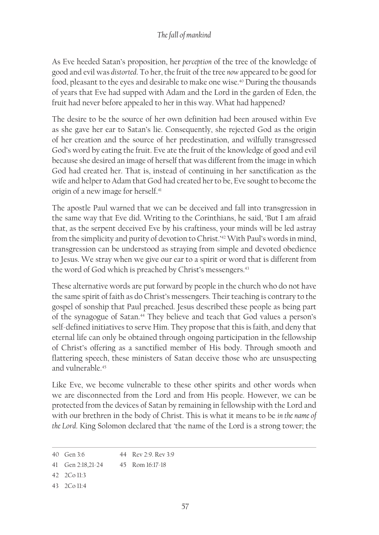As Eve heeded Satan's proposition, her *perception* of the tree of the knowledge of good and evil was *distorted*. To her, the fruit of the tree *now* appeared to be good for food, pleasant to the eyes and desirable to make one wise.<sup>40</sup> During the thousands of years that Eve had supped with Adam and the Lord in the garden of Eden, the fruit had never before appealed to her in this way. What had happened?

The desire to be the source of her own definition had been aroused within Eve as she gave her ear to Satan's lie. Consequently, she rejected God as the origin of her creation and the source of her predestination, and wilfully transgressed God's word by eating the fruit. Eve ate the fruit of the knowledge of good and evil because she desired an image of herself that was different from the image in which God had created her. That is, instead of continuing in her sanctification as the wife and helper to Adam that God had created her to be, Eve sought to become the origin of a new image for herself.<sup>41</sup>

The apostle Paul warned that we can be deceived and fall into transgression in the same way that Eve did. Writing to the Corinthians, he said, 'But I am afraid that, as the serpent deceived Eve by his craftiness, your minds will be led astray from the simplicity and purity of devotion to Christ.'42 With Paul's words in mind, transgression can be understood as straying from simple and devoted obedience to Jesus. We stray when we give our ear to a spirit or word that is different from the word of God which is preached by Christ's messengers.<sup>43</sup>

These alternative words are put forward by people in the church who do not have the same spirit of faith as do Christ's messengers. Their teaching is contrary to the gospel of sonship that Paul preached. Jesus described these people as being part of the synagogue of Satan.<sup>44</sup> They believe and teach that God values a person's self-defined initiatives to serve Him. They propose that this is faith, and deny that eternal life can only be obtained through ongoing participation in the fellowship of Christ's offering as a sanctified member of His body. Through smooth and flattering speech, these ministers of Satan deceive those who are unsuspecting and vulnerable.45

Like Eve, we become vulnerable to these other spirits and other words when we are disconnected from the Lord and from His people. However, we can be protected from the devices of Satan by remaining in fellowship with the Lord and with our brethren in the body of Christ. This is what it means to be *in the name of the Lord*. King Solomon declared that 'the name of the Lord is a strong tower; the

<sup>40</sup> Gen 3:6 44 Rev 2:9. Rev 3:9

<sup>41</sup> Gen 2:18,21-24 45 Rom 16:17‑18

<sup>42</sup> 2Co 11:3

<sup>43</sup> 2Co 11:4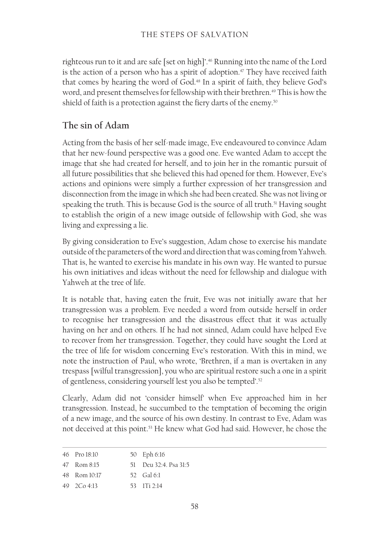righteous run to it and are safe [set on high]'.46 Running into the name of the Lord is the action of a person who has a spirit of adoption.<sup>47</sup> They have received faith that comes by hearing the word of God.<sup>48</sup> In a spirit of faith, they believe God's word, and present themselves for fellowship with their brethren.<sup>49</sup> This is how the shield of faith is a protection against the fiery darts of the enemy.<sup>50</sup>

## **The sin of Adam**

Acting from the basis of her self-made image, Eve endeavoured to convince Adam that her new-found perspective was a good one. Eve wanted Adam to accept the image that she had created for herself, and to join her in the romantic pursuit of all future possibilities that she believed this had opened for them. However, Eve's actions and opinions were simply a further expression of her transgression and disconnection from the image in which she had been created. She was not living or speaking the truth. This is because God is the source of all truth.<sup>51</sup> Having sought to establish the origin of a new image outside of fellowship with God, she was living and expressing a lie.

By giving consideration to Eve's suggestion, Adam chose to exercise his mandate outside of the parameters of the word and direction that was coming from Yahweh. That is, he wanted to exercise his mandate in his own way. He wanted to pursue his own initiatives and ideas without the need for fellowship and dialogue with Yahweh at the tree of life.

It is notable that, having eaten the fruit, Eve was not initially aware that her transgression was a problem. Eve needed a word from outside herself in order to recognise her transgression and the disastrous effect that it was actually having on her and on others. If he had not sinned, Adam could have helped Eve to recover from her transgression. Together, they could have sought the Lord at the tree of life for wisdom concerning Eve's restoration. With this in mind, we note the instruction of Paul, who wrote, 'Brethren, if a man is overtaken in any trespass [wilful transgression], you who are spiritual restore such a one in a spirit of gentleness, considering yourself lest you also be tempted'.<sup>52</sup>

Clearly, Adam did not 'consider himself' when Eve approached him in her transgression. Instead, he succumbed to the temptation of becoming the origin of a new image, and the source of his own destiny. In contrast to Eve, Adam was not deceived at this point.<sup>53</sup> He knew what God had said. However, he chose the

| 46 Pro 18:10 | 50 Eph 6:16           |
|--------------|-----------------------|
| 47 Rom 8:15  | 51 Deu 32:4, Psa 31:5 |
| 48 Rom 10:17 | 52 Gal 6:1            |
| 49 2Co 4:13  | 53 1 Ti 2 14          |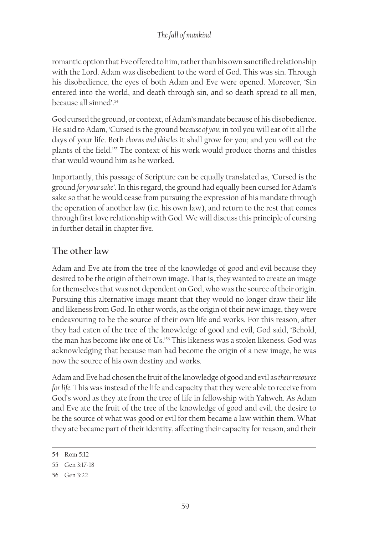romantic option that Eve offered to him, rather than his own sanctified relationship with the Lord. Adam was disobedient to the word of God. This was sin. Through his disobedience, the eyes of both Adam and Eve were opened. Moreover, 'Sin entered into the world, and death through sin, and so death spread to all men, because all sinned'.54

God cursed the ground, or context, of Adam's mandate because of his disobedience. He said to Adam, 'Cursed is the ground *because of you*; in toil you will eat of it all the days of your life. Both *thorns and thistles* it shall grow for you; and you will eat the plants of the field.'55 The context of his work would produce thorns and thistles that would wound him as he worked.

Importantly, this passage of Scripture can be equally translated as, 'Cursed is the ground *for your sake'*. In this regard, the ground had equally been cursed for Adam's sake so that he would cease from pursuing the expression of his mandate through the operation of another law (i.e. his own law), and return to the rest that comes through first love relationship with God. We will discuss this principle of cursing in further detail in chapter five.

# **The other law**

Adam and Eve ate from the tree of the knowledge of good and evil because they desired to be the origin of their own image. That is, they wanted to create an image for themselves that was not dependent on God, who was the source of their origin. Pursuing this alternative image meant that they would no longer draw their life and likeness from God. In other words, as the origin of their new image, they were endeavouring to be the source of their own life and works. For this reason, after they had eaten of the tree of the knowledge of good and evil, God said, 'Behold, the man has become *like* one of Us.'56 This likeness was a stolen likeness. God was acknowledging that because man had become the origin of a new image, he was now the source of his own destiny and works.

Adam and Eve had chosen the fruit of the knowledge of good and evil as *theirresource for life*. This was instead of the life and capacity that they were able to receive from God's word as they ate from the tree of life in fellowship with Yahweh. As Adam and Eve ate the fruit of the tree of the knowledge of good and evil, the desire to be the source of what was good or evil for them became a law within them. What they ate became part of their identity, affecting their capacity for reason, and their

<sup>54</sup> Rom 5:12

<sup>55</sup> Gen 3:17-18

<sup>56</sup> Gen 3:22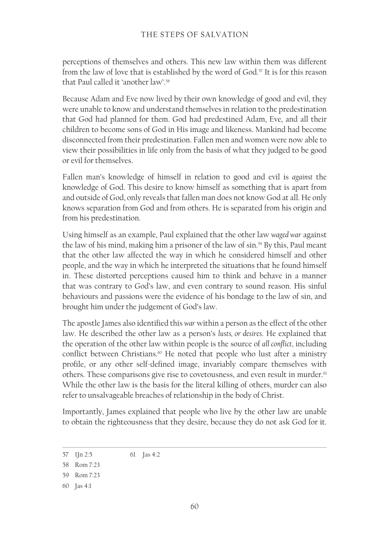perceptions of themselves and others. This new law within them was different from the law of love that is established by the word of God.<sup>57</sup> It is for this reason that Paul called it 'another law'.<sup>58</sup>

Because Adam and Eve now lived by their own knowledge of good and evil, they were unable to know and understand themselves in relation to the predestination that God had planned for them. God had predestined Adam, Eve, and all their children to become sons of God in His image and likeness. Mankind had become disconnected from their predestination. Fallen men and women were now able to view their possibilities in life only from the basis of what they judged to be good or evil for themselves.

Fallen man's knowledge of himself in relation to good and evil is *against* the knowledge of God. This desire to know himself as something that is apart from and outside of God, only reveals that fallen man does not know God at all. He only knows separation from God and from others. He is separated from his origin and from his predestination.

Using himself as an example, Paul explained that the other law *waged war* against the law of his mind, making him a prisoner of the law of sin.59 By this, Paul meant that the other law affected the way in which he considered himself and other people, and the way in which he interpreted the situations that he found himself in. These distorted perceptions caused him to think and behave in a manner that was contrary to God's law, and even contrary to sound reason. His sinful behaviours and passions were the evidence of his bondage to the law of sin, and brought him under the judgement of God's law.

The apostle James also identified this *war* within a person as the effect of the other law. He described the other law as a person's *lusts, or desires*. He explained that the operation of the other law within people is the source of *all conflict*, including conflict between Christians.<sup>60</sup> He noted that people who lust after a ministry profile, or any other self-defined image, invariably compare themselves with others. These comparisons give rise to covetousness, and even result in murder.<sup>61</sup> While the other law is the basis for the literal killing of others, murder can also refer to unsalvageable breaches of relationship in the body of Christ.

Importantly, James explained that people who live by the other law are unable to obtain the righteousness that they desire, because they do not ask God for it.

<sup>57</sup> 1Jn 2:5 61 Jas 4:2

<sup>58</sup> Rom 7:23

<sup>59</sup> Rom 7:23

<sup>60</sup> Jas 4:1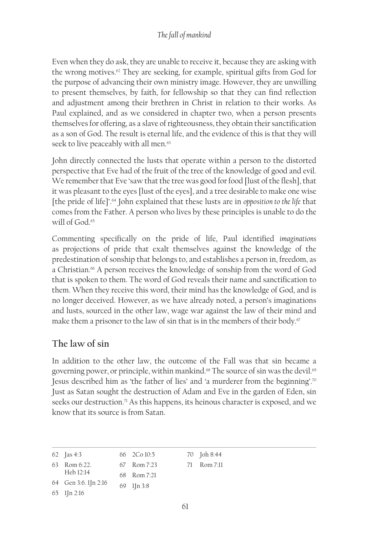#### *The fall of mankind*

Even when they do ask, they are unable to receive it, because they are asking with the wrong motives.<sup>62</sup> They are seeking, for example, spiritual gifts from God for the purpose of advancing their own ministry image. However, they are unwilling to present themselves, by faith, for fellowship so that they can find reflection and adjustment among their brethren in Christ in relation to their works. As Paul explained, and as we considered in chapter two, when a person presents themselves for offering, as a slave of righteousness, they obtain their sanctification as a son of God. The result is eternal life, and the evidence of this is that they will seek to live peaceably with all men.<sup>63</sup>

John directly connected the lusts that operate within a person to the distorted perspective that Eve had of the fruit of the tree of the knowledge of good and evil. We remember that Eve 'saw that the tree was good for food [lust of the flesh], that it was pleasant to the eyes [lust of the eyes], and a tree desirable to make one wise [the pride of life]'.64 John explained that these lusts are in *opposition to the life* that comes from the Father. A person who lives by these principles is unable to do the will of God.<sup>65</sup>

Commenting specifically on the pride of life, Paul identified *imaginations* as projections of pride that exalt themselves against the knowledge of the predestination of sonship that belongs to, and establishes a person in, freedom, as a Christian.<sup>66</sup> A person receives the knowledge of sonship from the word of God that is spoken to them. The word of God reveals their name and sanctification to them. When they receive this word, their mind has the knowledge of God, and is no longer deceived. However, as we have already noted, a person's imaginations and lusts, sourced in the other law, wage war against the law of their mind and make them a prisoner to the law of sin that is in the members of their body.<sup>67</sup>

## **The law of sin**

In addition to the other law, the outcome of the Fall was that sin became a governing power, or principle, within mankind.<sup>68</sup> The source of sin was the devil.<sup>69</sup> Jesus described him as 'the father of lies' and 'a murderer from the beginning'.70 Just as Satan sought the destruction of Adam and Eve in the garden of Eden, sin seeks our destruction.<sup>71</sup> As this happens, its heinous character is exposed, and we know that its source is from Satan.

| 62 <b>[as 4:3</b> | $66 \quad 2 \text{Co} \, 10:5$ | 70 Joh 8:44 |
|-------------------|--------------------------------|-------------|
| $63$ Rom $6:22$ . | 67 Rom 7:23                    | 71 Rom 7:11 |
| Heb 12:14         | 68 Rom 7:21                    |             |

```
64 Gen 3:6. 1Jn 2:16
            69 1Jn 3:8
```
65 1Jn 2:16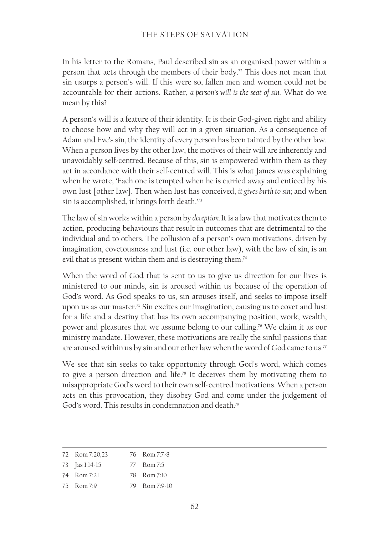In his letter to the Romans, Paul described sin as an organised power within a person that acts through the members of their body.72 This does not mean that sin usurps a person's will. If this were so, fallen men and women could not be accountable for their actions. Rather, *a person's will is the seat of sin*. What do we mean by this?

A person's will is a feature of their identity. It is their God-given right and ability to choose how and why they will act in a given situation. As a consequence of Adam and Eve's sin, the identity of every person has been tainted by the other law. When a person lives by the other law, the motives of their will are inherently and unavoidably self-centred. Because of this, sin is empowered within them as they act in accordance with their self-centred will. This is what James was explaining when he wrote, 'Each one is tempted when he is carried away and enticed by his own lust [other law]. Then when lust has conceived, *it gives birth to sin*; and when sin is accomplished, it brings forth death.'73

The law of sin works within a person by *deception.* It is a law that motivates them to action, producing behaviours that result in outcomes that are detrimental to the individual and to others. The collusion of a person's own motivations, driven by imagination, covetousness and lust (i.e. our other law), with the law of sin, is an evil that is present within them and is destroying them.<sup>74</sup>

When the word of God that is sent to us to give us direction for our lives is ministered to our minds, sin is aroused within us because of the operation of God's word. As God speaks to us, sin arouses itself, and seeks to impose itself upon us as our master.<sup>75</sup> Sin excites our imagination, causing us to covet and lust for a life and a destiny that has its own accompanying position, work, wealth, power and pleasures that we assume belong to our calling.76 We claim it as our ministry mandate. However, these motivations are really the sinful passions that are aroused within us by sin and our other law when the word of God came to us.<sup>77</sup>

We see that sin seeks to take opportunity through God's word, which comes to give a person direction and life.<sup>78</sup> It deceives them by motivating them to misappropriate God's word to their own self-centred motivations. When a person acts on this provocation, they disobey God and come under the judgement of God's word. This results in condemnation and death.79

| 72 Rom 7:20,23             | 76 Rom 7:7-8  |
|----------------------------|---------------|
| 73 $\int \frac{1}{14}$ -15 | 77 Rom 7:5    |
| 74 Rom 7:21                | 78 Rom 7:10   |
| 75 Rom 7:9                 | 79 Rom 7:9-10 |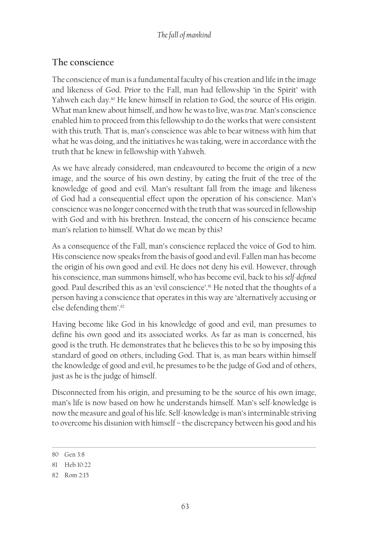## **The conscience**

The conscience of man is a fundamental faculty of his creation and life in the image and likeness of God. Prior to the Fall, man had fellowship 'in the Spirit' with Yahweh each day.<sup>80</sup> He knew himself in relation to God, the source of His origin. What man knew about himself, and how he was to live, was *true*. Man's conscience enabled him to proceed from this fellowship to do the works that were consistent with this truth. That is, man's conscience was able to bear witness with him that what he was doing, and the initiatives he was taking, were in accordance with the truth that he knew in fellowship with Yahweh.

As we have already considered, man endeavoured to become the origin of a new image, and the source of his own destiny, by eating the fruit of the tree of the knowledge of good and evil. Man's resultant fall from the image and likeness of God had a consequential effect upon the operation of his conscience. Man's conscience was no longer concerned with the truth that was sourced in fellowship with God and with his brethren. Instead, the concern of his conscience became man's relation to himself. What do we mean by this?

As a consequence of the Fall, man's conscience replaced the voice of God to him. His conscience now speaks from the basis of good and evil. Fallen man has become the origin of his own good and evil. He does not deny his evil. However, through his conscience, man summons himself, who has become evil, back to his *self-defined* good. Paul described this as an 'evil conscience'.<sup>81</sup> He noted that the thoughts of a person having a conscience that operates in this way are 'alternatively accusing or else defending them'.82

Having become like God in his knowledge of good and evil, man presumes to define his own good and its associated works. As far as man is concerned, his good is the truth. He demonstrates that he believes this to be so by imposing this standard of good on others, including God. That is, as man bears within himself the knowledge of good and evil, he presumes to be the judge of God and of others, just as he is the judge of himself.

Disconnected from his origin, and presuming to be the source of his own image, man's life is now based on how he understands himself. Man's self-knowledge is now the measure and goal of his life. Self-knowledge is man's interminable striving to overcome his disunion with himself – the discrepancy between his good and his

<sup>80</sup> Gen 3:8

<sup>81</sup> Heb 10:22

<sup>82</sup> Rom 2:15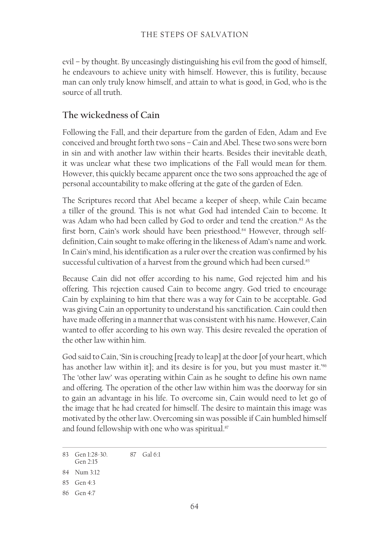evil – by thought. By unceasingly distinguishing his evil from the good of himself, he endeavours to achieve unity with himself. However, this is futility, because man can only truly know himself, and attain to what is good, in God, who is the source of all truth.

## **The wickedness of Cain**

Following the Fall, and their departure from the garden of Eden, Adam and Eve conceived and brought forth two sons – Cain and Abel. These two sons were born in sin and with another law within their hearts. Besides their inevitable death, it was unclear what these two implications of the Fall would mean for them. However, this quickly became apparent once the two sons approached the age of personal accountability to make offering at the gate of the garden of Eden.

The Scriptures record that Abel became a keeper of sheep, while Cain became a tiller of the ground. This is not what God had intended Cain to become. It was Adam who had been called by God to order and tend the creation.<sup>83</sup> As the first born, Cain's work should have been priesthood.<sup>84</sup> However, through selfdefinition, Cain sought to make offering in the likeness of Adam's name and work. In Cain's mind, his identification as a ruler over the creation was confirmed by his successful cultivation of a harvest from the ground which had been cursed.<sup>85</sup>

Because Cain did not offer according to his name, God rejected him and his offering. This rejection caused Cain to become angry. God tried to encourage Cain by explaining to him that there was a way for Cain to be acceptable. God was giving Cain an opportunity to understand his sanctification. Cain could then have made offering in a manner that was consistent with his name. However, Cain wanted to offer according to his own way. This desire revealed the operation of the other law within him.

God said to Cain, 'Sin is crouching [ready to leap] at the door [of your heart, which has another law within it]; and its desire is for you, but you must master it.'<sup>86</sup> The 'other law' was operating within Cain as he sought to define his own name and offering. The operation of the other law within him was the doorway for sin to gain an advantage in his life. To overcome sin, Cain would need to let go of the image that he had created for himself. The desire to maintain this image was motivated by the other law. Overcoming sin was possible if Cain humbled himself and found fellowship with one who was spiritual.<sup>87</sup>

83 Gen 1:28-30. Gen 2:15 87 Gal 6:1

85 Gen 4:3

<sup>84</sup> Num 3:12

<sup>86</sup> Gen 4:7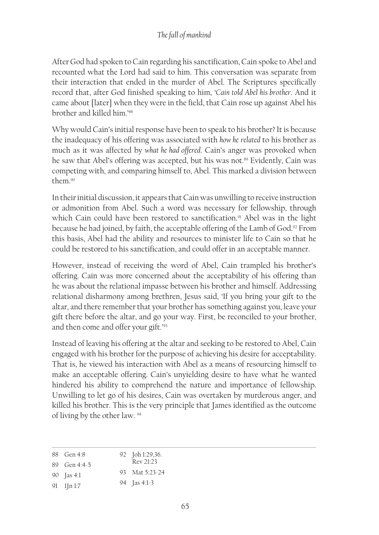After God had spoken to Cain regarding his sanctification, Cain spoke to Abel and recounted what the Lord had said to him. This conversation was separate from their interaction that ended in the murder of Abel. The Scriptures specifically record that, after God finished speaking to him, '*Cain told Abel his brother*. And it came about [later] when they were in the field, that Cain rose up against Abel his brother and killed him<sup>'88</sup>

Why would Cain's initial response have been to speak to his brother? It is because the inadequacy of his offering was associated with *how he related* to his brother as much as it was affected by *what he had offered*. Cain's anger was provoked when he saw that Abel's offering was accepted, but his was not.<sup>89</sup> Evidently, Cain was competing with, and comparing himself to, Abel. This marked a division between them.90

In their initial discussion, it appears that Cain was unwilling to receive instruction or admonition from Abel. Such a word was necessary for fellowship, through which Cain could have been restored to sanctification.<sup>91</sup> Abel was in the light because he had joined, by faith, the acceptable offering of the Lamb of God.<sup>92</sup> From this basis, Abel had the ability and resources to minister life to Cain so that he could be restored to his sanctification, and could offer in an acceptable manner.

However, instead of receiving the word of Abel, Cain trampled his brother's offering. Cain was more concerned about the acceptability of his offering than he was about the relational impasse between his brother and himself. Addressing relational disharmony among brethren, Jesus said, 'If you bring your gift to the altar, and there remember that your brother has something against you, leave your gift there before the altar, and go your way. First, be reconciled to your brother, and then come and offer your gift.'93

Instead of leaving his offering at the altar and seeking to be restored to Abel, Cain engaged with his brother for the purpose of achieving his desire for acceptability. That is, he viewed his interaction with Abel as a means of resourcing himself to make an acceptable offering. Cain's unyielding desire to have what he wanted hindered his ability to comprehend the nature and importance of fellowship. Unwilling to let go of his desires, Cain was overtaken by murderous anger, and killed his brother. This is the very principle that James identified as the outcome of living by the other law. 94

| 88 Gen 4:8         | 92 Joh 1:29,36.       |
|--------------------|-----------------------|
| 89 Gen $4:4-5$     | Rev 21.23             |
| 90 <b>[as 4:1]</b> | 93 Mat 5:23-24        |
| $91$ $1\ln 1.7$    | 94 $\int \frac{1}{3}$ |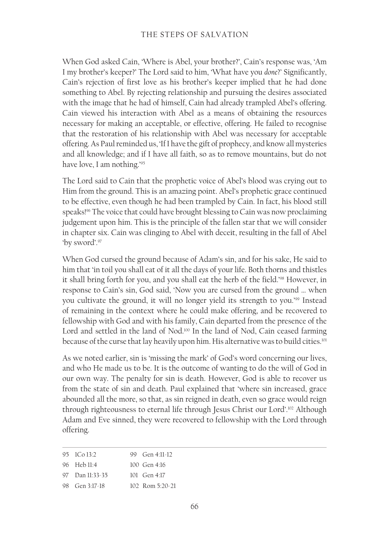When God asked Cain, 'Where is Abel, your brother?', Cain's response was, 'Am I my brother's keeper?' The Lord said to him, 'What have you *done*?' Significantly, Cain's rejection of first love as his brother's keeper implied that he had done something to Abel. By rejecting relationship and pursuing the desires associated with the image that he had of himself, Cain had already trampled Abel's offering. Cain viewed his interaction with Abel as a means of obtaining the resources necessary for making an acceptable, or effective, offering. He failed to recognise that the restoration of his relationship with Abel was necessary for acceptable offering. As Paul reminded us, 'If I have the gift of prophecy, and know all mysteries and all knowledge; and if I have all faith, so as to remove mountains, but do not have love, I am nothing.'95

The Lord said to Cain that the prophetic voice of Abel's blood was crying out to Him from the ground. This is an amazing point. Abel's prophetic grace continued to be effective, even though he had been trampled by Cain. In fact, his blood still speaks!<sup>96</sup> The voice that could have brought blessing to Cain was now proclaiming judgement upon him. This is the principle of the fallen star that we will consider in chapter six. Cain was clinging to Abel with deceit, resulting in the fall of Abel 'by sword'.97

When God cursed the ground because of Adam's sin, and for his sake, He said to him that 'in toil you shall eat of it all the days of your life. Both thorns and thistles it shall bring forth for you, and you shall eat the herb of the field.'98 However, in response to Cain's sin, God said, 'Now you are cursed from the ground … when you cultivate the ground, it will no longer yield its strength to you.'99 Instead of remaining in the context where he could make offering, and be recovered to fellowship with God and with his family, Cain departed from the presence of the Lord and settled in the land of Nod.<sup>100</sup> In the land of Nod, Cain ceased farming because of the curse that lay heavily upon him. His alternative was to build cities.<sup>101</sup>

As we noted earlier, sin is 'missing the mark' of God's word concerning our lives, and who He made us to be. It is the outcome of wanting to do the will of God in our own way. The penalty for sin is death. However, God is able to recover us from the state of sin and death. Paul explained that 'where sin increased, grace abounded all the more, so that, as sin reigned in death, even so grace would reign through righteousness to eternal life through Jesus Christ our Lord'.<sup>102</sup> Although Adam and Eve sinned, they were recovered to fellowship with the Lord through offering.

| 95 ICo 13:2     | 99 Gen $4:11-12$  |
|-----------------|-------------------|
| 96 Heb 11:4     | $100$ Gen 4:16    |
| 97 Dan 11:33-35 | 101 Gen $4:17$    |
| 98 Gen 3:17-18  | $102$ Rom 5:20-21 |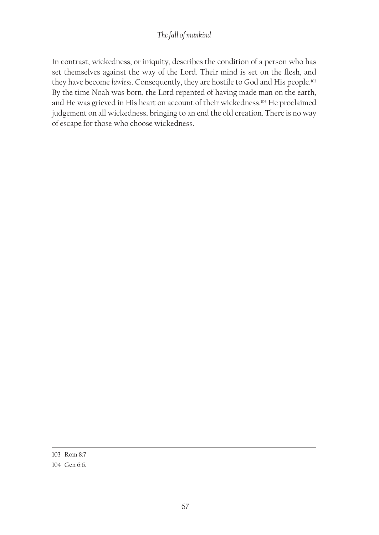#### *The fall of mankind*

In contrast, wickedness, or iniquity, describes the condition of a person who has set themselves against the way of the Lord. Their mind is set on the flesh, and they have become *lawless*. Consequently, they are hostile to God and His people.103 By the time Noah was born, the Lord repented of having made man on the earth, and He was grieved in His heart on account of their wickedness.<sup>104</sup> He proclaimed judgement on all wickedness, bringing to an end the old creation. There is no way of escape for those who choose wickedness.

<sup>103</sup> Rom 8:7

<sup>104</sup> Gen 6:6.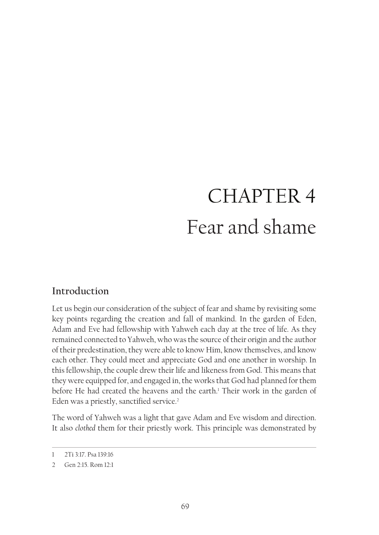# CHAPTER 4 Fear and shame

# **Introduction**

Let us begin our consideration of the subject of fear and shame by revisiting some key points regarding the creation and fall of mankind. In the garden of Eden, Adam and Eve had fellowship with Yahweh each day at the tree of life. As they remained connected to Yahweh, who was the source of their origin and the author of their predestination, they were able to know Him, know themselves, and know each other. They could meet and appreciate God and one another in worship. In this fellowship, the couple drew their life and likeness from God. This means that they were equipped for, and engaged in, the works that God had planned for them before He had created the heavens and the earth.<sup>1</sup> Their work in the garden of Eden was a priestly, sanctified service.<sup>2</sup>

The word of Yahweh was a light that gave Adam and Eve wisdom and direction. It also *clothed* them for their priestly work. This principle was demonstrated by

<sup>1</sup> 2Ti 3:17. Psa 139:16

<sup>2</sup> Gen 2:15. Rom 12:1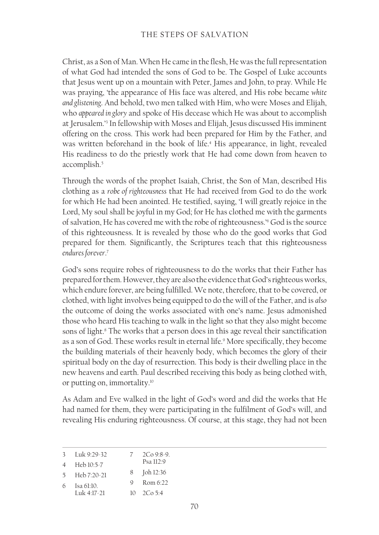Christ, as a Son of Man. When He came in the flesh, He was the full representation of what God had intended the sons of God to be. The Gospel of Luke accounts that Jesus went up on a mountain with Peter, James and John, to pray. While He was praying, 'the appearance of His face was altered, and His robe became *white and glistening*. And behold, two men talked with Him, who were Moses and Elijah, who *appeared in glory* and spoke of His decease which He was about to accomplish at Jerusalem.'3 In fellowship with Moses and Elijah, Jesus discussed His imminent offering on the cross. This work had been prepared for Him by the Father, and was written beforehand in the book of life.4 His appearance, in light, revealed His readiness to do the priestly work that He had come down from heaven to accomplish.<sup>5</sup>

Through the words of the prophet Isaiah, Christ, the Son of Man, described His clothing as a *robe of righteousness* that He had received from God to do the work for which He had been anointed. He testified, saying, 'I will greatly rejoice in the Lord, My soul shall be joyful in my God; for He has clothed me with the garments of salvation, He has covered me with the robe of righteousness.'<sup>6</sup> God is the source of this righteousness. It is revealed by those who do the good works that God prepared for them. Significantly, the Scriptures teach that this righteousness *endures forever*. 7

God's sons require robes of righteousness to do the works that their Father has prepared for them. However, they are also the evidence that God's righteous works, which endure forever, are being fulfilled. We note, therefore, that to be covered, or clothed, with light involves being equipped to do the will of the Father, and is *also* the outcome of doing the works associated with one's name. Jesus admonished those who heard His teaching to walk in the light so that they also might become sons of light.8 The works that a person does in this age reveal their sanctification as a son of God. These works result in eternal life.<sup>9</sup> More specifically, they become the building materials of their heavenly body, which becomes the glory of their spiritual body on the day of resurrection. This body is their dwelling place in the new heavens and earth. Paul described receiving this body as being clothed with, or putting on, immortality.10

As Adam and Eve walked in the light of God's word and did the works that He had named for them, they were participating in the fulfilment of God's will, and revealing His enduring righteousness. Of course, at this stage, they had not been

| $\mathcal{Z}$  | Luk 9:29-32         | $2C_09.8-9$ . |
|----------------|---------------------|---------------|
| $\overline{4}$ | Heb 10:5-7          | Psa $112.9$   |
| $\sim$         | $H_{\rho}h 7.20.21$ | 8 Joh 12:36   |

<sup>5</sup> Heb 7:20-21 9 Rom 6:22

<sup>6</sup> Isa 61:10. Luk 4:17-21 10 2Co 5:4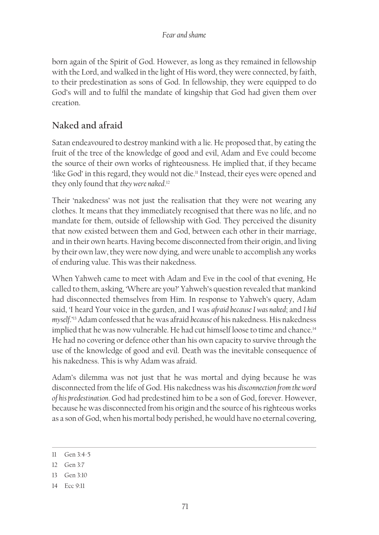born again of the Spirit of God. However, as long as they remained in fellowship with the Lord, and walked in the light of His word, they were connected, by faith, to their predestination as sons of God. In fellowship, they were equipped to do God's will and to fulfil the mandate of kingship that God had given them over creation.

# **Naked and afraid**

Satan endeavoured to destroy mankind with a lie. He proposed that, by eating the fruit of the tree of the knowledge of good and evil, Adam and Eve could become the source of their own works of righteousness. He implied that, if they became 'like God' in this regard, they would not die.<sup>11</sup> Instead, their eyes were opened and they only found that *they were naked*. 12

Their 'nakedness' was not just the realisation that they were not wearing any clothes. It means that they immediately recognised that there was no life, and no mandate for them, outside of fellowship with God. They perceived the disunity that now existed between them and God, between each other in their marriage, and in their own hearts. Having become disconnected from their origin, and living by their own law, they were now dying, and were unable to accomplish any works of enduring value. This was their nakedness.

When Yahweh came to meet with Adam and Eve in the cool of that evening, He called to them, asking, 'Where are you?' Yahweh's question revealed that mankind had disconnected themselves from Him. In response to Yahweh's query, Adam said, 'I heard Your voice in the garden, and I was *afraid because I was naked*; and *I hid myself*.'13 Adam confessed that he was afraid *because* of his nakedness. His nakedness implied that he was now vulnerable. He had cut himself loose to time and chance.<sup>14</sup> He had no covering or defence other than his own capacity to survive through the use of the knowledge of good and evil. Death was the inevitable consequence of his nakedness. This is why Adam was afraid.

Adam's dilemma was not just that he was mortal and dying because he was disconnected from the life of God. His nakedness was his *disconnection from the word of his predestination*. God had predestined him to be a son of God, forever. However, because he was disconnected from his origin and the source of his righteous works as a son of God, when his mortal body perished, he would have no eternal covering,

<sup>11</sup> Gen 3:4-5

<sup>12</sup> Gen 3:7

<sup>13</sup> Gen 3:10

<sup>14</sup> Ecc 9:11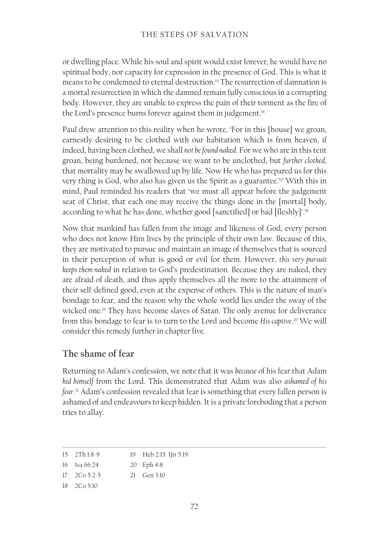or dwelling place. While his soul and spirit would exist forever, he would have no spiritual body, nor capacity for expression in the presence of God. This is what it means to be condemned to eternal destruction.15 The resurrection of damnation is a mortal resurrection in which the damned remain fully conscious in a corrupting body. However, they are unable to express the pain of their torment as the fire of the Lord's presence burns forever against them in judgement.<sup>16</sup>

Paul drew attention to this reality when he wrote, 'For in this [house] we groan, earnestly desiring to be clothed with our habitation which is from heaven, if indeed, having been clothed, we shall *not be found naked*. For we who are in this tent groan, being burdened, not because we want to be unclothed, but *further clothed*, that mortality may be swallowed up by life. Now He who has prepared us for this very thing is God, who also has given us the Spirit as a guarantee.'17 With this in mind, Paul reminded his readers that 'we must all appear before the judgement seat of Christ, that each one may receive the things done in the [mortal] body, according to what he has done, whether good [sanctified] or bad [fleshly]'.<sup>18</sup>

Now that mankind has fallen from the image and likeness of God, every person who does not know Him lives by the principle of their own law. Because of this, they are motivated to pursue and maintain an image of themselves that is sourced in their perception of what is good or evil for them. However, *this very pursuit keeps them naked* in relation to God's predestination. Because they are naked, they are afraid of death, and thus apply themselves all the more to the attainment of their self-defined good, even at the expense of others. This is the nature of man's bondage to fear, and the reason why the whole world lies under the sway of the wicked one.19 They have become slaves of Satan. The only avenue for deliverance from this bondage to fear is to turn to the Lord and become *His captive*. 20 We will consider this remedy further in chapter five.

## **The shame of fear**

Returning to Adam's confession, we note that it was *because* of his fear that Adam *hid himself* from the Lord. This demonstrated that Adam was also *ashamed of his fear*. 21 Adam's confession revealed that fear is something that every fallen person is ashamed of and endeavours to keep hidden. It is a private foreboding that a person tries to allay.

| $15$ $2Th1:8-9$ | 19 Heb 2:15. 1Jn 5:19 |
|-----------------|-----------------------|
|                 |                       |

16 Isa 66:24 20 Eph 4:8

```
17 2Co 5:2-5
                      21 Gen 3:10
```

```
18 2Co 5:10
```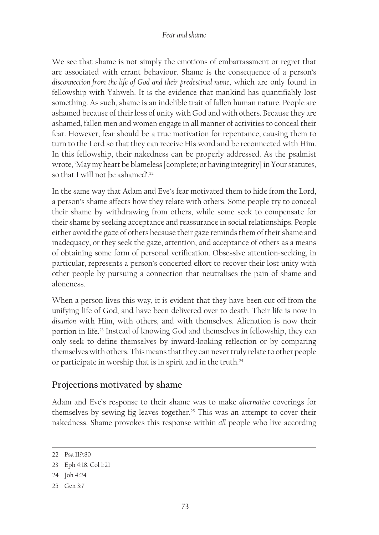#### *Fear and shame*

We see that shame is not simply the emotions of embarrassment or regret that are associated with errant behaviour. Shame is the consequence of a person's *disconnection from the life of God and their predestined name*, which are only found in fellowship with Yahweh. It is the evidence that mankind has quantifiably lost something. As such, shame is an indelible trait of fallen human nature. People are ashamed because of their loss of unity with God and with others. Because they are ashamed, fallen men and women engage in all manner of activities to conceal their fear. However, fear should be a true motivation for repentance, causing them to turn to the Lord so that they can receive His word and be reconnected with Him. In this fellowship, their nakedness can be properly addressed. As the psalmist wrote, 'May my heart be blameless [complete; or having integrity] in Your statutes, so that I will not be ashamed'.<sup>22</sup>

In the same way that Adam and Eve's fear motivated them to hide from the Lord, a person's shame affects how they relate with others. Some people try to conceal their shame by withdrawing from others, while some seek to compensate for their shame by seeking acceptance and reassurance in social relationships. People either avoid the gaze of others because their gaze reminds them of their shame and inadequacy, or they seek the gaze, attention, and acceptance of others as a means of obtaining some form of personal verification. Obsessive attention-seeking, in particular, represents a person's concerted effort to recover their lost unity with other people by pursuing a connection that neutralises the pain of shame and aloneness.

When a person lives this way, it is evident that they have been cut off from the unifying life of God, and have been delivered over to death. Their life is now in *disunion* with Him, with others, and with themselves. Alienation is now their portion in life.23 Instead of knowing God and themselves in fellowship, they can only seek to define themselves by inward-looking reflection or by comparing themselves with others. This means that they can never truly relate to other people or participate in worship that is in spirit and in the truth.24

## **Projections motivated by shame**

Adam and Eve's response to their shame was to make *alternative* coverings for themselves by sewing fig leaves together.<sup>25</sup> This was an attempt to cover their nakedness. Shame provokes this response within *all* people who live according

<sup>22</sup> Psa 119:80

<sup>23</sup> Eph 4:18. Col 1:21

<sup>24</sup> Joh 4:24

<sup>25</sup> Gen 3:7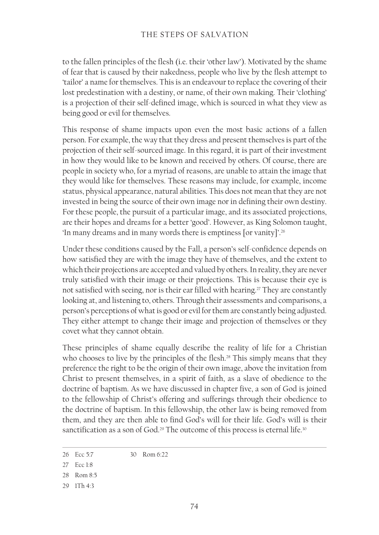to the fallen principles of the flesh (i.e. their 'other law'). Motivated by the shame of fear that is caused by their nakedness, people who live by the flesh attempt to 'tailor' a name for themselves. This is an endeavour to replace the covering of their lost predestination with a destiny, or name, of their own making. Their 'clothing' is a projection of their self-defined image, which is sourced in what they view as being good or evil for themselves.

This response of shame impacts upon even the most basic actions of a fallen person. For example, the way that they dress and present themselves is part of the projection of their self-sourced image. In this regard, it is part of their investment in how they would like to be known and received by others. Of course, there are people in society who, for a myriad of reasons, are unable to attain the image that they would like for themselves. These reasons may include, for example, income status, physical appearance, natural abilities. This does not mean that they are not invested in being the source of their own image nor in defining their own destiny. For these people, the pursuit of a particular image, and its associated projections, are their hopes and dreams for a better 'good'. However, as King Solomon taught, 'In many dreams and in many words there is emptiness [or vanity]'.<sup>26</sup>

Under these conditions caused by the Fall, a person's self-confidence depends on how satisfied they are with the image they have of themselves, and the extent to which their projections are accepted and valued by others. In reality, they are never truly satisfied with their image or their projections. This is because their eye is not satisfied with seeing, nor is their ear filled with hearing.<sup>27</sup> They are constantly looking at, and listening to, others. Through their assessments and comparisons, a person's perceptions of what is good or evil for them are constantly being adjusted. They either attempt to change their image and projection of themselves or they covet what they cannot obtain.

These principles of shame equally describe the reality of life for a Christian who chooses to live by the principles of the flesh.<sup>28</sup> This simply means that they preference the right to be the origin of their own image, above the invitation from Christ to present themselves, in a spirit of faith, as a slave of obedience to the doctrine of baptism. As we have discussed in chapter five, a son of God is joined to the fellowship of Christ's offering and sufferings through their obedience to the doctrine of baptism. In this fellowship, the other law is being removed from them, and they are then able to find God's will for their life. God's will is their sanctification as a son of God.<sup>29</sup> The outcome of this process is eternal life.<sup>30</sup>

<sup>26</sup> Ecc 5:7 30 Rom 6:22

<sup>27</sup> Ecc 1:8

<sup>28</sup> Rom 8:5

<sup>29</sup> 1Th 4:3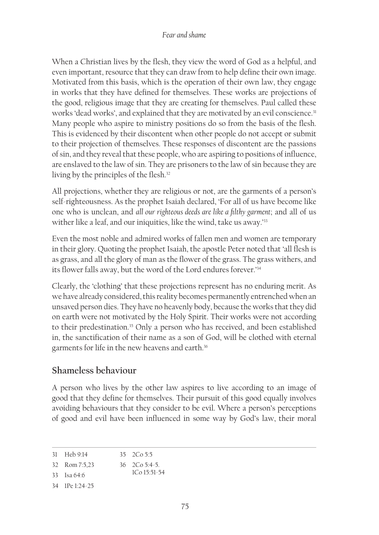When a Christian lives by the flesh, they view the word of God as a helpful, and even important, resource that they can draw from to help define their own image. Motivated from this basis, which is the operation of their own law, they engage in works that they have defined for themselves. These works are projections of the good, religious image that they are creating for themselves. Paul called these works 'dead works', and explained that they are motivated by an evil conscience.<sup>31</sup> Many people who aspire to ministry positions do so from the basis of the flesh. This is evidenced by their discontent when other people do not accept or submit to their projection of themselves. These responses of discontent are the passions of sin, and they reveal that these people, who are aspiring to positions of influence, are enslaved to the law of sin. They are prisoners to the law of sin because they are living by the principles of the flesh.<sup>32</sup>

All projections, whether they are religious or not, are the garments of a person's self-righteousness. As the prophet Isaiah declared, 'For all of us have become like one who is unclean, and *all our righteous deeds are like a filthy garment*; and all of us wither like a leaf, and our iniquities, like the wind, take us away.'<sup>33</sup>

Even the most noble and admired works of fallen men and women are temporary in their glory. Quoting the prophet Isaiah, the apostle Peter noted that 'all flesh is as grass, and all the glory of man as the flower of the grass. The grass withers, and its flower falls away, but the word of the Lord endures forever.'<sup>34</sup>

Clearly, the 'clothing' that these projections represent has no enduring merit. As we have already considered, this reality becomes permanently entrenched when an unsaved person dies. They have no heavenly body, because the works that they did on earth were not motivated by the Holy Spirit. Their works were not according to their predestination.<sup>35</sup> Only a person who has received, and been established in, the sanctification of their name as a son of God, will be clothed with eternal garments for life in the new heavens and earth.<sup>36</sup>

## **Shameless behaviour**

A person who lives by the other law aspires to live according to an image of good that they define for themselves. Their pursuit of this good equally involves avoiding behaviours that they consider to be evil. Where a person's perceptions of good and evil have been influenced in some way by God's law, their moral

<sup>31</sup> Heb 9:14 35 2Co 5:5

<sup>32</sup> Rom 7:5,23 36 2Co 5:4‑5.

<sup>33</sup> Isa 64:6 1Co 15:51-54

<sup>34</sup> 1Pe 1:24-25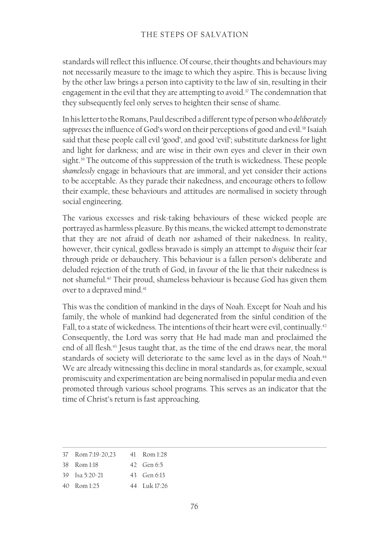standards will reflect this influence. Of course, their thoughts and behaviours may not necessarily measure to the image to which they aspire. This is because living by the other law brings a person into captivity to the law of sin, resulting in their engagement in the evil that they are attempting to avoid.<sup>37</sup> The condemnation that they subsequently feel only serves to heighten their sense of shame.

In his letter to the Romans, Paul described a different type of person who *deliberately* suppresses the influence of God's word on their perceptions of good and evil.<sup>38</sup> Isaiah said that these people call evil 'good', and good 'evil'; substitute darkness for light and light for darkness; and are wise in their own eyes and clever in their own sight.<sup>39</sup> The outcome of this suppression of the truth is wickedness. These people *shamelessly* engage in behaviours that are immoral, and yet consider their actions to be acceptable. As they parade their nakedness, and encourage others to follow their example, these behaviours and attitudes are normalised in society through social engineering.

The various excesses and risk-taking behaviours of these wicked people are portrayed as harmless pleasure. By this means, the wicked attempt to demonstrate that they are not afraid of death nor ashamed of their nakedness. In reality, however, their cynical, godless bravado is simply an attempt to *disguise* their fear through pride or debauchery. This behaviour is a fallen person's deliberate and deluded rejection of the truth of God, in favour of the lie that their nakedness is not shameful.40 Their proud, shameless behaviour is because God has given them over to a depraved mind.<sup>41</sup>

This was the condition of mankind in the days of Noah. Except for Noah and his family, the whole of mankind had degenerated from the sinful condition of the Fall, to a state of wickedness. The intentions of their heart were evil, continually.<sup>42</sup> Consequently, the Lord was sorry that He had made man and proclaimed the end of all flesh.<sup>43</sup> Jesus taught that, as the time of the end draws near, the moral standards of society will deteriorate to the same level as in the days of Noah.<sup>44</sup> We are already witnessing this decline in moral standards as, for example, sexual promiscuity and experimentation are being normalised in popular media and even promoted through various school programs. This serves as an indicator that the time of Christ's return is fast approaching.

| 37 Rom 7:19-20.23     | 41 Rom 1:28   |
|-----------------------|---------------|
| $38$ Rom $1.18$       | 42 Gen 6.5    |
| $39$ Isa 5:20-21      | 43 Gen $6-13$ |
| $40 \cdot$ Rom $1.25$ | 44 Luk 17:26  |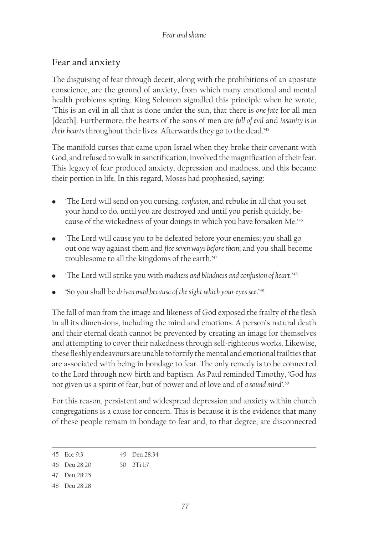## **Fear and anxiety**

The disguising of fear through deceit, along with the prohibitions of an apostate conscience, are the ground of anxiety, from which many emotional and mental health problems spring. King Solomon signalled this principle when he wrote, 'This is an evil in all that is done under the sun, that there is *one fate* for all men [death]. Furthermore, the hearts of the sons of men are *full of evil* and *insanity is in their hearts* throughout their lives. Afterwards they go to the dead.'45

The manifold curses that came upon Israel when they broke their covenant with God, and refused to walk in sanctification, involved the magnification of their fear. This legacy of fear produced anxiety, depression and madness, and this became their portion in life. In this regard, Moses had prophesied, saying:

- Ū 'The Lord will send on you cursing, *confusion*, and rebuke in all that you set your hand to do, until you are destroyed and until you perish quickly, because of the wickedness of your doings in which you have forsaken Me.'<sup>46</sup>
- The Lord will cause you to be defeated before your enemies; you shall go out one way against them and *flee seven ways before them*; and you shall become troublesome to all the kingdoms of the earth.'47
- The Lord will strike you with *madness and blindness and confusion of heart*.'<sup>48</sup>
- Ū 'So you shall be *driven mad because of the sight which your eyes see*.'49

The fall of man from the image and likeness of God exposed the frailty of the flesh in all its dimensions, including the mind and emotions. A person's natural death and their eternal death cannot be prevented by creating an image for themselves and attempting to cover their nakedness through self-righteous works. Likewise, these fleshly endeavours are unable to fortify the mental and emotional frailties that are associated with being in bondage to fear. The only remedy is to be connected to the Lord through new birth and baptism. As Paul reminded Timothy, 'God has not given us a spirit of fear, but of power and of love and of *a sound mind'*. 50

For this reason, persistent and widespread depression and anxiety within church congregations is a cause for concern. This is because it is the evidence that many of these people remain in bondage to fear and, to that degree, are disconnected

- 47 Deu 28:25
- 48 Deu 28:28

<sup>45</sup> Ecc 9:3 49 Deu 28:34

<sup>46</sup> Deu 28:20 50 2Ti 1:7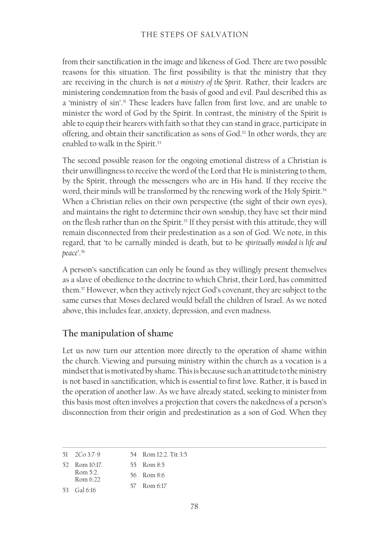from their sanctification in the image and likeness of God. There are two possible reasons for this situation. The first possibility is that the ministry that they are receiving in the church is *not a ministry of the Spirit*. Rather, their leaders are ministering condemnation from the basis of good and evil. Paul described this as a 'ministry of sin'.<sup>51</sup> These leaders have fallen from first love, and are unable to minister the word of God by the Spirit. In contrast, the ministry of the Spirit is able to equip their hearers with faith so that they can stand in grace, participate in offering, and obtain their sanctification as sons of God.<sup>52</sup> In other words, they are enabled to walk in the Spirit.<sup>53</sup>

The second possible reason for the ongoing emotional distress of a Christian is their unwillingness to receive the word of the Lord that He is ministering to them, by the Spirit, through the messengers who are in His hand. If they receive the word, their minds will be transformed by the renewing work of the Holy Spirit.<sup>54</sup> When a Christian relies on their own perspective (the sight of their own eyes), and maintains the right to determine their own sonship, they have set their mind on the flesh rather than on the Spirit.<sup>55</sup> If they persist with this attitude, they will remain disconnected from their predestination as a son of God. We note, in this regard, that 'to be carnally minded is death, but to be *spiritually minded is life and peace*'.<sup>56</sup>

A person's sanctification can only be found as they willingly present themselves as a slave of obedience to the doctrine to which Christ, their Lord, has committed them.57 However, when they actively reject God's covenant, they are subject to the same curses that Moses declared would befall the children of Israel. As we noted above, this includes fear, anxiety, depression, and even madness.

## **The manipulation of shame**

Let us now turn our attention more directly to the operation of shame within the church. Viewing and pursuing ministry within the church as a vocation is a mindset that is motivated by shame. This is because such an attitude to the ministry is not based in sanctification, which is essential to first love. Rather, it is based in the operation of another law. As we have already stated, seeking to minister from this basis most often involves a projection that covers the nakedness of a person's disconnection from their origin and predestination as a son of God. When they

<sup>51</sup> 2Co 3:7-9 54 Rom 12:2. Tit 3:5

<sup>52</sup> Rom 10:17. 55 Rom 8:5

Rom 5:2. 56 Rom 8:6

Rom 6:22 57 Rom 6:17

<sup>53</sup> Gal 6:16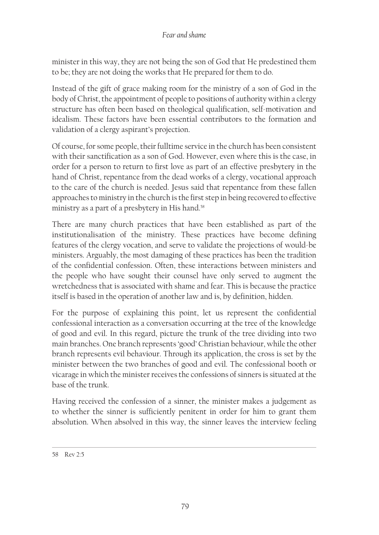minister in this way, they are not being the son of God that He predestined them to be; they are not doing the works that He prepared for them to do.

Instead of the gift of grace making room for the ministry of a son of God in the body of Christ, the appointment of people to positions of authority within a clergy structure has often been based on theological qualification, self-motivation and idealism. These factors have been essential contributors to the formation and validation of a clergy aspirant's projection.

Of course, for some people, their fulltime service in the church has been consistent with their sanctification as a son of God. However, even where this is the case, in order for a person to return to first love as part of an effective presbytery in the hand of Christ, repentance from the dead works of a clergy, vocational approach to the care of the church is needed. Jesus said that repentance from these fallen approaches to ministry in the church is the first step in being recovered to effective ministry as a part of a presbytery in His hand.<sup>58</sup>

There are many church practices that have been established as part of the institutionalisation of the ministry. These practices have become defining features of the clergy vocation, and serve to validate the projections of would-be ministers. Arguably, the most damaging of these practices has been the tradition of the confidential confession. Often, these interactions between ministers and the people who have sought their counsel have only served to augment the wretchedness that is associated with shame and fear. This is because the practice itself is based in the operation of another law and is, by definition, hidden.

For the purpose of explaining this point, let us represent the confidential confessional interaction as a conversation occurring at the tree of the knowledge of good and evil. In this regard, picture the trunk of the tree dividing into two main branches. One branch represents 'good' Christian behaviour, while the other branch represents evil behaviour. Through its application, the cross is set by the minister between the two branches of good and evil. The confessional booth or vicarage in which the minister receives the confessions of sinners is situated at the base of the trunk.

Having received the confession of a sinner, the minister makes a judgement as to whether the sinner is sufficiently penitent in order for him to grant them absolution. When absolved in this way, the sinner leaves the interview feeling

<sup>58</sup> Rev 2:5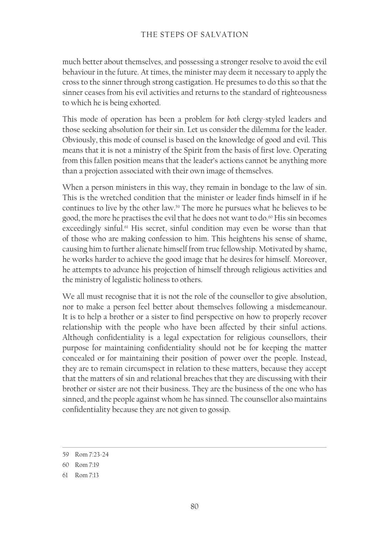much better about themselves, and possessing a stronger resolve to avoid the evil behaviour in the future. At times, the minister may deem it necessary to apply the cross to the sinner through strong castigation. He presumes to do this so that the sinner ceases from his evil activities and returns to the standard of righteousness to which he is being exhorted.

This mode of operation has been a problem for *both* clergy-styled leaders and those seeking absolution for their sin. Let us consider the dilemma for the leader. Obviously, this mode of counsel is based on the knowledge of good and evil. This means that it is not a ministry of the Spirit from the basis of first love. Operating from this fallen position means that the leader's actions cannot be anything more than a projection associated with their own image of themselves.

When a person ministers in this way, they remain in bondage to the law of sin. This is the wretched condition that the minister or leader finds himself in if he continues to live by the other law.59 The more he pursues what he believes to be good, the more he practises the evil that he does not want to do.<sup>60</sup> His sin becomes exceedingly sinful.<sup>61</sup> His secret, sinful condition may even be worse than that of those who are making confession to him. This heightens his sense of shame, causing him to further alienate himself from true fellowship. Motivated by shame, he works harder to achieve the good image that he desires for himself. Moreover, he attempts to advance his projection of himself through religious activities and the ministry of legalistic holiness to others.

We all must recognise that it is not the role of the counsellor to give absolution, nor to make a person feel better about themselves following a misdemeanour. It is to help a brother or a sister to find perspective on how to properly recover relationship with the people who have been affected by their sinful actions. Although confidentiality is a legal expectation for religious counsellors, their purpose for maintaining confidentiality should not be for keeping the matter concealed or for maintaining their position of power over the people. Instead, they are to remain circumspect in relation to these matters, because they accept that the matters of sin and relational breaches that they are discussing with their brother or sister are not their business. They are the business of the one who has sinned, and the people against whom he has sinned. The counsellor also maintains confidentiality because they are not given to gossip.

<sup>59</sup> Rom 7:23-24

<sup>60</sup> Rom 7:19

<sup>61</sup> Rom 7:13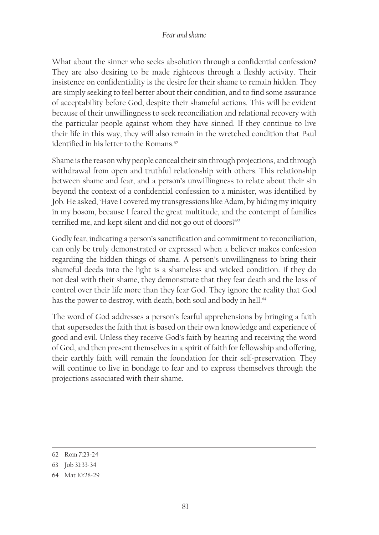#### *Fear and shame*

What about the sinner who seeks absolution through a confidential confession? They are also desiring to be made righteous through a fleshly activity. Their insistence on confidentiality is the desire for their shame to remain hidden. They are simply seeking to feel better about their condition, and to find some assurance of acceptability before God, despite their shameful actions. This will be evident because of their unwillingness to seek reconciliation and relational recovery with the particular people against whom they have sinned. If they continue to live their life in this way, they will also remain in the wretched condition that Paul identified in his letter to the Romans.<sup>62</sup>

Shame is the reason why people conceal their sin through projections, and through withdrawal from open and truthful relationship with others. This relationship between shame and fear, and a person's unwillingness to relate about their sin beyond the context of a confidential confession to a minister, was identified by Job. He asked, 'Have I covered my transgressions like Adam, by hiding my iniquity in my bosom, because I feared the great multitude, and the contempt of families terrified me, and kept silent and did not go out of doors?'63

Godly fear, indicating a person's sanctification and commitment to reconciliation, can only be truly demonstrated or expressed when a believer makes confession regarding the hidden things of shame. A person's unwillingness to bring their shameful deeds into the light is a shameless and wicked condition. If they do not deal with their shame, they demonstrate that they fear death and the loss of control over their life more than they fear God. They ignore the reality that God has the power to destroy, with death, both soul and body in hell.<sup>64</sup>

The word of God addresses a person's fearful apprehensions by bringing a faith that supersedes the faith that is based on their own knowledge and experience of good and evil. Unless they receive God's faith by hearing and receiving the word of God, and then present themselves in a spirit of faith for fellowship and offering, their earthly faith will remain the foundation for their self-preservation. They will continue to live in bondage to fear and to express themselves through the projections associated with their shame.

<sup>62</sup> Rom 7:23‑24

<sup>63</sup> Job 31:33‑34

<sup>64</sup> Mat 10:28‑29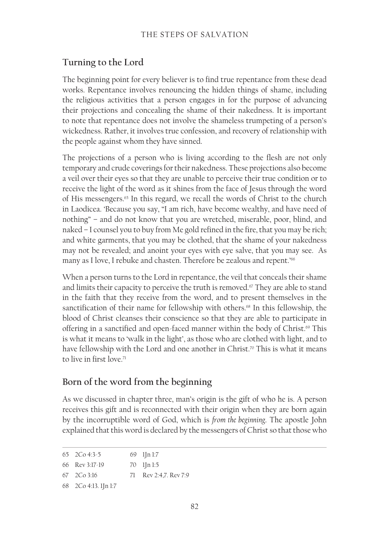## **Turning to the Lord**

The beginning point for every believer is to find true repentance from these dead works. Repentance involves renouncing the hidden things of shame, including the religious activities that a person engages in for the purpose of advancing their projections and concealing the shame of their nakedness. It is important to note that repentance does not involve the shameless trumpeting of a person's wickedness. Rather, it involves true confession, and recovery of relationship with the people against whom they have sinned.

The projections of a person who is living according to the flesh are not only temporary and crude coverings for their nakedness. These projections also become a veil over their eyes so that they are unable to perceive their true condition or to receive the light of the word as it shines from the face of Jesus through the word of His messengers.65 In this regard, we recall the words of Christ to the church in Laodicea. 'Because you say, "I am rich, have become wealthy, and have need of nothing" – and do not know that you are wretched, miserable, poor, blind, and naked – I counsel you to buy from Me gold refined in the fire, that you may be rich; and white garments, that you may be clothed, that the shame of your nakedness may not be revealed; and anoint your eyes with eye salve, that you may see. As many as I love, I rebuke and chasten. Therefore be zealous and repent.'<sup>66</sup>

When a person turns to the Lord in repentance, the veil that conceals their shame and limits their capacity to perceive the truth is removed.<sup>67</sup> They are able to stand in the faith that they receive from the word, and to present themselves in the sanctification of their name for fellowship with others.<sup>68</sup> In this fellowship, the blood of Christ cleanses their conscience so that they are able to participate in offering in a sanctified and open-faced manner within the body of Christ.<sup>69</sup> This is what it means to 'walk in the light', as those who are clothed with light, and to have fellowship with the Lord and one another in Christ.<sup>70</sup> This is what it means to live in first love.<sup>71</sup>

## **Born of the word from the beginning**

As we discussed in chapter three, man's origin is the gift of who he is. A person receives this gift and is reconnected with their origin when they are born again by the incorruptible word of God, which is *from the beginning*. The apostle John explained that this word is declared by the messengers of Christ so that those who

```
65 2Co 4:3‑5
66 Rev 3:17‑19
                       69 1Jn 1:7
                       70 1Jn 1:5
```

```
67 2Co 3:16
                       71 Rev 2:4,7. Rev 7:9
```

```
68 2Co 4:13. 1Jn 1:7
```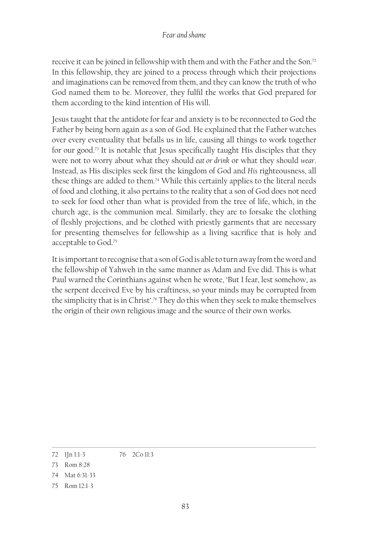receive it can be joined in fellowship with them and with the Father and the Son.72 In this fellowship, they are joined to a process through which their projections and imaginations can be removed from them, and they can know the truth of who God named them to be. Moreover, they fulfil the works that God prepared for them according to the kind intention of His will.

Jesus taught that the antidote for fear and anxiety is to be reconnected to God the Father by being born again as a son of God. He explained that the Father watches over every eventuality that befalls us in life, causing all things to work together for our good.73 It is notable that Jesus specifically taught His disciples that they were not to worry about what they should *eat or drink* or what they should *wear*. Instead, as His disciples seek first the kingdom of God and *His* righteousness, all these things are added to them.<sup>74</sup> While this certainly applies to the literal needs of food and clothing, it also pertains to the reality that a son of God does not need to seek for food other than what is provided from the tree of life, which, in the church age, is the communion meal. Similarly, they are to forsake the clothing of fleshly projections, and be clothed with priestly garments that are necessary for presenting themselves for fellowship as a living sacrifice that is holy and acceptable to God.75

It is important to recognise that a son of God is able to turn away from the word and the fellowship of Yahweh in the same manner as Adam and Eve did. This is what Paul warned the Corinthians against when he wrote, 'But I fear, lest somehow, as the serpent deceived Eve by his craftiness, so your minds may be corrupted from the simplicity that is in Christ'.76 They do this when they seek to make themselves the origin of their own religious image and the source of their own works.

<sup>72</sup> 1Jn 1:1-3 76 2Co 11:3

<sup>73</sup> Rom 8:28

<sup>74</sup> Mat 6:31‑33

<sup>75</sup> Rom 12:1-3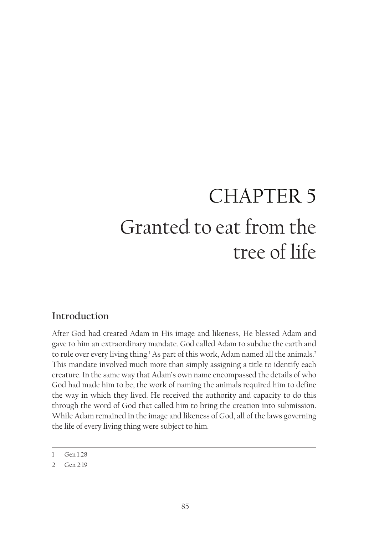# CHAPTER 5 Granted to eat from the tree of life

## **Introduction**

After God had created Adam in His image and likeness, He blessed Adam and gave to him an extraordinary mandate. God called Adam to subdue the earth and to rule over every living thing.<sup>1</sup> As part of this work, Adam named all the animals.<sup>2</sup> This mandate involved much more than simply assigning a title to identify each creature. In the same way that Adam's own name encompassed the details of who God had made him to be, the work of naming the animals required him to define the way in which they lived. He received the authority and capacity to do this through the word of God that called him to bring the creation into submission. While Adam remained in the image and likeness of God, all of the laws governing the life of every living thing were subject to him.

<sup>1</sup> Gen 1:28

<sup>2</sup> Gen 2:19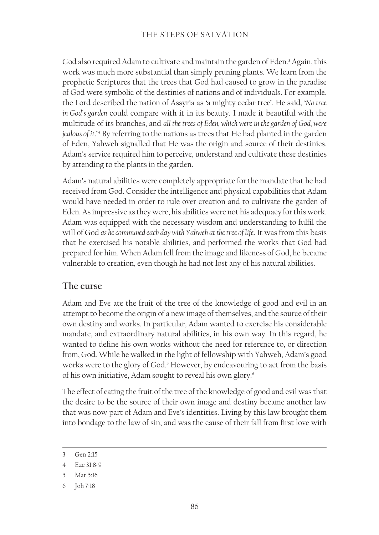God also required Adam to cultivate and maintain the garden of Eden.<sup>3</sup> Again, this work was much more substantial than simply pruning plants. We learn from the prophetic Scriptures that the trees that God had caused to grow in the paradise of God were symbolic of the destinies of nations and of individuals. For example, the Lord described the nation of Assyria as 'a mighty cedar tree'. He said, '*No tree in God's garden* could compare with it in its beauty. I made it beautiful with the multitude of its branches, and *all the trees of Eden, which were in the garden of God, were jealous of it*.'4 By referring to the nations as trees that He had planted in the garden of Eden, Yahweh signalled that He was the origin and source of their destinies. Adam's service required him to perceive, understand and cultivate these destinies by attending to the plants in the garden.

Adam's natural abilities were completely appropriate for the mandate that he had received from God. Consider the intelligence and physical capabilities that Adam would have needed in order to rule over creation and to cultivate the garden of Eden. As impressive as they were, his abilities were not his adequacy for this work. Adam was equipped with the necessary wisdom and understanding to fulfil the will of God *as he communed each day with Yahweh at the tree of life*. It was from this basis that he exercised his notable abilities, and performed the works that God had prepared for him. When Adam fell from the image and likeness of God, he became vulnerable to creation, even though he had not lost any of his natural abilities.

## **The curse**

Adam and Eve ate the fruit of the tree of the knowledge of good and evil in an attempt to become the origin of a new image of themselves, and the source of their own destiny and works. In particular, Adam wanted to exercise his considerable mandate, and extraordinary natural abilities, in his own way. In this regard, he wanted to define his own works without the need for reference to, or direction from, God. While he walked in the light of fellowship with Yahweh, Adam's good works were to the glory of God.<sup>5</sup> However, by endeavouring to act from the basis of his own initiative, Adam sought to reveal his own glory.<sup>6</sup>

The effect of eating the fruit of the tree of the knowledge of good and evil was that the desire to be the source of their own image and destiny became another law that was now part of Adam and Eve's identities. Living by this law brought them into bondage to the law of sin, and was the cause of their fall from first love with

<sup>3</sup> Gen 2:15

<sup>4</sup> Eze 31:8-9

<sup>5</sup> Mat 5:16

<sup>6</sup> Joh 7:18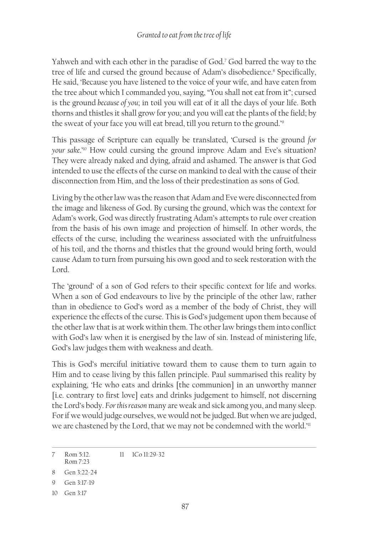Yahweh and with each other in the paradise of God.7 God barred the way to the tree of life and cursed the ground because of Adam's disobedience.<sup>8</sup> Specifically, He said, 'Because you have listened to the voice of your wife, and have eaten from the tree about which I commanded you, saying, "You shall not eat from it"; cursed is the ground *because of you*; in toil you will eat of it all the days of your life. Both thorns and thistles it shall grow for you; and you will eat the plants of the field; by the sweat of your face you will eat bread, till you return to the ground.'9

This passage of Scripture can equally be translated, 'Cursed is the ground *for your sake*.'10 How could cursing the ground improve Adam and Eve's situation? They were already naked and dying, afraid and ashamed. The answer is that God intended to use the effects of the curse on mankind to deal with the cause of their disconnection from Him, and the loss of their predestination as sons of God.

Living by the other law was the reason that Adam and Eve were disconnected from the image and likeness of God. By cursing the ground, which was the context for Adam's work, God was directly frustrating Adam's attempts to rule over creation from the basis of his own image and projection of himself. In other words, the effects of the curse, including the weariness associated with the unfruitfulness of his toil, and the thorns and thistles that the ground would bring forth, would cause Adam to turn from pursuing his own good and to seek restoration with the Lord.

The 'ground' of a son of God refers to their specific context for life and works. When a son of God endeavours to live by the principle of the other law, rather than in obedience to God's word as a member of the body of Christ, they will experience the effects of the curse. This is God's judgement upon them because of the other law that is at work within them. The other law brings them into conflict with God's law when it is energised by the law of sin. Instead of ministering life, God's law judges them with weakness and death.

This is God's merciful initiative toward them to cause them to turn again to Him and to cease living by this fallen principle. Paul summarised this reality by explaining, 'He who eats and drinks [the communion] in an unworthy manner [i.e. contrary to first love] eats and drinks judgement to himself, not discerning the Lord's body. *For this reason* many are weak and sick among you, and many sleep. For if we would judge ourselves, we would not be judged. But when we are judged, we are chastened by the Lord, that we may not be condemned with the world.<sup>'11</sup>

<sup>7</sup> Rom 5:12. Rom 7:23 11 1Co 11:29-32

<sup>8</sup> Gen 3:22-24

<sup>9</sup> Gen 3:17-19

<sup>10</sup> Gen 3:17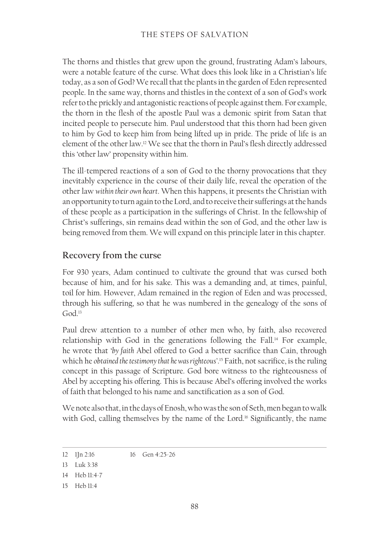The thorns and thistles that grew upon the ground, frustrating Adam's labours, were a notable feature of the curse. What does this look like in a Christian's life today, as a son of God? We recall that the plants in the garden of Eden represented people. In the same way, thorns and thistles in the context of a son of God's work refer to the prickly and antagonistic reactions of people against them. For example, the thorn in the flesh of the apostle Paul was a demonic spirit from Satan that incited people to persecute him. Paul understood that this thorn had been given to him by God to keep him from being lifted up in pride. The pride of life is an element of the other law.12 We see that the thorn in Paul's flesh directly addressed this 'other law' propensity within him.

The ill-tempered reactions of a son of God to the thorny provocations that they inevitably experience in the course of their daily life, reveal the operation of the other law *within their own heart*. When this happens, it presents the Christian with an opportunity to turn again to the Lord, and to receive their sufferings at the hands of these people as a participation in the sufferings of Christ. In the fellowship of Christ's sufferings, sin remains dead within the son of God, and the other law is being removed from them. We will expand on this principle later in this chapter.

## **Recovery from the curse**

For 930 years, Adam continued to cultivate the ground that was cursed both because of him, and for his sake. This was a demanding and, at times, painful, toil for him. However, Adam remained in the region of Eden and was processed, through his suffering, so that he was numbered in the genealogy of the sons of God.<sup>13</sup>

Paul drew attention to a number of other men who, by faith, also recovered relationship with God in the generations following the Fall.<sup>14</sup> For example, he wrote that '*by faith* Abel offered to God a better sacrifice than Cain, through which he *obtained the testimony that he was righteous'*. <sup>15</sup> Faith, not sacrifice, is the ruling concept in this passage of Scripture. God bore witness to the righteousness of Abel by accepting his offering. This is because Abel's offering involved the works of faith that belonged to his name and sanctification as a son of God.

We note also that, in the days of Enosh, who was the son of Seth, men began to walk with God, calling themselves by the name of the Lord.<sup>16</sup> Significantly, the name

15 Heb 11:4

<sup>12</sup> 1Jn 2:16 16 Gen 4:25‑26

<sup>13</sup> Luk 3:38

<sup>14</sup> Heb 11:4-7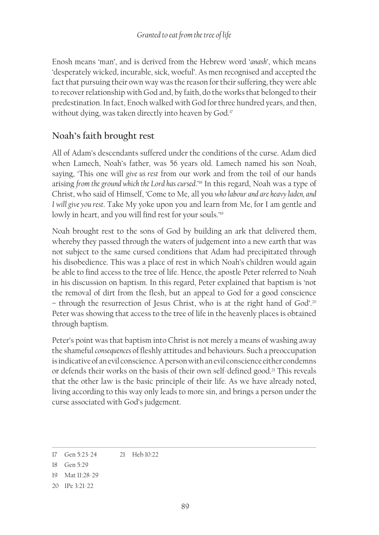Enosh means 'man', and is derived from the Hebrew word '*anash*', which means 'desperately wicked, incurable, sick, woeful'. As men recognised and accepted the fact that pursuing their own way was the reason for their suffering, they were able to recover relationship with God and, by faith, do the works that belonged to their predestination. In fact, Enoch walked with God for three hundred years, and then, without dying, was taken directly into heaven by God.<sup>17</sup>

## **Noah's faith brought rest**

All of Adam's descendants suffered under the conditions of the curse. Adam died when Lamech, Noah's father, was 56 years old. Lamech named his son Noah, saying, 'This one will *give us rest* from our work and from the toil of our hands arising from the ground which the Lord has cursed.<sup>18</sup> In this regard, Noah was a type of Christ, who said of Himself, 'Come to Me, all you *who labour and are heavy laden, and I will give you rest*. Take My yoke upon you and learn from Me, for I am gentle and lowly in heart, and you will find rest for your souls.'<sup>19</sup>

Noah brought rest to the sons of God by building an ark that delivered them, whereby they passed through the waters of judgement into a new earth that was not subject to the same cursed conditions that Adam had precipitated through his disobedience. This was a place of rest in which Noah's children would again be able to find access to the tree of life. Hence, the apostle Peter referred to Noah in his discussion on baptism. In this regard, Peter explained that baptism is 'not the removal of dirt from the flesh, but an appeal to God for a good conscience – through the resurrection of Jesus Christ, who is at the right hand of God'.20 Peter was showing that access to the tree of life in the heavenly places is obtained through baptism.

Peter's point was that baptism into Christ is not merely a means of washing away the shameful *consequences* of fleshly attitudes and behaviours. Such a preoccupation is indicative of an evil conscience. A person with an evil conscience either condemns or defends their works on the basis of their own self-defined good.<sup>21</sup> This reveals that the other law is the basic principle of their life. As we have already noted, living according to this way only leads to more sin, and brings a person under the curse associated with God's judgement.

<sup>17</sup> Gen 5:23-24 21 Heb 10:22

<sup>18</sup> Gen 5:29

<sup>19</sup> Mat 11:28-29

<sup>20</sup> 1Pe 3:21-22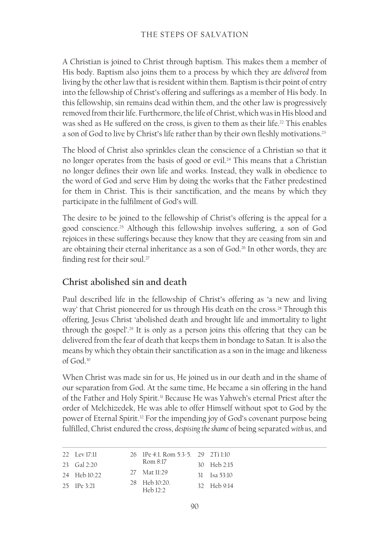#### THE STEPS OF SALVATION

A Christian is joined to Christ through baptism. This makes them a member of His body. Baptism also joins them to a process by which they are *delivered* from living by the other law that is resident within them. Baptism is their point of entry into the fellowship of Christ's offering and sufferings as a member of His body. In this fellowship, sin remains dead within them, and the other law is progressively removed from their life. Furthermore, the life of Christ, which was in His blood and was shed as He suffered on the cross, is given to them as their life.<sup>22</sup> This enables a son of God to live by Christ's life rather than by their own fleshly motivations.<sup>23</sup>

The blood of Christ also sprinkles clean the conscience of a Christian so that it no longer operates from the basis of good or evil.<sup>24</sup> This means that a Christian no longer defines their own life and works. Instead, they walk in obedience to the word of God and serve Him by doing the works that the Father predestined for them in Christ. This is their sanctification, and the means by which they participate in the fulfilment of God's will.

The desire to be joined to the fellowship of Christ's offering is the appeal for a good conscience.25 Although this fellowship involves suffering, a son of God rejoices in these sufferings because they know that they are ceasing from sin and are obtaining their eternal inheritance as a son of God.<sup>26</sup> In other words, they are finding rest for their soul.<sup>27</sup>

## **Christ abolished sin and death**

Paul described life in the fellowship of Christ's offering as 'a new and living way' that Christ pioneered for us through His death on the cross.<sup>28</sup> Through this offering, Jesus Christ 'abolished death and brought life and immortality to light through the gospel'.29 It is only as a person joins this offering that they can be delivered from the fear of death that keeps them in bondage to Satan. It is also the means by which they obtain their sanctification as a son in the image and likeness of God.30

When Christ was made sin for us, He joined us in our death and in the shame of our separation from God. At the same time, He became a sin offering in the hand of the Father and Holy Spirit.<sup>31</sup> Because He was Yahweh's eternal Priest after the order of Melchizedek, He was able to offer Himself without spot to God by the power of Eternal Spirit.32 For the impending joy of God's covenant purpose being fulfilled, Christ endured the cross, *despising the shame* of being separated *with us*, and

| 22 Lev 17:11    | 26 1Pe 4:1, Rom 5:3-5, 29 2Ti 1:10 |                |
|-----------------|------------------------------------|----------------|
| 23 Gal 2:20     | Rom 8:17                           | 30 Heb 2:15    |
| 24 Heb 10:22    | 27 Mat 11:29                       | $31$ Isa 53:10 |
| $25$ IPe $3:21$ | 28 Heb 10:20.<br>Heb $12.2$        | 32 Heb 9:14    |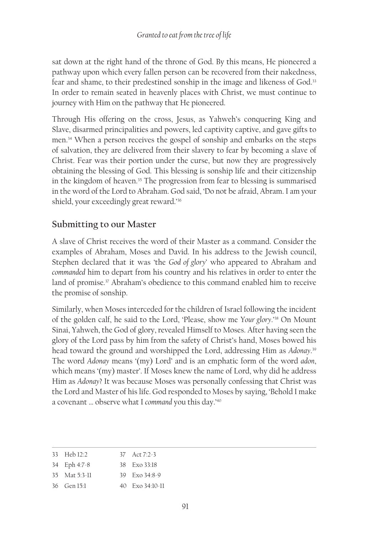sat down at the right hand of the throne of God. By this means, He pioneered a pathway upon which every fallen person can be recovered from their nakedness, fear and shame, to their predestined sonship in the image and likeness of God.<sup>33</sup> In order to remain seated in heavenly places with Christ, we must continue to journey with Him on the pathway that He pioneered.

Through His offering on the cross, Jesus, as Yahweh's conquering King and Slave, disarmed principalities and powers, led captivity captive, and gave gifts to men.34 When a person receives the gospel of sonship and embarks on the steps of salvation, they are delivered from their slavery to fear by becoming a slave of Christ. Fear was their portion under the curse, but now they are progressively obtaining the blessing of God. This blessing is sonship life and their citizenship in the kingdom of heaven.<sup>35</sup> The progression from fear to blessing is summarised in the word of the Lord to Abraham. God said, 'Do not be afraid, Abram. I am your shield, your exceedingly great reward.'<sup>36</sup>

## **Submitting to our Master**

A slave of Christ receives the word of their Master as a command. Consider the examples of Abraham, Moses and David. In his address to the Jewish council, Stephen declared that it was 'the *God of glory*' who appeared to Abraham and *commanded* him to depart from his country and his relatives in order to enter the land of promise.<sup>37</sup> Abraham's obedience to this command enabled him to receive the promise of sonship.

Similarly, when Moses interceded for the children of Israel following the incident of the golden calf, he said to the Lord, 'Please, show me *Your glory*.'38 On Mount Sinai, Yahweh, the God of glory, revealed Himself to Moses. After having seen the glory of the Lord pass by him from the safety of Christ's hand, Moses bowed his head toward the ground and worshipped the Lord, addressing Him as *Adonay*. 39 The word *Adonay* means '(my) Lord' and is an emphatic form of the word *adon*, which means '(my) master'. If Moses knew the name of Lord, why did he address Him as *Adonay*? It was because Moses was personally confessing that Christ was the Lord and Master of his life. God responded to Moses by saying, 'Behold I make a covenant … observe what I *command* you this day.'40

| 33 Heb 12:2       | 37 Act 7:2-3                           |
|-------------------|----------------------------------------|
| 34 Eph 4:7-8      | 38 Exo 33:18                           |
| $35$ Mat $5:3-11$ | $39$ Fxo $34.8-9$                      |
| $36$ Gen $151$    | $40 \text{ Fxo } 34 \cdot 10 \cdot 11$ |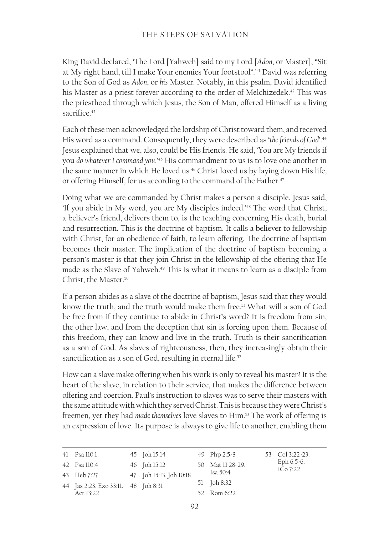#### THE STEPS OF SALVATION

King David declared, 'The Lord [Yahweh] said to my Lord [*Adon*, or Master], "Sit at My right hand, till I make Your enemies Your footstool".'41 David was referring to the Son of God as *Adon*, or *his* Master. Notably, in this psalm, David identified his Master as a priest forever according to the order of Melchizedek.<sup>42</sup> This was the priesthood through which Jesus, the Son of Man, offered Himself as a living sacrifice<sup>43</sup>

Each of these men acknowledged the lordship of Christ toward them, and received His word as a command. Consequently, they were described as '*the friends of God'*. 44 Jesus explained that we, also, could be His friends. He said, 'You are My friends if you *do whatever I command you*.'45 His commandment to us is to love one another in the same manner in which He loved us.<sup>46</sup> Christ loved us by laying down His life, or offering Himself, for us according to the command of the Father.<sup>47</sup>

Doing what we are commanded by Christ makes a person a disciple. Jesus said, 'If you abide in My word, you are My disciples indeed.'48 The word that Christ, a believer's friend, delivers them to, is the teaching concerning His death, burial and resurrection. This is the doctrine of baptism. It calls a believer to fellowship with Christ, for an obedience of faith, to learn offering. The doctrine of baptism becomes their master. The implication of the doctrine of baptism becoming a person's master is that they join Christ in the fellowship of the offering that He made as the Slave of Yahweh.<sup>49</sup> This is what it means to learn as a disciple from Christ, the Master.50

If a person abides as a slave of the doctrine of baptism, Jesus said that they would know the truth, and the truth would make them free.51 What will a son of God be free from if they continue to abide in Christ's word? It is freedom from sin, the other law, and from the deception that sin is forcing upon them. Because of this freedom, they can know and live in the truth. Truth is their sanctification as a son of God. As slaves of righteousness, then, they increasingly obtain their sanctification as a son of God, resulting in eternal life.<sup>52</sup>

How can a slave make offering when his work is only to reveal his master? It is the heart of the slave, in relation to their service, that makes the difference between offering and coercion. Paul's instruction to slaves was to serve their masters with the same attitude with which they served Christ. This is because they were Christ's freemen, yet they had *made themselves* love slaves to Him.53 The work of offering is an expression of love. Its purpose is always to give life to another, enabling them

| 41 Psa 110:1                        | 45 Joh 15:14            | 49 Php 2:5-8     | 53 Col 3:22-23.          |
|-------------------------------------|-------------------------|------------------|--------------------------|
| 42 Psa 110:4                        | 46 Joh 15:12            | 50 Mat 11:28-29. | Eph $6:5-6$ .<br>1Co7:22 |
| 43 Heb 7:27                         | 47 Joh 15:13. Joh 10:18 | Isa $50:4$       |                          |
| 44 Jas 2:23. Exo 33:11. 48 Joh 8:31 |                         | 51 Joh 8:32      |                          |
| Act $13.22$                         |                         | 52 Rom 6:22      |                          |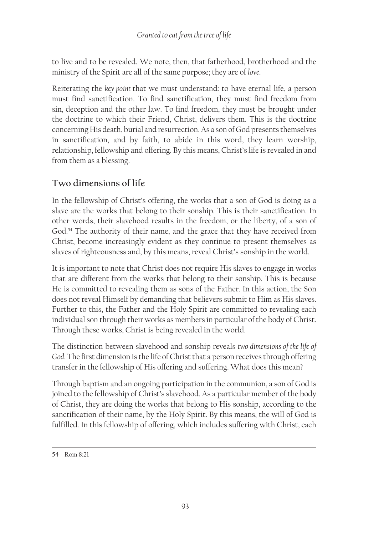to live and to be revealed. We note, then, that fatherhood, brotherhood and the ministry of the Spirit are all of the same purpose; they are of *love*.

Reiterating the *key point* that we must understand: to have eternal life, a person must find sanctification. To find sanctification, they must find freedom from sin, deception and the other law. To find freedom, they must be brought under the doctrine to which their Friend, Christ, delivers them. This is the doctrine concerning His death, burial and resurrection. As a son of God presents themselves in sanctification, and by faith, to abide in this word, they learn worship, relationship, fellowship and offering. By this means, Christ's life is revealed in and from them as a blessing.

# **Two dimensions of life**

In the fellowship of Christ's offering, the works that a son of God is doing as a slave are the works that belong to their sonship. This is their sanctification. In other words, their slavehood results in the freedom, or the liberty, of a son of God.54 The authority of their name, and the grace that they have received from Christ, become increasingly evident as they continue to present themselves as slaves of righteousness and, by this means, reveal Christ's sonship in the world.

It is important to note that Christ does not require His slaves to engage in works that are different from the works that belong to their sonship. This is because He is committed to revealing them as sons of the Father. In this action, the Son does not reveal Himself by demanding that believers submit to Him as His slaves. Further to this, the Father and the Holy Spirit are committed to revealing each individual son through their works as members in particular of the body of Christ. Through these works, Christ is being revealed in the world.

The distinction between slavehood and sonship reveals *two dimensions of the life of God*. The first dimension is the life of Christ that a person receives through offering transfer in the fellowship of His offering and suffering. What does this mean?

Through baptism and an ongoing participation in the communion, a son of God is joined to the fellowship of Christ's slavehood. As a particular member of the body of Christ, they are doing the works that belong to His sonship, according to the sanctification of their name, by the Holy Spirit. By this means, the will of God is fulfilled. In this fellowship of offering, which includes suffering with Christ, each

<sup>54</sup> Rom 8:21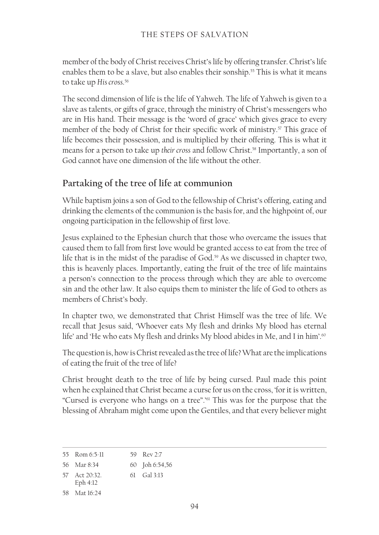member of the body of Christ receives Christ's life by offering transfer. Christ's life enables them to be a slave, but also enables their sonship.<sup>55</sup> This is what it means to take up *His cross*. 56

The second dimension of life is the life of Yahweh. The life of Yahweh is given to a slave as talents, or gifts of grace, through the ministry of Christ's messengers who are in His hand. Their message is the 'word of grace' which gives grace to every member of the body of Christ for their specific work of ministry.<sup>57</sup> This grace of life becomes their possession, and is multiplied by their offering. This is what it means for a person to take up *their cross* and follow Christ.58 Importantly, a son of God cannot have one dimension of the life without the other.

## **Partaking of the tree of life at communion**

While baptism joins a son of God to the fellowship of Christ's offering, eating and drinking the elements of the communion is the basis for, and the highpoint of, our ongoing participation in the fellowship of first love.

Jesus explained to the Ephesian church that those who overcame the issues that caused them to fall from first love would be granted access to eat from the tree of life that is in the midst of the paradise of God.59 As we discussed in chapter two, this is heavenly places. Importantly, eating the fruit of the tree of life maintains a person's connection to the process through which they are able to overcome sin and the other law. It also equips them to minister the life of God to others as members of Christ's body.

In chapter two, we demonstrated that Christ Himself was the tree of life. We recall that Jesus said, 'Whoever eats My flesh and drinks My blood has eternal life' and 'He who eats My flesh and drinks My blood abides in Me, and I in him'.<sup>60</sup>

The question is, how is Christ revealed as the tree of life? What are the implications of eating the fruit of the tree of life?

Christ brought death to the tree of life by being cursed. Paul made this point when he explained that Christ became a curse for us on the cross, 'for it is written, "Cursed is everyone who hangs on a tree".'61 This was for the purpose that the blessing of Abraham might come upon the Gentiles, and that every believer might

<sup>55</sup> Rom 6:5‑11 59 Rev 2:7

<sup>56</sup> Mar 8:34 60 Joh 6:54,56

<sup>57</sup> Act 20:32. 61 Gal 3:13

Eph 4:12

<sup>58</sup> Mat 16:24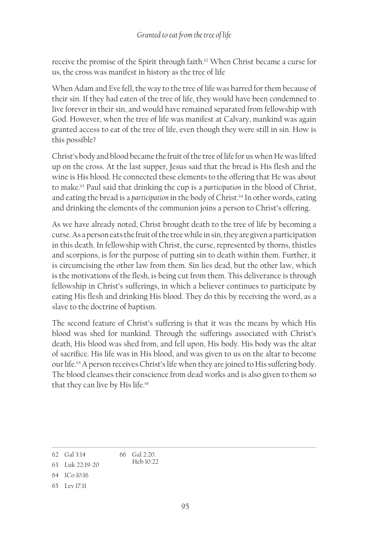receive the promise of the Spirit through faith.<sup>62</sup> When Christ became a curse for us, the cross was manifest in history as the tree of life

When Adam and Eve fell, the way to the tree of life was barred for them because of their sin. If they had eaten of the tree of life, they would have been condemned to live forever in their sin, and would have remained separated from fellowship with God. However, when the tree of life was manifest at Calvary, mankind was again granted access to eat of the tree of life, even though they were still in sin. How is this possible?

Christ's body and blood became the fruit of the tree of life for us when He was lifted up on the cross. At the last supper, Jesus said that the bread is His flesh and the wine is His blood. He connected these elements to the offering that He was about to make.63 Paul said that drinking the cup is a *participation* in the blood of Christ, and eating the bread is a *participation* in the body of Christ.<sup>64</sup> In other words, eating and drinking the elements of the communion joins a person to Christ's offering.

As we have already noted, Christ brought death to the tree of life by becoming a curse. As a person eats the fruit of the tree while in sin, they are given a participation in this death. In fellowship with Christ, the curse, represented by thorns, thistles and scorpions, is for the purpose of putting sin to death within them. Further, it is circumcising the other law from them. Sin lies dead, but the other law, which is the motivations of the flesh, is being cut from them. This deliverance is through fellowship in Christ's sufferings, in which a believer continues to participate by eating His flesh and drinking His blood. They do this by receiving the word, as a slave to the doctrine of baptism.

The second feature of Christ's suffering is that it was the means by which His blood was shed for mankind. Through the sufferings associated with Christ's death, His blood was shed from, and fell upon, His body. His body was the altar of sacrifice. His life was in His blood, and was given to us on the altar to become our life.65 A person receives Christ's life when they are joined to His suffering body. The blood cleanses their conscience from dead works and is also given to them so that they can live by His life.<sup>66</sup>

<sup>62</sup> Gal 3:14 66 Gal 2:20. Heb 10:22

<sup>63</sup> Luk 22:19‑20

<sup>64</sup> 1Co 10:16

<sup>65</sup> Lev 17:11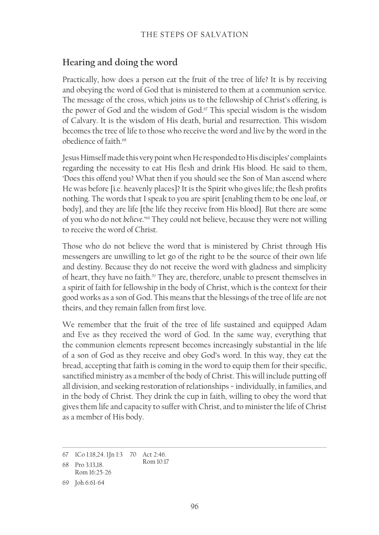## **Hearing and doing the word**

Practically, how does a person eat the fruit of the tree of life? It is by receiving and obeying the word of God that is ministered to them at a communion service. The message of the cross, which joins us to the fellowship of Christ's offering, is the power of God and the wisdom of God.<sup>67</sup> This special wisdom is the wisdom of Calvary. It is the wisdom of His death, burial and resurrection. This wisdom becomes the tree of life to those who receive the word and live by the word in the obedience of faith<sup>68</sup>

Jesus Himself made this very point when He responded to His disciples' complaints regarding the necessity to eat His flesh and drink His blood. He said to them, 'Does this offend you? What then if you should see the Son of Man ascend where He was before [i.e. heavenly places]? It is the Spirit who gives life; the flesh profits nothing. The words that I speak to you are spirit [enabling them to be one loaf, or body], and they are life [the life they receive from His blood]. But there are some of you who do not *believe*.'69 They could not believe, because they were not willing to receive the word of Christ.

Those who do not believe the word that is ministered by Christ through His messengers are unwilling to let go of the right to be the source of their own life and destiny. Because they do not receive the word with gladness and simplicity of heart, they have no faith.<sup>70</sup> They are, therefore, unable to present themselves in a spirit of faith for fellowship in the body of Christ, which is the context for their good works as a son of God. This means that the blessings of the tree of life are not theirs, and they remain fallen from first love.

We remember that the fruit of the tree of life sustained and equipped Adam and Eve as they received the word of God. In the same way, everything that the communion elements represent becomes increasingly substantial in the life of a son of God as they receive and obey God's word. In this way, they eat the bread, accepting that faith is coming in the word to equip them for their specific, sanctified ministry as a member of the body of Christ. This will include putting off all division, and seeking restoration of relationships − individually, in families, and in the body of Christ. They drink the cup in faith, willing to obey the word that gives them life and capacity to suffer with Christ, and to minister the life of Christ as a member of His body.

<sup>67</sup> 1Co 1:18,24. 1Jn 1:3 70 Act 2:46.

<sup>68</sup> Pro 3:13,18. Rom 10:17

Rom 16:25‑26

<sup>69</sup> Joh 6:61‑64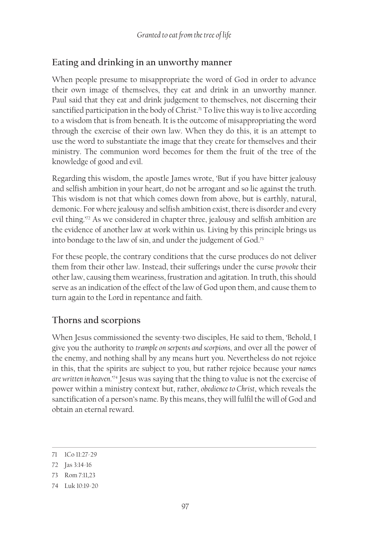# **Eating and drinking in an unworthy manner**

When people presume to misappropriate the word of God in order to advance their own image of themselves, they eat and drink in an unworthy manner. Paul said that they eat and drink judgement to themselves, not discerning their sanctified participation in the body of Christ.<sup>71</sup> To live this way is to live according to a wisdom that is from beneath. It is the outcome of misappropriating the word through the exercise of their own law. When they do this, it is an attempt to use the word to substantiate the image that they create for themselves and their ministry. The communion word becomes for them the fruit of the tree of the knowledge of good and evil.

Regarding this wisdom, the apostle James wrote, 'But if you have bitter jealousy and selfish ambition in your heart, do not be arrogant and so lie against the truth. This wisdom is not that which comes down from above, but is earthly, natural, demonic. For where jealousy and selfish ambition exist, there is disorder and every evil thing.'<sup>72</sup> As we considered in chapter three, jealousy and selfish ambition are the evidence of another law at work within us. Living by this principle brings us into bondage to the law of sin, and under the judgement of God.73

For these people, the contrary conditions that the curse produces do not deliver them from their other law. Instead, their sufferings under the curse *provoke* their other law, causing them weariness, frustration and agitation. In truth, this should serve as an indication of the effect of the law of God upon them, and cause them to turn again to the Lord in repentance and faith.

# **Thorns and scorpions**

When Jesus commissioned the seventy-two disciples, He said to them, 'Behold, I give you the authority to *trample on serpents and scorpions*, and over all the power of the enemy, and nothing shall by any means hurt you. Nevertheless do not rejoice in this, that the spirits are subject to you, but rather rejoice because your *names are written in heaven*.'74 Jesus was saying that the thing to value is not the exercise of power within a ministry context but, rather, *obedience to Christ*, which reveals the sanctification of a person's name. By this means, they will fulfil the will of God and obtain an eternal reward.

<sup>71</sup> 1Co 11:27-29

<sup>72</sup> Jas 3:14‑16

<sup>73</sup> Rom 7:11,23

<sup>74</sup> Luk 10:19-20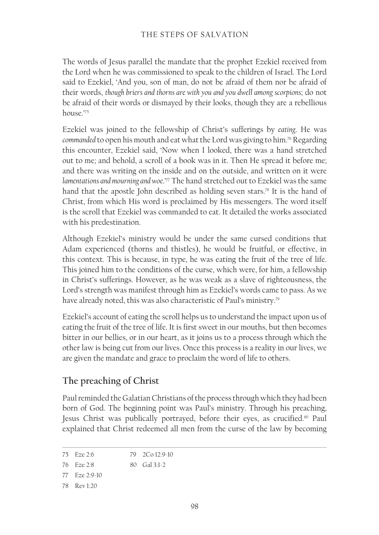The words of Jesus parallel the mandate that the prophet Ezekiel received from the Lord when he was commissioned to speak to the children of Israel. The Lord said to Ezekiel, 'And you, son of man, do not be afraid of them nor be afraid of their words, *though briers and thorns are with you and you dwell among scorpions*; do not be afraid of their words or dismayed by their looks, though they are a rebellious house $^{175}$ 

Ezekiel was joined to the fellowship of Christ's sufferings by *eating*. He was *commanded* to open his mouth and eat what the Lord was giving to him.76 Regarding this encounter, Ezekiel said, 'Now when I looked, there was a hand stretched out to me; and behold, a scroll of a book was in it. Then He spread it before me; and there was writing on the inside and on the outside, and written on it were *lamentations and mourning and woe*.'77 The hand stretched out to Ezekiel was the same hand that the apostle John described as holding seven stars.<sup>78</sup> It is the hand of Christ, from which His word is proclaimed by His messengers. The word itself is the scroll that Ezekiel was commanded to eat. It detailed the works associated with his predestination.

Although Ezekiel's ministry would be under the same cursed conditions that Adam experienced (thorns and thistles), he would be fruitful, or effective, in this context. This is because, in type, he was eating the fruit of the tree of life. This joined him to the conditions of the curse, which were, for him, a fellowship in Christ's sufferings. However, as he was weak as a slave of righteousness, the Lord's strength was manifest through him as Ezekiel's words came to pass. As we have already noted, this was also characteristic of Paul's ministry.79

Ezekiel's account of eating the scroll helps us to understand the impact upon us of eating the fruit of the tree of life. It is first sweet in our mouths, but then becomes bitter in our bellies, or in our heart, as it joins us to a process through which the other law is being cut from our lives. Once this process is a reality in our lives, we are given the mandate and grace to proclaim the word of life to others.

## **The preaching of Christ**

Paul reminded the Galatian Christians of the process through which they had been born of God. The beginning point was Paul's ministry. Through his preaching, Jesus Christ was publically portrayed, before their eyes, as crucified.<sup>80</sup> Paul explained that Christ redeemed all men from the curse of the law by becoming

```
75 Eze 2:6
                      79 2Co 12:9-10
```

```
76 Eze 2:8
                      80 Gal 3:1-2
```
- 77 Eze 2:9-10
- 78 Rev 1:20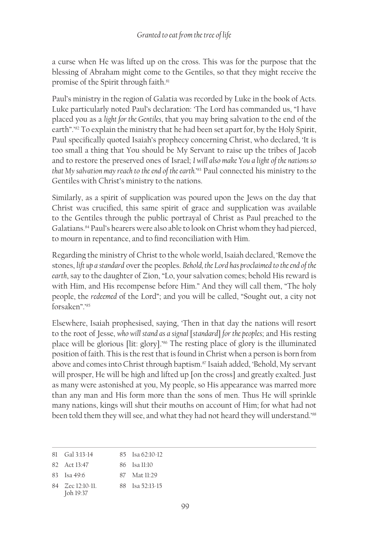a curse when He was lifted up on the cross. This was for the purpose that the blessing of Abraham might come to the Gentiles, so that they might receive the promise of the Spirit through faith.<sup>81</sup>

Paul's ministry in the region of Galatia was recorded by Luke in the book of Acts. Luke particularly noted Paul's declaration: 'The Lord has commanded us, "I have placed you as a *light for the Gentiles*, that you may bring salvation to the end of the earth".'<sup>82</sup> To explain the ministry that he had been set apart for, by the Holy Spirit, Paul specifically quoted Isaiah's prophecy concerning Christ, who declared, 'It is too small a thing that You should be My Servant to raise up the tribes of Jacob and to restore the preserved ones of Israel; *I will also make You a light of the nations so that My salvation may reach to the end of the earth.*' 83 Paul connected his ministry to the Gentiles with Christ's ministry to the nations.

Similarly, as a spirit of supplication was poured upon the Jews on the day that Christ was crucified, this same spirit of grace and supplication was available to the Gentiles through the public portrayal of Christ as Paul preached to the Galatians.84 Paul's hearers were also able to look on Christ whom they had pierced, to mourn in repentance, and to find reconciliation with Him.

Regarding the ministry of Christ to the whole world, Isaiah declared, 'Remove the stones, *lift up a standard* over the peoples. *Behold, the Lord has proclaimed to the end of the earth*, say to the daughter of Zion, "Lo, your salvation comes; behold His reward is with Him, and His recompense before Him." And they will call them, "The holy people, the *redeemed* of the Lord"; and you will be called, "Sought out, a city not forsaken".'85

Elsewhere, Isaiah prophesised, saying, 'Then in that day the nations will resort to the root of Jesse, *who will stand as a signal* [*standard*] *for the peoples*; and His resting place will be glorious [lit: glory].'86 The resting place of glory is the illuminated position of faith. This is the rest that is found in Christ when a person is born from above and comes into Christ through baptism.87 Isaiah added, 'Behold, My servant will prosper, He will be high and lifted up [on the cross] and greatly exalted. Just as many were astonished at you, My people, so His appearance was marred more than any man and His form more than the sons of men. Thus He will sprinkle many nations, kings will shut their mouths on account of Him; for what had not been told them they will see, and what they had not heard they will understand.'88

| $81 \text{ Gal } 3:13-14$ | $85$ Isa 62:10-12 |
|---------------------------|-------------------|
|                           |                   |

82 Act 13:47 86 Isa 11:10

84 Zec 12:10-11. 88 Isa 52:13-15

<sup>83</sup> Isa 49:6 87 Mat 11:29

Joh 19:37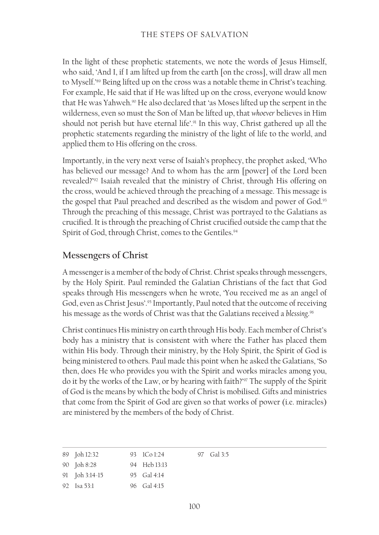In the light of these prophetic statements, we note the words of Jesus Himself, who said, 'And I, if I am lifted up from the earth [on the cross], will draw all men to Myself.'89 Being lifted up on the cross was a notable theme in Christ's teaching. For example, He said that if He was lifted up on the cross, everyone would know that He was Yahweh.<sup>90</sup> He also declared that 'as Moses lifted up the serpent in the wilderness, even so must the Son of Man be lifted up, that *whoever* believes in Him should not perish but have eternal life'.<sup>91</sup> In this way, Christ gathered up all the prophetic statements regarding the ministry of the light of life to the world, and applied them to His offering on the cross.

Importantly, in the very next verse of Isaiah's prophecy, the prophet asked, 'Who has believed our message? And to whom has the arm [power] of the Lord been revealed?'92 Isaiah revealed that the ministry of Christ, through His offering on the cross, would be achieved through the preaching of a message. This message is the gospel that Paul preached and described as the wisdom and power of God.<sup>93</sup> Through the preaching of this message, Christ was portrayed to the Galatians as crucified. It is through the preaching of Christ crucified outside the camp that the Spirit of God, through Christ, comes to the Gentiles.<sup>94</sup>

## **Messengers of Christ**

A messenger is a member of the body of Christ. Christ speaks through messengers, by the Holy Spirit. Paul reminded the Galatian Christians of the fact that God speaks through His messengers when he wrote, 'You received me as an angel of God, even as Christ Jesus'.95 Importantly, Paul noted that the outcome of receiving his message as the words of Christ was that the Galatians received a *blessing*. 96

Christ continues His ministry on earth through His body. Each member of Christ's body has a ministry that is consistent with where the Father has placed them within His body. Through their ministry, by the Holy Spirit, the Spirit of God is being ministered to others. Paul made this point when he asked the Galatians, 'So then, does He who provides you with the Spirit and works miracles among you, do it by the works of the Law, or by hearing with faith?'97 The supply of the Spirit of God is the means by which the body of Christ is mobilised. Gifts and ministries that come from the Spirit of God are given so that works of power (i.e. miracles) are ministered by the members of the body of Christ.

| 89 Joh 12:32   | 93 $1 \text{Co} 1:24$ | 97 Gal 3:5 |
|----------------|-----------------------|------------|
| 90 Joh 8:28    | 94 Heb 13:13          |            |
| 91 Joh 3:14-15 | 95 Gal 4:14           |            |
| 92 Isa 53:1    | 96 Gal 4:15           |            |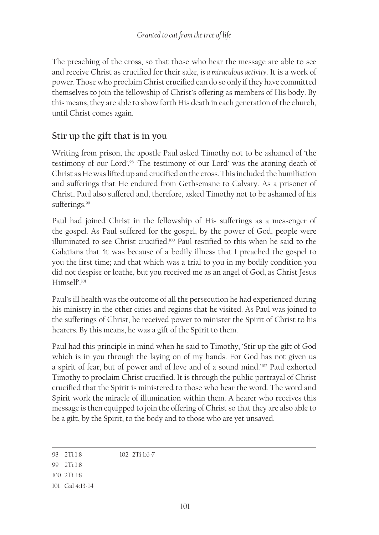The preaching of the cross, so that those who hear the message are able to see and receive Christ as crucified for their sake, *is a miraculous activity*. It is a work of power. Those who proclaim Christ crucified can do so only if they have committed themselves to join the fellowship of Christ's offering as members of His body. By this means, they are able to show forth His death in each generation of the church, until Christ comes again.

## **Stir up the gift that is in you**

Writing from prison, the apostle Paul asked Timothy not to be ashamed of 'the testimony of our Lord'.98 'The testimony of our Lord' was the atoning death of Christ as He was lifted up and crucified on the cross. This included the humiliation and sufferings that He endured from Gethsemane to Calvary. As a prisoner of Christ, Paul also suffered and, therefore, asked Timothy not to be ashamed of his sufferings.<sup>99</sup>

Paul had joined Christ in the fellowship of His sufferings as a messenger of the gospel. As Paul suffered for the gospel, by the power of God, people were illuminated to see Christ crucified.100 Paul testified to this when he said to the Galatians that 'it was because of a bodily illness that I preached the gospel to you the first time; and that which was a trial to you in my bodily condition you did not despise or loathe, but you received me as an angel of God, as Christ Jesus Himself'<sup>101</sup>

Paul's ill health was the outcome of all the persecution he had experienced during his ministry in the other cities and regions that he visited. As Paul was joined to the sufferings of Christ, he received power to minister the Spirit of Christ to his hearers. By this means, he was a gift of the Spirit to them.

Paul had this principle in mind when he said to Timothy, 'Stir up the gift of God which is in you through the laying on of my hands. For God has not given us a spirit of fear, but of power and of love and of a sound mind.'102 Paul exhorted Timothy to proclaim Christ crucified. It is through the public portrayal of Christ crucified that the Spirit is ministered to those who hear the word. The word and Spirit work the miracle of illumination within them. A hearer who receives this message is then equipped to join the offering of Christ so that they are also able to be a gift, by the Spirit, to the body and to those who are yet unsaved.

<sup>98</sup> 2Ti 1:8 102 2Ti 1:6‑7

<sup>99</sup> 2Ti 1:8

<sup>100</sup> 2Ti 1:8

<sup>101</sup> Gal 4:13-14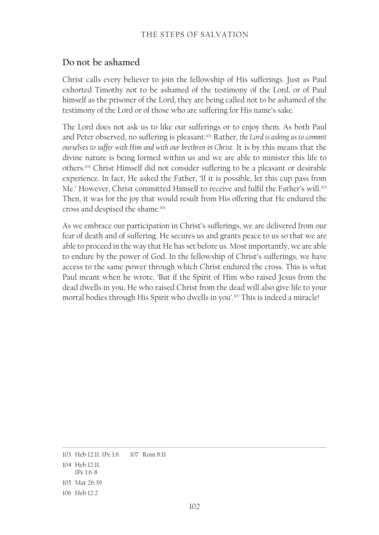#### THE STEPS OF SALVATION

#### **Do not be ashamed**

Christ calls every believer to join the fellowship of His sufferings. Just as Paul exhorted Timothy not to be ashamed of the testimony of the Lord, or of Paul himself as the prisoner of the Lord, they are being called not to be ashamed of the testimony of the Lord or of those who are suffering for His name's sake.

The Lord does not ask us to like our sufferings or to enjoy them. As both Paul and Peter observed, no suffering is pleasant.103 Rather, *the Lord is asking us to commit ourselves to suffer with Him and with our brethren in Christ*. It is by this means that the divine nature is being formed within us and we are able to minister this life to others.104 Christ Himself did not consider suffering to be a pleasant or desirable experience. In fact, He asked the Father, 'If it is possible, let this cup pass from Me.' However, Christ committed Himself to receive and fulfil the Father's will.<sup>105</sup> Then, it was for the joy that would result from His offering that He endured the cross and despised the shame.<sup>106</sup>

As we embrace our participation in Christ's sufferings, we are delivered from our fear of death and of suffering. He secures us and grants peace to us so that we are able to proceed in the way that He has set before us. Most importantly, we are able to endure by the power of God. In the fellowship of Christ's sufferings, we have access to the same power through which Christ endured the cross. This is what Paul meant when he wrote, 'But if the Spirit of Him who raised Jesus from the dead dwells in you, He who raised Christ from the dead will also give life to your mortal bodies through His Spirit who dwells in you'.<sup>107</sup> This is indeed a miracle!

<sup>103</sup> Heb 12:11. 1Pe 1:6 107 Rom 8:11

<sup>104</sup> Heb 12:11. 1Pe 1:6‑8

<sup>105</sup> Mat 26:39

<sup>106</sup> Heb 12:2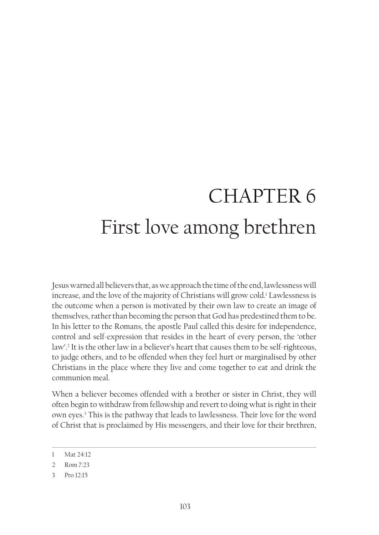# CHAPTER 6 First love among brethren

Jesus warned all believers that, as we approach the time of the end, lawlessness will increase, and the love of the majority of Christians will grow cold.1 Lawlessness is the outcome when a person is motivated by their own law to create an image of themselves, rather than becoming the person that God has predestined them to be. In his letter to the Romans, the apostle Paul called this desire for independence, control and self-expression that resides in the heart of every person, the 'other law'.2 It is the other law in a believer's heart that causes them to be self-righteous, to judge others, and to be offended when they feel hurt or marginalised by other Christians in the place where they live and come together to eat and drink the communion meal.

When a believer becomes offended with a brother or sister in Christ, they will often begin to withdraw from fellowship and revert to doing what is right in their own eyes.3 This is the pathway that leads to lawlessness. Their love for the word of Christ that is proclaimed by His messengers, and their love for their brethren,

<sup>1</sup> Mat 24:12

<sup>2</sup> Rom 7:23

<sup>3</sup> Pro 12:15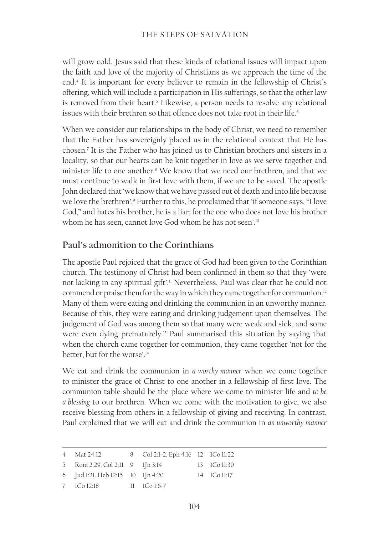will grow cold. Jesus said that these kinds of relational issues will impact upon the faith and love of the majority of Christians as we approach the time of the end.4 It is important for every believer to remain in the fellowship of Christ's offering, which will include a participation in His sufferings, so that the other law is removed from their heart.<sup>5</sup> Likewise, a person needs to resolve any relational issues with their brethren so that offence does not take root in their life.<sup>6</sup>

When we consider our relationships in the body of Christ, we need to remember that the Father has sovereignly placed us in the relational context that He has chosen.7 It is the Father who has joined us to Christian brothers and sisters in a locality, so that our hearts can be knit together in love as we serve together and minister life to one another.<sup>8</sup> We know that we need our brethren, and that we must continue to walk in first love with them, if we are to be saved. The apostle John declared that 'we know that we have passed out of death and into life because we love the brethren'.<sup>9</sup> Further to this, he proclaimed that 'if someone says, "I love God," and hates his brother, he is a liar; for the one who does not love his brother whom he has seen, cannot love God whom he has not seen'.<sup>10</sup>

## **Paul's admonition to the Corinthians**

The apostle Paul rejoiced that the grace of God had been given to the Corinthian church. The testimony of Christ had been confirmed in them so that they 'were not lacking in any spiritual gift'.<sup>11</sup> Nevertheless, Paul was clear that he could not commend or praise them for the way in which they came together for communion.<sup>12</sup> Many of them were eating and drinking the communion in an unworthy manner. Because of this, they were eating and drinking judgement upon themselves. The judgement of God was among them so that many were weak and sick, and some were even dying prematurely.13 Paul summarised this situation by saying that when the church came together for communion, they came together 'not for the better, but for the worse'.14

We eat and drink the communion in *a worthy manner* when we come together to minister the grace of Christ to one another in a fellowship of first love. The communion table should be the place where we come to minister life and *to be a blessing* to our brethren. When we come with the motivation to give, we also receive blessing from others in a fellowship of giving and receiving. In contrast, Paul explained that we will eat and drink the communion in *an unworthy manner* 

| 4 Mat 24:12                       | 8 Col 2:1-2. Eph 4:16 12 1Co 11:22 |              |
|-----------------------------------|------------------------------------|--------------|
| 5 Rom 2:29. Col 2:11 9 1 Jn 3:14  |                                    | 13 ICo 11:30 |
| 6 Jud 1:21. Heb 12:15 10 1Jn 4:20 |                                    | 14 ICo 11:17 |
| 7 1Co 12:18 11 1Co 1:6-7          |                                    |              |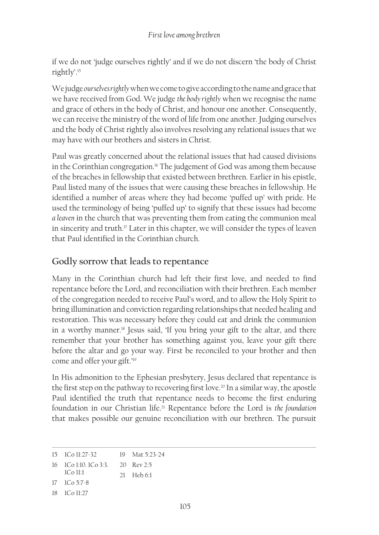if we do not 'judge ourselves rightly' and if we do not discern 'the body of Christ rightly'.15

We judge *ourselves rightly* when we come to give according to the name and grace that we have received from God. We judge *the body rightly* when we recognise the name and grace of others in the body of Christ, and honour one another. Consequently, we can receive the ministry of the word of life from one another. Judging ourselves and the body of Christ rightly also involves resolving any relational issues that we may have with our brothers and sisters in Christ.

Paul was greatly concerned about the relational issues that had caused divisions in the Corinthian congregation.<sup>16</sup> The judgement of God was among them because of the breaches in fellowship that existed between brethren. Earlier in his epistle, Paul listed many of the issues that were causing these breaches in fellowship. He identified a number of areas where they had become 'puffed up' with pride. He used the terminology of being 'puffed up' to signify that these issues had become *a leaven* in the church that was preventing them from eating the communion meal in sincerity and truth.<sup>17</sup> Later in this chapter, we will consider the types of leaven that Paul identified in the Corinthian church.

## **Godly sorrow that leads to repentance**

Many in the Corinthian church had left their first love, and needed to find repentance before the Lord, and reconciliation with their brethren. Each member of the congregation needed to receive Paul's word, and to allow the Holy Spirit to bring illumination and conviction regarding relationships that needed healing and restoration. This was necessary before they could eat and drink the communion in a worthy manner.18 Jesus said, 'If you bring your gift to the altar, and there remember that your brother has something against you, leave your gift there before the altar and go your way. First be reconciled to your brother and then come and offer your gift.'19

In His admonition to the Ephesian presbytery, Jesus declared that repentance is the first step on the pathway to recovering first love.<sup>20</sup> In a similar way, the apostle Paul identified the truth that repentance needs to become the first enduring foundation in our Christian life.21 Repentance before the Lord is *the foundation* that makes possible our genuine reconciliation with our brethren. The pursuit

17 1Co 5:7-8

<sup>15</sup> 1Co 11:27-32 19 Mat 5:23-24

<sup>16</sup> 1Co 1:10. 1Co 3:3. 20 Rev 2:5

<sup>1</sup>Co 11:1 21 Heb 6:1

<sup>18</sup> 1Co 11:27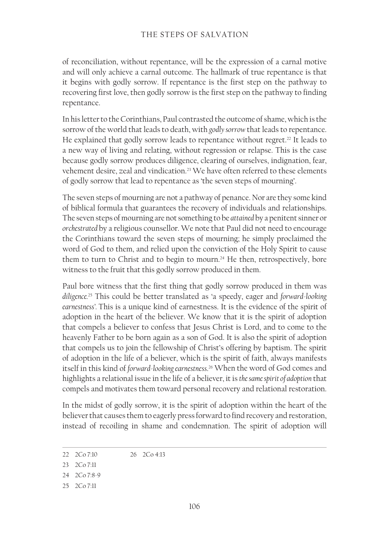of reconciliation, without repentance, will be the expression of a carnal motive and will only achieve a carnal outcome. The hallmark of true repentance is that it begins with godly sorrow. If repentance is the first step on the pathway to recovering first love, then godly sorrow is the first step on the pathway to finding repentance.

In his letter to the Corinthians, Paul contrasted the outcome of shame, which is the sorrow of the world that leads to death, with *godly sorrow* that leads to repentance. He explained that godly sorrow leads to repentance without regret.<sup>22</sup> It leads to a new way of living and relating, without regression or relapse. This is the case because godly sorrow produces diligence, clearing of ourselves, indignation, fear, vehement desire, zeal and vindication.23 We have often referred to these elements of godly sorrow that lead to repentance as 'the seven steps of mourning'.

The seven steps of mourning are not a pathway of penance. Nor are they some kind of biblical formula that guarantees the recovery of individuals and relationships. The seven steps of mourning are not something to be *attained* by a penitent sinner or *orchestrated* by a religious counsellor. We note that Paul did not need to encourage the Corinthians toward the seven steps of mourning; he simply proclaimed the word of God to them, and relied upon the conviction of the Holy Spirit to cause them to turn to Christ and to begin to mourn.<sup>24</sup> He then, retrospectively, bore witness to the fruit that this godly sorrow produced in them.

Paul bore witness that the first thing that godly sorrow produced in them was *diligence.*25 This could be better translated as 'a speedy, eager and *forward-looking earnestness'.* This is a unique kind of earnestness. It is the evidence of the spirit of adoption in the heart of the believer. We know that it is the spirit of adoption that compels a believer to confess that Jesus Christ is Lord, and to come to the heavenly Father to be born again as a son of God. It is also the spirit of adoption that compels us to join the fellowship of Christ's offering by baptism. The spirit of adoption in the life of a believer, which is the spirit of faith, always manifests itself in this kind of *forward-looking earnestness*. <sup>26</sup> When the word of God comes and highlights a relational issue in the life of a believer, it is *the same spirit of adoption* that compels and motivates them toward personal recovery and relational restoration.

In the midst of godly sorrow, it is the spirit of adoption within the heart of the believer that causes them to eagerly press forward to find recovery and restoration, instead of recoiling in shame and condemnation. The spirit of adoption will

<sup>22</sup> 2Co 7:10 26 2Co 4:13

<sup>23</sup> 2Co 7:11

<sup>24</sup> 2Co 7:8-9

<sup>25</sup> 2Co 7:11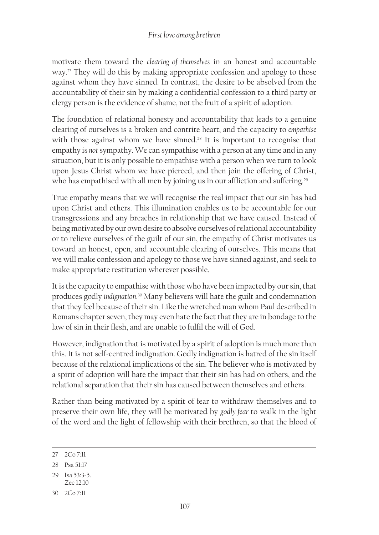motivate them toward the *clearing of themselves* in an honest and accountable way.27 They will do this by making appropriate confession and apology to those against whom they have sinned. In contrast, the desire to be absolved from the accountability of their sin by making a confidential confession to a third party or clergy person is the evidence of shame, not the fruit of a spirit of adoption.

The foundation of relational honesty and accountability that leads to a genuine clearing of ourselves is a broken and contrite heart, and the capacity to *empathise* with those against whom we have sinned.<sup>28</sup> It is important to recognise that empathy is *not* sympathy. We can sympathise with a person at any time and in any situation, but it is only possible to empathise with a person when we turn to look upon Jesus Christ whom we have pierced, and then join the offering of Christ, who has empathised with all men by joining us in our affliction and suffering.<sup>29</sup>

True empathy means that we will recognise the real impact that our sin has had upon Christ and others. This illumination enables us to be accountable for our transgressions and any breaches in relationship that we have caused. Instead of being motivated by our own desire to absolve ourselves of relational accountability or to relieve ourselves of the guilt of our sin, the empathy of Christ motivates us toward an honest, open, and accountable clearing of ourselves. This means that we will make confession and apology to those we have sinned against, and seek to make appropriate restitution wherever possible.

It is the capacity to empathise with those who have been impacted by our sin, that produces godly *indignation*. 30 Many believers will hate the guilt and condemnation that they feel because of their sin. Like the wretched man whom Paul described in Romans chapter seven, they may even hate the fact that they are in bondage to the law of sin in their flesh, and are unable to fulfil the will of God.

However, indignation that is motivated by a spirit of adoption is much more than this. It is not self-centred indignation. Godly indignation is hatred of the sin itself because of the relational implications of the sin. The believer who is motivated by a spirit of adoption will hate the impact that their sin has had on others, and the relational separation that their sin has caused between themselves and others.

Rather than being motivated by a spirit of fear to withdraw themselves and to preserve their own life, they will be motivated by *godly fear* to walk in the light of the word and the light of fellowship with their brethren, so that the blood of

30 2Co 7:11

<sup>27</sup> 2Co 7:11

<sup>28</sup> Psa 51:17

<sup>29</sup> Isa 53:3-5.

Zec 12:10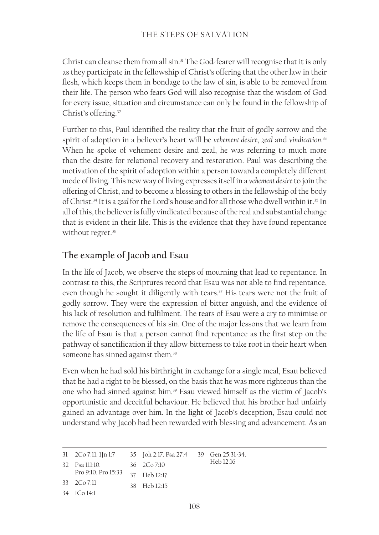Christ can cleanse them from all sin.<sup>31</sup> The God-fearer will recognise that it is only as they participate in the fellowship of Christ's offering that the other law in their flesh, which keeps them in bondage to the law of sin, is able to be removed from their life. The person who fears God will also recognise that the wisdom of God for every issue, situation and circumstance can only be found in the fellowship of Christ's offering.32

Further to this, Paul identified the reality that the fruit of godly sorrow and the spirit of adoption in a believer's heart will be *vehement desire*, *zeal* and *vindication*. 33 When he spoke of vehement desire and zeal, he was referring to much more than the desire for relational recovery and restoration. Paul was describing the motivation of the spirit of adoption within a person toward a completely different mode of living. This new way of living expresses itself in a *vehement desire* to join the offering of Christ, and to become a blessing to others in the fellowship of the body of Christ.34 It is a *zeal* for the Lord's house and for all those who dwell within it.35 In all of this, the believer is fully vindicated because of the real and substantial change that is evident in their life. This is the evidence that they have found repentance without regret.<sup>36</sup>

# **The example of Jacob and Esau**

In the life of Jacob, we observe the steps of mourning that lead to repentance. In contrast to this, the Scriptures record that Esau was not able to find repentance, even though he sought it diligently with tears.<sup>37</sup> His tears were not the fruit of godly sorrow. They were the expression of bitter anguish, and the evidence of his lack of resolution and fulfilment. The tears of Esau were a cry to minimise or remove the consequences of his sin. One of the major lessons that we learn from the life of Esau is that a person cannot find repentance as the first step on the pathway of sanctification if they allow bitterness to take root in their heart when someone has sinned against them.<sup>38</sup>

Even when he had sold his birthright in exchange for a single meal, Esau believed that he had a right to be blessed, on the basis that he was more righteous than the one who had sinned against him.39 Esau viewed himself as the victim of Jacob's opportunistic and deceitful behaviour. He believed that his brother had unfairly gained an advantage over him. In the light of Jacob's deception, Esau could not understand why Jacob had been rewarded with blessing and advancement. As an

31 2Co 7:11. 1Jn 1:7 32 Psa 111:10. Pro 9:10. Pro 15:33 33 2Co 7:11 34 1Co 14:1 35 Joh 2:17. Psa 27:4 36 2Co 7:10 37 Heb 12:17 38 Heb 12:15 39 Gen 25:31-34. Heb 12:16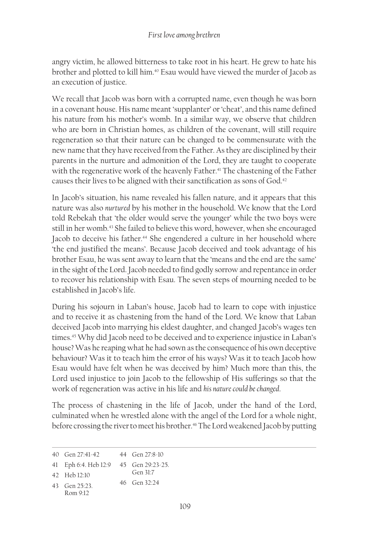angry victim, he allowed bitterness to take root in his heart. He grew to hate his brother and plotted to kill him.40 Esau would have viewed the murder of Jacob as an execution of justice.

We recall that Jacob was born with a corrupted name, even though he was born in a covenant house. His name meant 'supplanter' or 'cheat', and this name defined his nature from his mother's womb. In a similar way, we observe that children who are born in Christian homes, as children of the covenant, will still require regeneration so that their nature can be changed to be commensurate with the new name that they have received from the Father. As they are disciplined by their parents in the nurture and admonition of the Lord, they are taught to cooperate with the regenerative work of the heavenly Father.<sup>41</sup> The chastening of the Father causes their lives to be aligned with their sanctification as sons of God.<sup>42</sup>

In Jacob's situation, his name revealed his fallen nature, and it appears that this nature was also *nurtured* by his mother in the household. We know that the Lord told Rebekah that 'the older would serve the younger' while the two boys were still in her womb.<sup>43</sup> She failed to believe this word, however, when she encouraged Jacob to deceive his father.<sup>44</sup> She engendered a culture in her household where 'the end justified the means'. Because Jacob deceived and took advantage of his brother Esau, he was sent away to learn that the 'means and the end are the same' in the sight of the Lord. Jacob needed to find godly sorrow and repentance in order to recover his relationship with Esau. The seven steps of mourning needed to be established in Jacob's life.

During his sojourn in Laban's house, Jacob had to learn to cope with injustice and to receive it as chastening from the hand of the Lord. We know that Laban deceived Jacob into marrying his eldest daughter, and changed Jacob's wages ten times.45 Why did Jacob need to be deceived and to experience injustice in Laban's house? Was he reaping what he had sown as the consequence of his own deceptive behaviour? Was it to teach him the error of his ways? Was it to teach Jacob how Esau would have felt when he was deceived by him? Much more than this, the Lord used injustice to join Jacob to the fellowship of His sufferings so that the work of regeneration was active in his life and *his nature could be changed*.

The process of chastening in the life of Jacob, under the hand of the Lord, culminated when he wrestled alone with the angel of the Lord for a whole night, before crossing the river to meet his brother.<sup>46</sup> The Lord weakened Jacob by putting

43 Gen 25:23. 46 Gen 32:24

<sup>40</sup> Gen 27:41-42 44 Gen 27:8-10

<sup>41</sup> Eph 6:4. Heb 12:9 45 Gen 29:23-25.

<sup>42</sup> Heb 12:10 Gen 31:7

Rom 9:12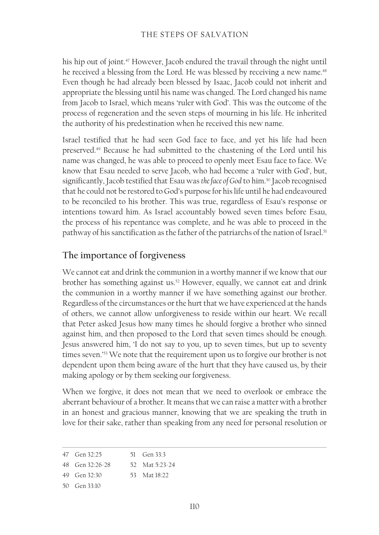his hip out of joint.<sup>47</sup> However, Jacob endured the travail through the night until he received a blessing from the Lord. He was blessed by receiving a new name.<sup>48</sup> Even though he had already been blessed by Isaac, Jacob could not inherit and appropriate the blessing until his name was changed. The Lord changed his name from Jacob to Israel, which means 'ruler with God'. This was the outcome of the process of regeneration and the seven steps of mourning in his life. He inherited the authority of his predestination when he received this new name.

Israel testified that he had seen God face to face, and yet his life had been preserved.49 Because he had submitted to the chastening of the Lord until his name was changed, he was able to proceed to openly meet Esau face to face. We know that Esau needed to serve Jacob, who had become a 'ruler with God', but, significantly, Jacob testified that Esau was the face of God to him.<sup>50</sup> Jacob recognised that he could not be restored to God's purpose for his life until he had endeavoured to be reconciled to his brother. This was true, regardless of Esau's response or intentions toward him. As Israel accountably bowed seven times before Esau, the process of his repentance was complete, and he was able to proceed in the pathway of his sanctification as the father of the patriarchs of the nation of Israel.<sup>51</sup>

## **The importance of forgiveness**

We cannot eat and drink the communion in a worthy manner if we know that our brother has something against us.52 However, equally, we cannot eat and drink the communion in a worthy manner if we have something against our brother. Regardless of the circumstances or the hurt that we have experienced at the hands of others, we cannot allow unforgiveness to reside within our heart. We recall that Peter asked Jesus how many times he should forgive a brother who sinned against him, and then proposed to the Lord that seven times should be enough. Jesus answered him, 'I do not say to you, up to seven times, but up to seventy times seven.'53 We note that the requirement upon us to forgive our brother is not dependent upon them being aware of the hurt that they have caused us, by their making apology or by them seeking our forgiveness.

When we forgive, it does not mean that we need to overlook or embrace the aberrant behaviour of a brother. It means that we can raise a matter with a brother in an honest and gracious manner, knowing that we are speaking the truth in love for their sake, rather than speaking from any need for personal resolution or

<sup>47</sup> Gen 32:25 51 Gen 33:3

<sup>48</sup> Gen 32:26‑28 52 Mat 5:23-24

<sup>49</sup> Gen 32:30 53 Mat 18:22

<sup>50</sup> Gen 33:10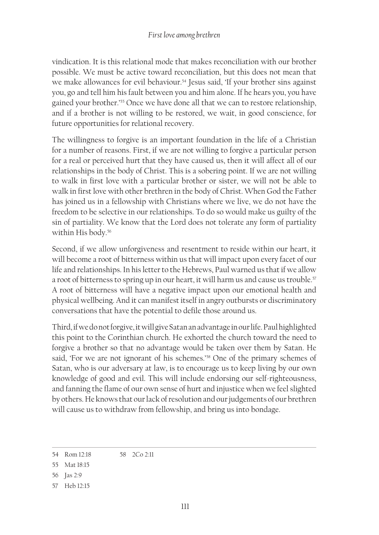vindication. It is this relational mode that makes reconciliation with our brother possible. We must be active toward reconciliation, but this does not mean that we make allowances for evil behaviour.<sup>54</sup> Jesus said, 'If your brother sins against you, go and tell him his fault between you and him alone. If he hears you, you have gained your brother.'55 Once we have done all that we can to restore relationship, and if a brother is not willing to be restored, we wait, in good conscience, for future opportunities for relational recovery.

The willingness to forgive is an important foundation in the life of a Christian for a number of reasons. First, if we are not willing to forgive a particular person for a real or perceived hurt that they have caused us, then it will affect all of our relationships in the body of Christ. This is a sobering point. If we are not willing to walk in first love with a particular brother or sister, we will not be able to walk in first love with other brethren in the body of Christ. When God the Father has joined us in a fellowship with Christians where we live, we do not have the freedom to be selective in our relationships. To do so would make us guilty of the sin of partiality. We know that the Lord does not tolerate any form of partiality within His body.<sup>56</sup>

Second, if we allow unforgiveness and resentment to reside within our heart, it will become a root of bitterness within us that will impact upon every facet of our life and relationships. In his letter to the Hebrews, Paul warned us that if we allow a root of bitterness to spring up in our heart, it will harm us and cause us trouble.<sup>57</sup> A root of bitterness will have a negative impact upon our emotional health and physical wellbeing. And it can manifest itself in angry outbursts or discriminatory conversations that have the potential to defile those around us.

Third, if we do not forgive, it will give Satan an advantage in our life. Paul highlighted this point to the Corinthian church. He exhorted the church toward the need to forgive a brother so that no advantage would be taken over them by Satan. He said, 'For we are not ignorant of his schemes.'<sup>58</sup> One of the primary schemes of Satan, who is our adversary at law, is to encourage us to keep living by our own knowledge of good and evil. This will include endorsing our self-righteousness, and fanning the flame of our own sense of hurt and injustice when we feel slighted by others. He knows that our lack of resolution and our judgements of our brethren will cause us to withdraw from fellowship, and bring us into bondage.

- 56 Jas 2:9
- 57 Heb 12:15

<sup>54</sup> Rom 12:18 58 2Co 2:11

<sup>55</sup> Mat 18:15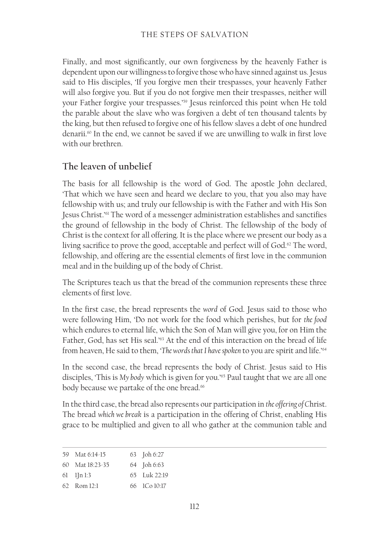#### THE STEPS OF SALVATION

Finally, and most significantly, our own forgiveness by the heavenly Father is dependent upon our willingness to forgive those who have sinned against us. Jesus said to His disciples, 'If you forgive men their trespasses, your heavenly Father will also forgive you. But if you do not forgive men their trespasses, neither will your Father forgive your trespasses.'59 Jesus reinforced this point when He told the parable about the slave who was forgiven a debt of ten thousand talents by the king, but then refused to forgive one of his fellow slaves a debt of one hundred denarii.<sup>60</sup> In the end, we cannot be saved if we are unwilling to walk in first love with our brethren.

## **The leaven of unbelief**

The basis for all fellowship is the word of God. The apostle John declared, 'That which we have seen and heard we declare to you, that you also may have fellowship with us; and truly our fellowship is with the Father and with His Son Jesus Christ.'61 The word of a messenger administration establishes and sanctifies the ground of fellowship in the body of Christ. The fellowship of the body of Christ is the context for all offering. It is the place where we present our body as a living sacrifice to prove the good, acceptable and perfect will of God.<sup>62</sup> The word, fellowship, and offering are the essential elements of first love in the communion meal and in the building up of the body of Christ.

The Scriptures teach us that the bread of the communion represents these three elements of first love.

In the first case, the bread represents the *word* of God. Jesus said to those who were following Him, 'Do not work for the food which perishes, but for *the food* which endures to eternal life, which the Son of Man will give you, for on Him the Father, God, has set His seal.<sup>'63</sup> At the end of this interaction on the bread of life from heaven, He said to them, '*The words that I have spoken* to you are spirit and life.'<sup>64</sup>

In the second case, the bread represents the body of Christ. Jesus said to His disciples, 'This is *My body* which is given for you.'65 Paul taught that we are all one body because we partake of the one bread.<sup>66</sup>

In the third case, the bread also represents our participation in *the offering of C*hrist. The bread *which we break* is a participation in the offering of Christ, enabling His grace to be multiplied and given to all who gather at the communion table and

| 59 Mat $6:14-15$    | 63 Joh 6:27      |
|---------------------|------------------|
| $60$ Mat $18:23-35$ | 64 Joh 6:63      |
| $61$ $1\ln 1:3$     | $65$ Luk $22.19$ |
| $62$ R om $12.1$    | 66 ICo 10:17     |
|                     |                  |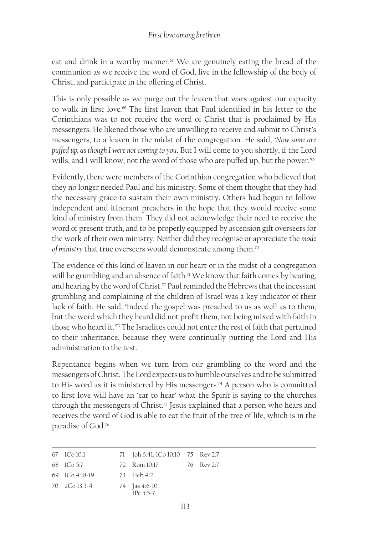eat and drink in a worthy manner.<sup>67</sup> We are genuinely eating the bread of the communion as we receive the word of God, live in the fellowship of the body of Christ, and participate in the offering of Christ.

This is only possible as we purge out the leaven that wars against our capacity to walk in first love.<sup>68</sup> The first leaven that Paul identified in his letter to the Corinthians was to not receive the word of Christ that is proclaimed by His messengers. He likened those who are unwilling to receive and submit to Christ's messengers, to a leaven in the midst of the congregation. He said, '*Now some are puffed up, as though I were not coming to you*. But I will come to you shortly, if the Lord wills, and I will know, not the word of those who are puffed up, but the power.'<sup>69</sup>

Evidently, there were members of the Corinthian congregation who believed that they no longer needed Paul and his ministry. Some of them thought that they had the necessary grace to sustain their own ministry. Others had begun to follow independent and itinerant preachers in the hope that they would receive some kind of ministry from them. They did not acknowledge their need to receive the word of present truth, and to be properly equipped by ascension gift overseers for the work of their own ministry. Neither did they recognise or appreciate the *mode of ministry* that true overseers would demonstrate among them.70

The evidence of this kind of leaven in our heart or in the midst of a congregation will be grumbling and an absence of faith.<sup>71</sup> We know that faith comes by hearing, and hearing by the word of Christ.<sup>72</sup> Paul reminded the Hebrews that the incessant grumbling and complaining of the children of Israel was a key indicator of their lack of faith. He said, 'Indeed the gospel was preached to us as well as to them; but the word which they heard did not profit them, not being mixed with faith in those who heard it.'73 The Israelites could not enter the rest of faith that pertained to their inheritance, because they were continually putting the Lord and His administration to the test.

Repentance begins when we turn from our grumbling to the word and the messengers of Christ. The Lord expects us to humble ourselves and to be submitted to His word as it is ministered by His messengers.<sup>74</sup> A person who is committed to first love will have an 'ear to hear' what the Spirit is saying to the churches through the messengers of Christ.<sup>75</sup> Jesus explained that a person who hears and receives the word of God is able to eat the fruit of the tree of life, which is in the paradise of God.76

| 67 ICo 10:1                   | 71 Joh 6:41. 1Co 10:10 75 Rev 2:7                  |            |
|-------------------------------|----------------------------------------------------|------------|
| 68 ICo 5:7                    | 72 Rom 10:17                                       | 76 Rev 2:7 |
| $69 \quad 1 \quad 64:18-19$   | 73 Heb 4:2                                         |            |
| $70 \quad 2 \text{Co} 13:3-4$ | 74 $\int \text{as } 4:6 \cdot 10$ .<br>$1Pe 5:5-7$ |            |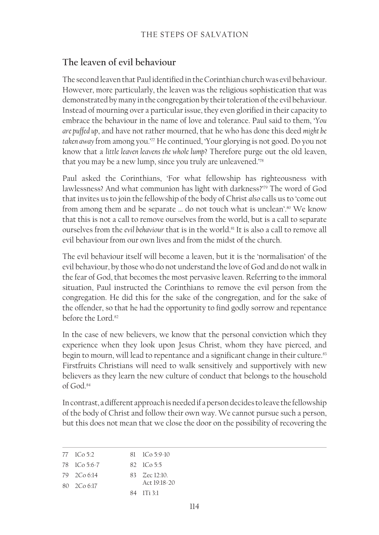## **The leaven of evil behaviour**

The second leaven that Paul identified in the Corinthian church was evil behaviour. However, more particularly, the leaven was the religious sophistication that was demonstrated by many in the congregation by their toleration of the evil behaviour. Instead of mourning over a particular issue, they even glorified in their capacity to embrace the behaviour in the name of love and tolerance. Paul said to them, '*You are puffed up*, and have not rather mourned, that he who has done this deed *might be*  taken away from among you.'<sup>77</sup> He continued, 'Your glorying is not good. Do you not know that a *little leaven leavens the whole lump*? Therefore purge out the old leaven, that you may be a new lump, since you truly are unleavened.'78

Paul asked the Corinthians, 'For what fellowship has righteousness with lawlessness? And what communion has light with darkness?'79 The word of God that invites us to join the fellowship of the body of Christ *also* calls us to 'come out from among them and be separate ... do not touch what is unclean'.<sup>80</sup> We know that this is not a call to remove ourselves from the world, but is a call to separate ourselves from the *evil behaviour* that is in the world.81 It is also a call to remove all evil behaviour from our own lives and from the midst of the church.

The evil behaviour itself will become a leaven, but it is the 'normalisation' of the evil behaviour, by those who do not understand the love of God and do not walk in the fear of God, that becomes the most pervasive leaven. Referring to the immoral situation, Paul instructed the Corinthians to remove the evil person from the congregation. He did this for the sake of the congregation, and for the sake of the offender, so that he had the opportunity to find godly sorrow and repentance before the Lord.<sup>82</sup>

In the case of new believers, we know that the personal conviction which they experience when they look upon Jesus Christ, whom they have pierced, and begin to mourn, will lead to repentance and a significant change in their culture.<sup>83</sup> Firstfruits Christians will need to walk sensitively and supportively with new believers as they learn the new culture of conduct that belongs to the household of God.84

In contrast, a different approach is needed if a person decides to leave the fellowship of the body of Christ and follow their own way. We cannot pursue such a person, but this does not mean that we close the door on the possibility of recovering the

| $77 \cdot 10.52$ | $81 \quad 1 \quad 6 \quad 5:9-10$ |
|------------------|-----------------------------------|
| 78 ICo 5:6-7     | $82 \text{ } 1 \text{ } C_0 5.5$  |
| 79 2Co 6:14      | 83 Zec 12:10.                     |
| 80 2Co 6:17      | Act $19.18-20$                    |
|                  | 84 ITi 31                         |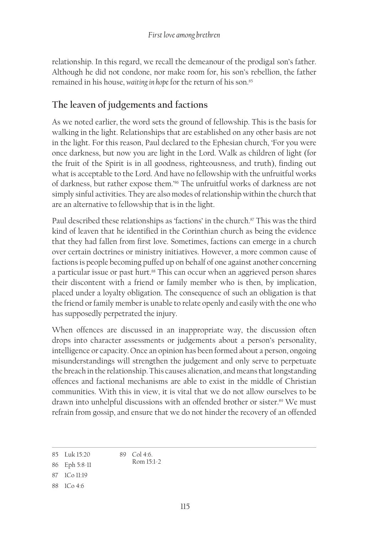relationship. In this regard, we recall the demeanour of the prodigal son's father. Although he did not condone, nor make room for, his son's rebellion, the father remained in his house, *waiting in hope* for the return of his son.<sup>85</sup>

# **The leaven of judgements and factions**

As we noted earlier, the word sets the ground of fellowship. This is the basis for walking in the light. Relationships that are established on any other basis are not in the light. For this reason, Paul declared to the Ephesian church, 'For you were once darkness, but now you are light in the Lord. Walk as children of light (for the fruit of the Spirit is in all goodness, righteousness, and truth), finding out what is acceptable to the Lord. And have no fellowship with the unfruitful works of darkness, but rather expose them.'86 The unfruitful works of darkness are not simply sinful activities. They are also modes of relationship within the church that are an alternative to fellowship that is in the light.

Paul described these relationships as 'factions' in the church. $\frac{87}{10}$  This was the third kind of leaven that he identified in the Corinthian church as being the evidence that they had fallen from first love. Sometimes, factions can emerge in a church over certain doctrines or ministry initiatives. However, a more common cause of factions is people becoming puffed up on behalf of one against another concerning a particular issue or past hurt.<sup>88</sup> This can occur when an aggrieved person shares their discontent with a friend or family member who is then, by implication, placed under a loyalty obligation. The consequence of such an obligation is that the friend or family member is unable to relate openly and easily with the one who has supposedly perpetrated the injury.

When offences are discussed in an inappropriate way, the discussion often drops into character assessments or judgements about a person's personality, intelligence or capacity. Once an opinion has been formed about a person, ongoing misunderstandings will strengthen the judgement and only serve to perpetuate the breach in the relationship. This causes alienation, and means that longstanding offences and factional mechanisms are able to exist in the middle of Christian communities. With this in view, it is vital that we do not allow ourselves to be drawn into unhelpful discussions with an offended brother or sister.<sup>89</sup> We must refrain from gossip, and ensure that we do not hinder the recovery of an offended

<sup>85</sup> Luk 15:20 89 Col 4:6. Rom 15:1-2

<sup>86</sup> Eph 5:8‑11

<sup>87</sup> 1Co 11:19

<sup>88</sup> 1Co 4:6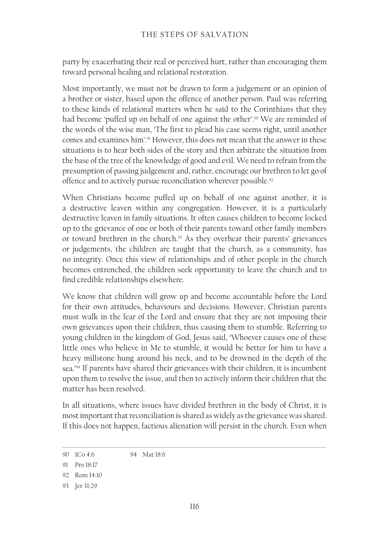party by exacerbating their real or perceived hurt, rather than encouraging them toward personal healing and relational restoration.

Most importantly, we must not be drawn to form a judgement or an opinion of a brother or sister, based upon the offence of another person. Paul was referring to these kinds of relational matters when he said to the Corinthians that they had become 'puffed up on behalf of one against the other'.<sup>90</sup> We are reminded of the words of the wise man, 'The first to plead his case seems right, until another comes and examines him'.<sup>91</sup> However, this does not mean that the answer in these situations is to hear both sides of the story and then arbitrate the situation from the base of the tree of the knowledge of good and evil. We need to refrain from the presumption of passing judgement and, rather, encourage our brethren to let go of offence and to actively pursue reconciliation wherever possible.<sup>92</sup>

When Christians become puffed up on behalf of one against another, it is a destructive leaven within any congregation. However, it is a particularly destructive leaven in family situations. It often causes children to become locked up to the grievance of one or both of their parents toward other family members or toward brethren in the church.<sup>93</sup> As they overhear their parents' grievances or judgements, the children are taught that the church, as a community, has no integrity. Once this view of relationships and of other people in the church becomes entrenched, the children seek opportunity to leave the church and to find credible relationships elsewhere.

We know that children will grow up and become accountable before the Lord for their own attitudes, behaviours and decisions. However, Christian parents must walk in the fear of the Lord and ensure that they are not imposing their own grievances upon their children, thus causing them to stumble. Referring to young children in the kingdom of God, Jesus said, 'Whoever causes one of these little ones who believe in Me to stumble, it would be better for him to have a heavy millstone hung around his neck, and to be drowned in the depth of the sea.'94 If parents have shared their grievances with their children, it is incumbent upon them to resolve the issue, and then to actively inform their children that the matter has been resolved.

In all situations, where issues have divided brethren in the body of Christ, it is most important that reconciliation is shared as widely as the grievance was shared. If this does not happen, factious alienation will persist in the church. Even when

<sup>90</sup> 1Co 4:6 94 Mat 18:6

<sup>91</sup> Pro 18:17

<sup>92</sup> Rom 14:10

<sup>93</sup> Jer 31:29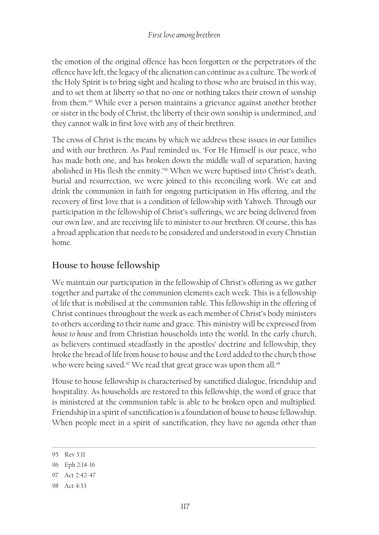the emotion of the original offence has been forgotten or the perpetrators of the offence have left, the legacy of the alienation can continue as a culture. The work of the Holy Spirit is to bring sight and healing to those who are bruised in this way, and to set them at liberty so that no-one or nothing takes their crown of sonship from them.95 While ever a person maintains a grievance against another brother or sister in the body of Christ, the liberty of their own sonship is undermined, and they cannot walk in first love with any of their brethren.

The cross of Christ is the means by which we address these issues in our families and with our brethren. As Paul reminded us, 'For He Himself is our peace, who has made both one, and has broken down the middle wall of separation, having abolished in His flesh the enmity.'96 When we were baptised into Christ's death, burial and resurrection, we were joined to this reconciling work. We eat and drink the communion in faith for ongoing participation in His offering, and the recovery of first love that is a condition of fellowship with Yahweh. Through our participation in the fellowship of Christ's sufferings, we are being delivered from our own law, and are receiving life to minister to our brethren. Of course, this has a broad application that needs to be considered and understood in every Christian home.

# **House to house fellowship**

We maintain our participation in the fellowship of Christ's offering as we gather together and partake of the communion elements each week. This is a fellowship of life that is mobilised at the communion table. This fellowship in the offering of Christ continues throughout the week as each member of Christ's body ministers to others according to their name and grace. This ministry will be expressed from *house to house* and from Christian households into the world. In the early church, as believers continued steadfastly in the apostles' doctrine and fellowship, they broke the bread of life from house to house and the Lord added to the church those who were being saved.<sup>97</sup> We read that great grace was upon them all.<sup>98</sup>

House to house fellowship is characterised by sanctified dialogue, friendship and hospitality. As households are restored to this fellowship, the word of grace that is ministered at the communion table is able to be broken open and multiplied. Friendship in a spirit of sanctification is a foundation of house to house fellowship. When people meet in a spirit of sanctification, they have no agenda other than

<sup>95</sup> Rev 3:11

<sup>96</sup> Eph 2:14‑16

<sup>97</sup> Act 2:42-47

<sup>98</sup> Act 4:33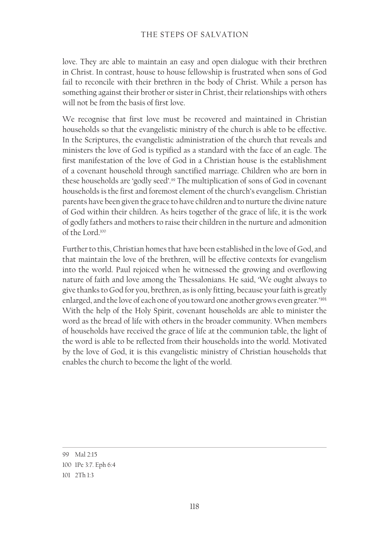love. They are able to maintain an easy and open dialogue with their brethren in Christ. In contrast, house to house fellowship is frustrated when sons of God fail to reconcile with their brethren in the body of Christ. While a person has something against their brother or sister in Christ, their relationships with others will not be from the basis of first love.

We recognise that first love must be recovered and maintained in Christian households so that the evangelistic ministry of the church is able to be effective. In the Scriptures, the evangelistic administration of the church that reveals and ministers the love of God is typified as a standard with the face of an eagle. The first manifestation of the love of God in a Christian house is the establishment of a covenant household through sanctified marriage. Children who are born in these households are 'godly seed'.99 The multiplication of sons of God in covenant households is the first and foremost element of the church's evangelism. Christian parents have been given the grace to have children and to nurture the divine nature of God within their children. As heirs together of the grace of life, it is the work of godly fathers and mothers to raise their children in the nurture and admonition of the Lord.100

Further to this, Christian homes that have been established in the love of God, and that maintain the love of the brethren, will be effective contexts for evangelism into the world. Paul rejoiced when he witnessed the growing and overflowing nature of faith and love among the Thessalonians. He said, 'We ought always to give thanks to God for you, brethren, as is only fitting, because your faith is greatly enlarged, and the love of each one of you toward one another grows even greater.'<sup>101</sup> With the help of the Holy Spirit, covenant households are able to minister the word as the bread of life with others in the broader community. When members of households have received the grace of life at the communion table, the light of the word is able to be reflected from their households into the world. Motivated by the love of God, it is this evangelistic ministry of Christian households that enables the church to become the light of the world.

<sup>99</sup> Mal 2:15 100 1Pe 3:7. Eph 6:4 101 2Th 1:3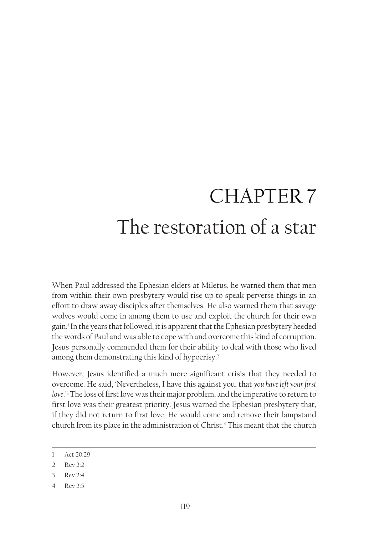# CHAPTER 7 The restoration of a star

When Paul addressed the Ephesian elders at Miletus, he warned them that men from within their own presbytery would rise up to speak perverse things in an effort to draw away disciples after themselves. He also warned them that savage wolves would come in among them to use and exploit the church for their own gain.1 In the years that followed, it is apparent that the Ephesian presbytery heeded the words of Paul and was able to cope with and overcome this kind of corruption. Jesus personally commended them for their ability to deal with those who lived among them demonstrating this kind of hypocrisy.2

However, Jesus identified a much more significant crisis that they needed to overcome. He said, 'Nevertheless, I have this against you, that *you have left your first love*.'3 The loss of first love was their major problem, and the imperative to return to first love was their greatest priority. Jesus warned the Ephesian presbytery that, if they did not return to first love, He would come and remove their lampstand church from its place in the administration of Christ.4 This meant that the church

<sup>1</sup> Act 20:29

<sup>2</sup> Rev 2:2

<sup>3</sup> Rev 2:4

<sup>4</sup> Rev 2:5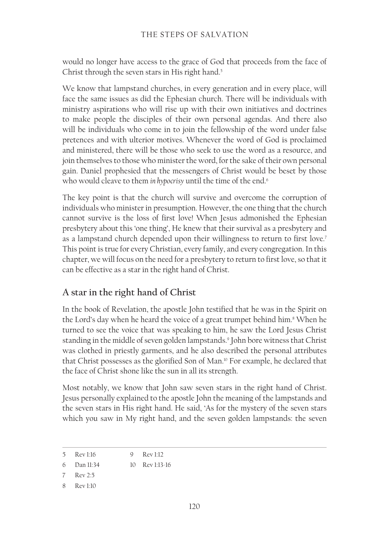would no longer have access to the grace of God that proceeds from the face of Christ through the seven stars in His right hand.<sup>5</sup>

We know that lampstand churches, in every generation and in every place, will face the same issues as did the Ephesian church. There will be individuals with ministry aspirations who will rise up with their own initiatives and doctrines to make people the disciples of their own personal agendas. And there also will be individuals who come in to join the fellowship of the word under false pretences and with ulterior motives. Whenever the word of God is proclaimed and ministered, there will be those who seek to use the word as a resource, and join themselves to those who minister the word, for the sake of their own personal gain. Daniel prophesied that the messengers of Christ would be beset by those who would cleave to them *in hypocrisy* until the time of the end.<sup>6</sup>

The key point is that the church will survive and overcome the corruption of individuals who minister in presumption. However, the one thing that the church cannot survive is the loss of first love! When Jesus admonished the Ephesian presbytery about this 'one thing', He knew that their survival as a presbytery and as a lampstand church depended upon their willingness to return to first love.<sup>7</sup> This point is true for every Christian, every family, and every congregation. In this chapter, we will focus on the need for a presbytery to return to first love, so that it can be effective as a star in the right hand of Christ.

## **A star in the right hand of Christ**

In the book of Revelation, the apostle John testified that he was in the Spirit on the Lord's day when he heard the voice of a great trumpet behind him.<sup>8</sup> When he turned to see the voice that was speaking to him, he saw the Lord Jesus Christ standing in the middle of seven golden lampstands.9 John bore witness that Christ was clothed in priestly garments, and he also described the personal attributes that Christ possesses as the glorified Son of Man.<sup>10</sup> For example, he declared that the face of Christ shone like the sun in all its strength.

Most notably, we know that John saw seven stars in the right hand of Christ. Jesus personally explained to the apostle John the meaning of the lampstands and the seven stars in His right hand. He said, 'As for the mystery of the seven stars which you saw in My right hand, and the seven golden lampstands: the seven

<sup>5</sup> Rev 1:16 9 Rev 1:12

<sup>6</sup> Dan 11:34 10 Rev 1:13‑16

<sup>7</sup> Rev 2:5

<sup>8</sup> Rev 1:10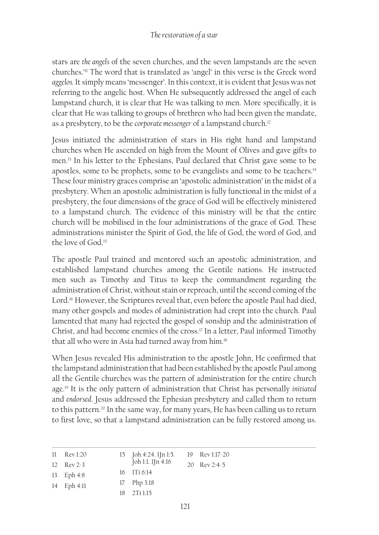stars are *the angels* of the seven churches, and the seven lampstands are the seven churches.'11 The word that is translated as 'angel' in this verse is the Greek word *aggelos.* It simply means 'messenger'. In this context, it is evident that Jesus was not referring to the angelic host. When He subsequently addressed the angel of each lampstand church, it is clear that He was talking to men. More specifically, it is clear that He was talking to groups of brethren who had been given the mandate, as a presbytery, to be the *corporate messenger* of a lampstand church.<sup>12</sup>

Jesus initiated the administration of stars in His right hand and lampstand churches when He ascended on high from the Mount of Olives and gave gifts to men.13 In his letter to the Ephesians, Paul declared that Christ gave some to be apostles, some to be prophets, some to be evangelists and some to be teachers.14 These four ministry graces comprise an 'apostolic administration' in the midst of a presbytery. When an apostolic administration is fully functional in the midst of a presbytery, the four dimensions of the grace of God will be effectively ministered to a lampstand church. The evidence of this ministry will be that the entire church will be mobilised in the four administrations of the grace of God. These administrations minister the Spirit of God, the life of God, the word of God, and the love of God.15

The apostle Paul trained and mentored such an apostolic administration, and established lampstand churches among the Gentile nations. He instructed men such as Timothy and Titus to keep the commandment regarding the administration of Christ, without stain or reproach, until the second coming of the Lord.<sup>16</sup> However, the Scriptures reveal that, even before the apostle Paul had died, many other gospels and modes of administration had crept into the church. Paul lamented that many had rejected the gospel of sonship and the administration of Christ, and had become enemies of the cross.17 In a letter, Paul informed Timothy that all who were in Asia had turned away from him.<sup>18</sup>

When Jesus revealed His administration to the apostle John, He confirmed that the lampstand administration that had been established by the apostle Paul among all the Gentile churches was the pattern of administration for the entire church age.19 It is the only pattern of administration that Christ has personally *initiated* and *endorsed*. Jesus addressed the Ephesian presbytery and called them to return to this pattern.<sup>20</sup> In the same way, for many years, He has been calling us to return to first love, so that a lampstand administration can be fully restored among us.

| $11 \tRev 1:20$       | 15 Joh 4:24. 1Jn 1:5.          | 19 Rev 1:17-20 |
|-----------------------|--------------------------------|----------------|
| $12 \text{ Rev } 2-3$ | Joh 1:1. 1Jn 4:16              | 20 Rev 2:4-5   |
| 13 Eph $4:8$          | $16 \quad 1 \text{Ti} \; 6:14$ |                |
| $14$ Eph $4:11$       | $17$ Php 3:18                  |                |
|                       | $18 - 2$ Ti 1:15               |                |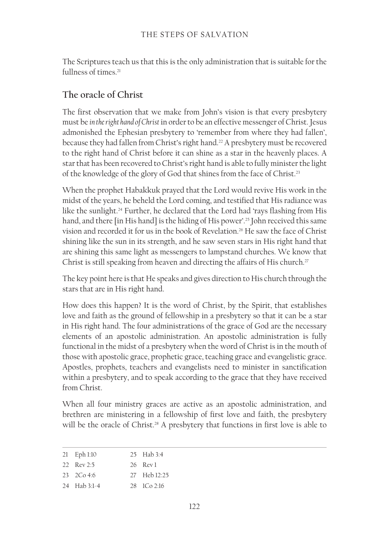The Scriptures teach us that this is the only administration that is suitable for the fullness of times.<sup>21</sup>

# **The oracle of Christ**

The first observation that we make from John's vision is that every presbytery must be *in the right hand of Christ* in order to be an effective messenger of Christ. Jesus admonished the Ephesian presbytery to 'remember from where they had fallen', because they had fallen from Christ's right hand.<sup>22</sup> A presbytery must be recovered to the right hand of Christ before it can shine as a star in the heavenly places. A star that has been recovered to Christ's right hand is able to fully minister the light of the knowledge of the glory of God that shines from the face of Christ.<sup>23</sup>

When the prophet Habakkuk prayed that the Lord would revive His work in the midst of the years, he beheld the Lord coming, and testified that His radiance was like the sunlight.<sup>24</sup> Further, he declared that the Lord had 'rays flashing from His hand, and there [in His hand] is the hiding of His power'.<sup>25</sup> John received this same vision and recorded it for us in the book of Revelation.26 He saw the face of Christ shining like the sun in its strength, and he saw seven stars in His right hand that are shining this same light as messengers to lampstand churches. We know that Christ is still speaking from heaven and directing the affairs of His church.<sup>27</sup>

The key point here is that He speaks and gives direction to His church through the stars that are in His right hand.

How does this happen? It is the word of Christ, by the Spirit, that establishes love and faith as the ground of fellowship in a presbytery so that it can be a star in His right hand. The four administrations of the grace of God are the necessary elements of an apostolic administration. An apostolic administration is fully functional in the midst of a presbytery when the word of Christ is in the mouth of those with apostolic grace, prophetic grace, teaching grace and evangelistic grace. Apostles, prophets, teachers and evangelists need to minister in sanctification within a presbytery, and to speak according to the grace that they have received from Christ.

When all four ministry graces are active as an apostolic administration, and brethren are ministering in a fellowship of first love and faith, the presbytery will be the oracle of Christ.<sup>28</sup> A presbytery that functions in first love is able to

| 21 Eph 1:10  | 25 Hab 3:4                    |
|--------------|-------------------------------|
| 22 Rev 2:5   | 26 Rev1                       |
| 23, 20, 4.6  | 27 Heb 12:25                  |
| 24 Hab 3:1-4 | $28 \frac{1}{2}$ $C_0$ $2.16$ |
|              |                               |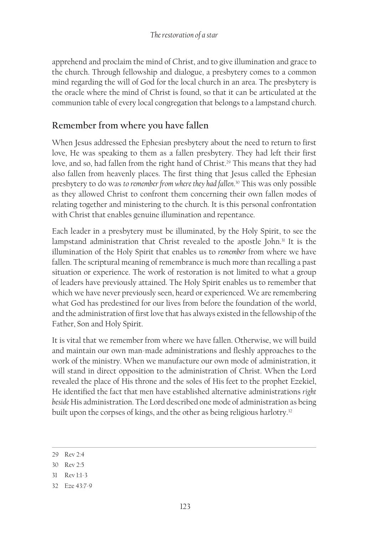apprehend and proclaim the mind of Christ, and to give illumination and grace to the church. Through fellowship and dialogue, a presbytery comes to a common mind regarding the will of God for the local church in an area. The presbytery is the oracle where the mind of Christ is found, so that it can be articulated at the communion table of every local congregation that belongs to a lampstand church.

## **Remember from where you have fallen**

When Jesus addressed the Ephesian presbytery about the need to return to first love, He was speaking to them as a fallen presbytery. They had left their first love, and so, had fallen from the right hand of Christ.<sup>29</sup> This means that they had also fallen from heavenly places. The first thing that Jesus called the Ephesian presbytery to do was *to remember from where they had fallen*. 30 This was only possible as they allowed Christ to confront them concerning their own fallen modes of relating together and ministering to the church. It is this personal confrontation with Christ that enables genuine illumination and repentance.

Each leader in a presbytery must be illuminated, by the Holy Spirit, to see the lampstand administration that Christ revealed to the apostle John.<sup>31</sup> It is the illumination of the Holy Spirit that enables us to *remember* from where we have fallen. The scriptural meaning of remembrance is much more than recalling a past situation or experience. The work of restoration is not limited to what a group of leaders have previously attained. The Holy Spirit enables us to remember that which we have never previously seen, heard or experienced. We are remembering what God has predestined for our lives from before the foundation of the world, and the administration of first love that has always existed in the fellowship of the Father, Son and Holy Spirit.

It is vital that we remember from where we have fallen. Otherwise, we will build and maintain our own man-made administrations and fleshly approaches to the work of the ministry. When we manufacture our own mode of administration, it will stand in direct opposition to the administration of Christ. When the Lord revealed the place of His throne and the soles of His feet to the prophet Ezekiel, He identified the fact that men have established alternative administrations *right beside* His administration. The Lord described one mode of administration as being built upon the corpses of kings, and the other as being religious harlotry.<sup>32</sup>

31 Rev 1:1-3

<sup>29</sup> Rev 2:4

<sup>30</sup> Rev 2:5

<sup>32</sup> Eze 43:7-9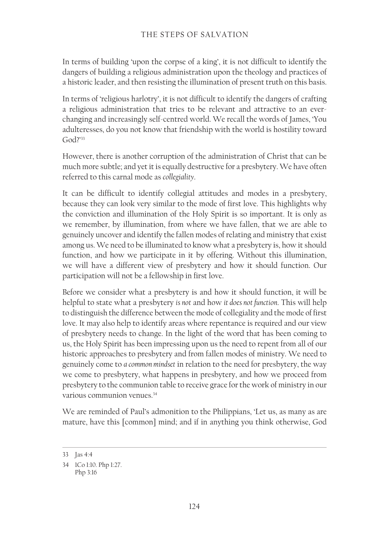In terms of building 'upon the corpse of a king', it is not difficult to identify the dangers of building a religious administration upon the theology and practices of a historic leader, and then resisting the illumination of present truth on this basis.

In terms of 'religious harlotry', it is not difficult to identify the dangers of crafting a religious administration that tries to be relevant and attractive to an everchanging and increasingly self-centred world. We recall the words of James, 'You adulteresses, do you not know that friendship with the world is hostility toward God?'33

However, there is another corruption of the administration of Christ that can be much more subtle; and yet it is equally destructive for a presbytery. We have often referred to this carnal mode as *collegiality*.

It can be difficult to identify collegial attitudes and modes in a presbytery, because they can look very similar to the mode of first love. This highlights why the conviction and illumination of the Holy Spirit is so important. It is only as we remember, by illumination, from where we have fallen, that we are able to genuinely uncover and identify the fallen modes of relating and ministry that exist among us. We need to be illuminated to know what a presbytery is, how it should function, and how we participate in it by offering. Without this illumination, we will have a different view of presbytery and how it should function. Our participation will not be a fellowship in first love.

Before we consider what a presbytery is and how it should function, it will be helpful to state what a presbytery *is not* and how *it does not function*. This will help to distinguish the difference between the mode of collegiality and the mode of first love. It may also help to identify areas where repentance is required and our view of presbytery needs to change. In the light of the word that has been coming to us, the Holy Spirit has been impressing upon us the need to repent from all of our historic approaches to presbytery and from fallen modes of ministry. We need to genuinely come to *a common mindset* in relation to the need for presbytery, the way we come to presbytery, what happens in presbytery, and how we proceed from presbytery to the communion table to receive grace for the work of ministry in our various communion venues.<sup>34</sup>

We are reminded of Paul's admonition to the Philippians, 'Let us, as many as are mature, have this [common] mind; and if in anything you think otherwise, God

<sup>33</sup> Jas 4:4

<sup>34</sup> 1Co 1:10. Php 1:27. Php 3:16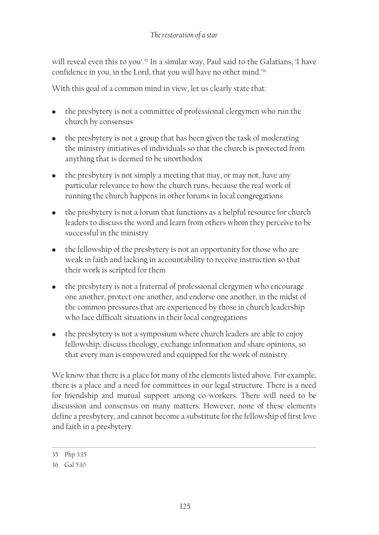will reveal even this to you'.<sup>35</sup> In a similar way, Paul said to the Galatians, 'I have confidence in you, in the Lord, that you will have no other mind.'36

With this goal of a common mind in view, let us clearly state that:

- the presbytery is not a committee of professional clergymen who run the church by consensus
- the presbytery is not a group that has been given the task of moderating the ministry initiatives of individuals so that the church is protected from anything that is deemed to be unorthodox
- $\bullet$  the presbytery is not simply a meeting that may, or may not, have any particular relevance to how the church runs, because the real work of running the church happens in other forums in local congregations
- the presbytery is not a forum that functions as a helpful resource for church leaders to discuss the word and learn from others whom they perceive to be successful in the ministry
- the fellowship of the presbytery is not an opportunity for those who are weak in faith and lacking in accountability to receive instruction so that their work is scripted for them
- the presbytery is not a fraternal of professional clergymen who encourage one another, protect one another, and endorse one another, in the midst of the common pressures that are experienced by those in church leadership who face difficult situations in their local congregations
- the presbytery is not a symposium where church leaders are able to enjoy fellowship, discuss theology, exchange information and share opinions, so that every man is empowered and equipped for the work of ministry.

We know that there is a place for many of the elements listed above. For example, there is a place and a need for committees in our legal structure. There is a need for friendship and mutual support among co-workers. There will need to be discussion and consensus on many matters. However, none of these elements define a presbytery, and cannot become a substitute for the fellowship of first love and faith in a presbytery.

<sup>35</sup> Php 3:15

<sup>36</sup> Gal 5:10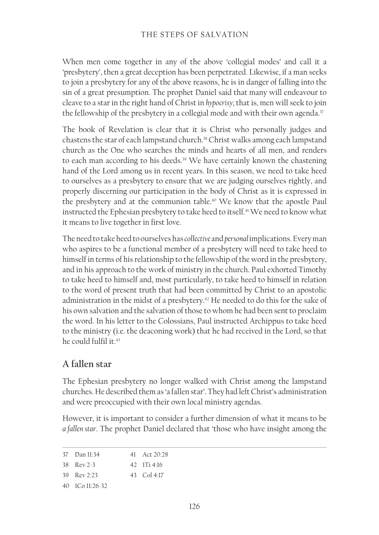When men come together in any of the above 'collegial modes' and call it a 'presbytery', then a great deception has been perpetrated. Likewise, if a man seeks to join a presbytery for any of the above reasons, he is in danger of falling into the sin of a great presumption. The prophet Daniel said that many will endeavour to cleave to a star in the right hand of Christ in *hypocrisy*; that is, men will seek to join the fellowship of the presbytery in a collegial mode and with their own agenda.<sup>37</sup>

The book of Revelation is clear that it is Christ who personally judges and chastens the star of each lampstand church.<sup>38</sup> Christ walks among each lampstand church as the One who searches the minds and hearts of all men, and renders to each man according to his deeds.<sup>39</sup> We have certainly known the chastening hand of the Lord among us in recent years. In this season, we need to take heed to ourselves as a presbytery to ensure that we are judging ourselves rightly, and properly discerning our participation in the body of Christ as it is expressed in the presbytery and at the communion table.<sup>40</sup> We know that the apostle Paul instructed the Ephesian presbytery to take heed to itself.<sup>41</sup> We need to know what it means to live together in first love.

The need to take heed to ourselves has *collective* and *personal* implications. Every man who aspires to be a functional member of a presbytery will need to take heed to himself in terms of his relationship to the fellowship of the word in the presbytery, and in his approach to the work of ministry in the church. Paul exhorted Timothy to take heed to himself and, most particularly, to take heed to himself in relation to the word of present truth that had been committed by Christ to an apostolic administration in the midst of a presbytery.<sup>42</sup> He needed to do this for the sake of his own salvation and the salvation of those to whom he had been sent to proclaim the word. In his letter to the Colossians, Paul instructed Archippus to take heed to the ministry (i.e. the deaconing work) that he had received in the Lord, so that he could fulfil it.<sup>43</sup>

## **A fallen star**

The Ephesian presbytery no longer walked with Christ among the lampstand churches. He described them as 'a fallen star'. They had left Christ's administration and were preoccupied with their own local ministry agendas.

However, it is important to consider a further dimension of what it means to be *a fallen star*. The prophet Daniel declared that 'those who have insight among the

| 37 Dan 11:34                                | 41 Act $20.28$                     |
|---------------------------------------------|------------------------------------|
| $38$ Rev $2-3$                              | $42 \quad 1$ Ti $4$ <sup>-16</sup> |
| 39 $\text{Rev } 2.23$                       | 43 Col 4:17                        |
| $40 \quad 1 \quad 1 \quad 11 \quad 26 - 32$ |                                    |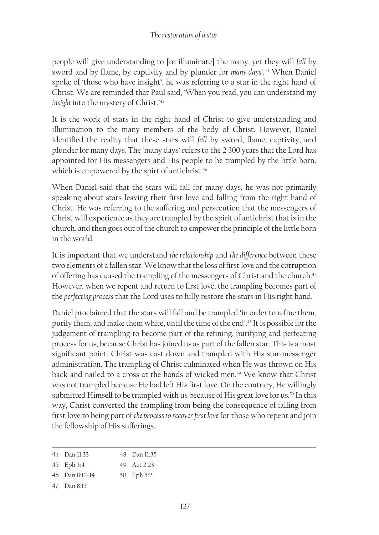people will give understanding to [or illuminate] the many; yet they will *fall* by sword and by flame, by captivity and by plunder for *many days'*. 44 When Daniel spoke of 'those who have insight', he was referring to a star in the right hand of Christ. We are reminded that Paul said, 'When you read, you can understand my *insight* into the mystery of Christ.'45

It is the work of stars in the right hand of Christ to give understanding and illumination to the many members of the body of Christ. However, Daniel identified the reality that these stars will *fall* by sword, flame, captivity, and plunder for many days. The 'many days' refers to the 2 300 years that the Lord has appointed for His messengers and His people to be trampled by the little horn, which is empowered by the spirt of antichrist.<sup>46</sup>

When Daniel said that the stars will fall for many days, he was not primarily speaking about stars leaving their first love and falling from the right hand of Christ. He was referring to the suffering and persecution that the messengers of Christ will experience as they are trampled by the spirit of antichrist that is in the church, and then goes out of the church to empower the principle of the little horn in the world.

It is important that we understand *the relationship* and *the difference* between these two elements of a fallen star. We know that the loss of first love and the corruption of offering has caused the trampling of the messengers of Christ and the church.<sup>47</sup> However, when we repent and return to first love, the trampling becomes part of the *perfecting process* that the Lord uses to fully restore the stars in His right hand.

Daniel proclaimed that the stars will fall and be trampled 'in order to refine them, purify them, and make them white, until the time of the end'.<sup>48</sup> It is possible for the judgement of trampling to become part of the refining, purifying and perfecting process for us, because Christ has joined us as part of the fallen star. This is a most significant point. Christ was cast down and trampled with His star-messenger administration. The trampling of Christ culminated when He was thrown on His back and nailed to a cross at the hands of wicked men.<sup>49</sup> We know that Christ was not trampled because He had left His first love. On the contrary, He willingly submitted Himself to be trampled with us because of His great love for us.<sup>50</sup> In this way, Christ converted the trampling from being the consequence of falling from first love to being part of *the process to recover first love* for those who repent and join the fellowship of His sufferings.

| 44 Dan 11:33 | $48$ Dan 11:35 |
|--------------|----------------|
| 45 Eph 3:4   | 49 Act $2.23$  |

- 50 Eph 5:2
- 46 Dan 8:12‑14
- 47 Dan 8:13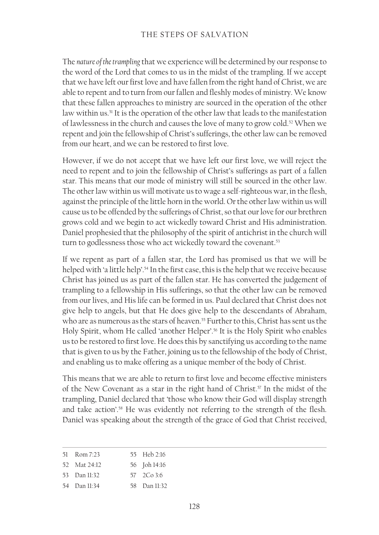The *nature of the trampling* that we experience will be determined by our response to the word of the Lord that comes to us in the midst of the trampling. If we accept that we have left our first love and have fallen from the right hand of Christ, we are able to repent and to turn from our fallen and fleshly modes of ministry. We know that these fallen approaches to ministry are sourced in the operation of the other law within us.<sup>51</sup> It is the operation of the other law that leads to the manifestation of lawlessness in the church and causes the love of many to grow cold.<sup>52</sup> When we repent and join the fellowship of Christ's sufferings, the other law can be removed from our heart, and we can be restored to first love.

However, if we do not accept that we have left our first love, we will reject the need to repent and to join the fellowship of Christ's sufferings as part of a fallen star. This means that our mode of ministry will still be sourced in the other law. The other law within us will motivate us to wage a self-righteous war, in the flesh, against the principle of the little horn in the world. Or the other law within us will cause us to be offended by the sufferings of Christ, so that our love for our brethren grows cold and we begin to act wickedly toward Christ and His administration. Daniel prophesied that the philosophy of the spirit of antichrist in the church will turn to godlessness those who act wickedly toward the covenant.<sup>53</sup>

If we repent as part of a fallen star, the Lord has promised us that we will be helped with 'a little help'.<sup>54</sup> In the first case, this is the help that we receive because Christ has joined us as part of the fallen star. He has converted the judgement of trampling to a fellowship in His sufferings, so that the other law can be removed from our lives, and His life can be formed in us. Paul declared that Christ does not give help to angels, but that He does give help to the descendants of Abraham, who are as numerous as the stars of heaven.<sup>55</sup> Further to this, Christ has sent us the Holy Spirit, whom He called 'another Helper'.<sup>56</sup> It is the Holy Spirit who enables us to be restored to first love. He does this by sanctifying us according to the name that is given to us by the Father, joining us to the fellowship of the body of Christ, and enabling us to make offering as a unique member of the body of Christ.

This means that we are able to return to first love and become effective ministers of the New Covenant as a star in the right hand of Christ.<sup>57</sup> In the midst of the trampling, Daniel declared that 'those who know their God will display strength and take action'.<sup>58</sup> He was evidently not referring to the strength of the flesh. Daniel was speaking about the strength of the grace of God that Christ received,

| 51 Rom 7:23  | 55 Heb 2:16  |
|--------------|--------------|
| 52 Mat 24:12 | 56 Joh 14:16 |
| 53 Dan 11:32 | 57 2Co 3:6   |
|              |              |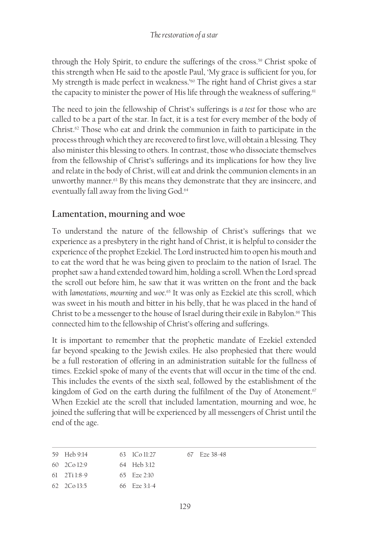through the Holy Spirit, to endure the sufferings of the cross.<sup>59</sup> Christ spoke of this strength when He said to the apostle Paul, 'My grace is sufficient for you, for My strength is made perfect in weakness.<sup>'60</sup> The right hand of Christ gives a star the capacity to minister the power of His life through the weakness of suffering.<sup>61</sup>

The need to join the fellowship of Christ's sufferings is *a test* for those who are called to be a part of the star. In fact, it is a test for every member of the body of Christ. $62$  Those who eat and drink the communion in faith to participate in the process through which they are recovered to first love, will obtain a blessing. They also minister this blessing to others. In contrast, those who dissociate themselves from the fellowship of Christ's sufferings and its implications for how they live and relate in the body of Christ, will eat and drink the communion elements in an unworthy manner.<sup>63</sup> By this means they demonstrate that they are insincere, and eventually fall away from the living God.<sup>64</sup>

### **Lamentation, mourning and woe**

To understand the nature of the fellowship of Christ's sufferings that we experience as a presbytery in the right hand of Christ, it is helpful to consider the experience of the prophet Ezekiel. The Lord instructed him to open his mouth and to eat the word that he was being given to proclaim to the nation of Israel. The prophet saw a hand extended toward him, holding a scroll. When the Lord spread the scroll out before him, he saw that it was written on the front and the back with *lamentations*, *mourning* and *woe*. <sup>65</sup> It was only as Ezekiel ate this scroll, which was sweet in his mouth and bitter in his belly, that he was placed in the hand of Christ to be a messenger to the house of Israel during their exile in Babylon.<sup>66</sup> This connected him to the fellowship of Christ's offering and sufferings.

It is important to remember that the prophetic mandate of Ezekiel extended far beyond speaking to the Jewish exiles. He also prophesied that there would be a full restoration of offering in an administration suitable for the fullness of times. Ezekiel spoke of many of the events that will occur in the time of the end. This includes the events of the sixth seal, followed by the establishment of the kingdom of God on the earth during the fulfilment of the Day of Atonement.<sup>67</sup> When Ezekiel ate the scroll that included lamentation, mourning and woe, he joined the suffering that will be experienced by all messengers of Christ until the end of the age.

| 59 Heb 9:14                 | 63 ICo 11:27          | 67 Fze 38-48 |
|-----------------------------|-----------------------|--------------|
| $60 \quad 2 \text{Co} 12.9$ | 64 Heb 3:12           |              |
| $61 \quad 2$ Ti 1:8-9       | 65 $F$ <i>ze</i> 2.10 |              |
| $62 \quad 2 \text{Co} 13:5$ | 66 $Fig. 3:1-4$       |              |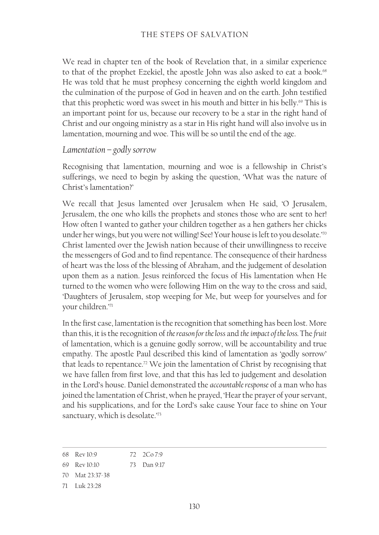We read in chapter ten of the book of Revelation that, in a similar experience to that of the prophet Ezekiel, the apostle John was also asked to eat a book.<sup>68</sup> He was told that he must prophesy concerning the eighth world kingdom and the culmination of the purpose of God in heaven and on the earth. John testified that this prophetic word was sweet in his mouth and bitter in his belly.<sup>69</sup> This is an important point for us, because our recovery to be a star in the right hand of Christ and our ongoing ministry as a star in His right hand will also involve us in lamentation, mourning and woe. This will be so until the end of the age.

#### *Lamentation – godly sorrow*

Recognising that lamentation, mourning and woe is a fellowship in Christ's sufferings, we need to begin by asking the question, 'What was the nature of Christ's lamentation?'

We recall that Jesus lamented over Jerusalem when He said, 'O Jerusalem, Jerusalem, the one who kills the prophets and stones those who are sent to her! How often I wanted to gather your children together as a hen gathers her chicks under her wings, but you were not willing! See! Your house is left to you desolate.'70 Christ lamented over the Jewish nation because of their unwillingness to receive the messengers of God and to find repentance. The consequence of their hardness of heart was the loss of the blessing of Abraham, and the judgement of desolation upon them as a nation. Jesus reinforced the focus of His lamentation when He turned to the women who were following Him on the way to the cross and said, 'Daughters of Jerusalem, stop weeping for Me, but weep for yourselves and for your children.'71

In the first case, lamentation is the recognition that something has been lost. More than this, it is the recognition of *the reason for the loss* and *the impact of the loss.* The *fruit* of lamentation, which is a genuine godly sorrow, will be accountability and true empathy. The apostle Paul described this kind of lamentation as 'godly sorrow' that leads to repentance.<sup>72</sup> We join the lamentation of Christ by recognising that we have fallen from first love, and that this has led to judgement and desolation in the Lord's house. Daniel demonstrated the *accountable response* of a man who has joined the lamentation of Christ, when he prayed, 'Hear the prayer of your servant, and his supplications, and for the Lord's sake cause Your face to shine on Your sanctuary, which is desolate.'73

<sup>68</sup> Rev 10:9 72 2Co 7:9

<sup>69</sup> Rev 10:10 73 Dan 9:17

<sup>70</sup> Mat 23:37-38

<sup>71</sup> Luk 23:28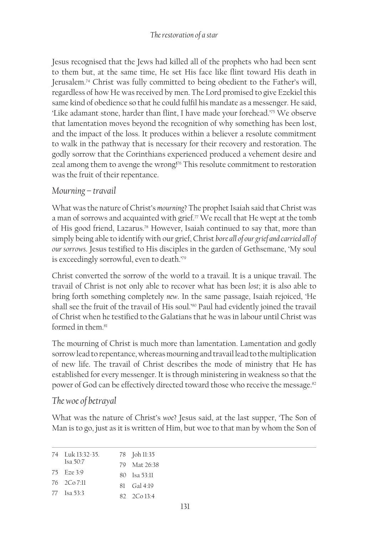#### *The restoration of a star*

Jesus recognised that the Jews had killed all of the prophets who had been sent to them but, at the same time, He set His face like flint toward His death in Jerusalem.74 Christ was fully committed to being obedient to the Father's will, regardless of how He was received by men. The Lord promised to give Ezekiel this same kind of obedience so that he could fulfil his mandate as a messenger. He said, 'Like adamant stone, harder than flint, I have made your forehead.'75 We observe that lamentation moves beyond the recognition of why something has been lost, and the impact of the loss. It produces within a believer a resolute commitment to walk in the pathway that is necessary for their recovery and restoration. The godly sorrow that the Corinthians experienced produced a vehement desire and zeal among them to avenge the wrong!<sup>76</sup> This resolute commitment to restoration was the fruit of their repentance.

### *Mourning – travail*

What was the nature of Christ's *mourning*? The prophet Isaiah said that Christ was a man of sorrows and acquainted with grief. $77$  We recall that He wept at the tomb of His good friend, Lazarus.78 However, Isaiah continued to say that, more than simply being able to identify with our grief, Christ *bore all of our grief and carried all of our sorrows*. Jesus testified to His disciples in the garden of Gethsemane, 'My soul is exceedingly sorrowful, even to death.'79

Christ converted the sorrow of the world to a travail. It is a unique travail. The travail of Christ is not only able to recover what has been *lost*; it is also able to bring forth something completely *new*. In the same passage, Isaiah rejoiced, 'He shall see the fruit of the travail of His soul.'80 Paul had evidently joined the travail of Christ when he testified to the Galatians that he was in labour until Christ was formed in them<sup>81</sup>

The mourning of Christ is much more than lamentation. Lamentation and godly sorrow lead to repentance, whereas mourning and travail lead to the multiplication of new life. The travail of Christ describes the mode of ministry that He has established for every messenger. It is through ministering in weakness so that the power of God can be effectively directed toward those who receive the message.<sup>82</sup>

## *The woe of betrayal*

What was the nature of Christ's *woe*? Jesus said, at the last supper, 'The Son of Man is to go, just as it is written of Him, but woe to that man by whom the Son of

| 74 Luk 13:32-35.   | 78 Joh 11:35          |
|--------------------|-----------------------|
| Isa $50:7$         | 79 Mat $26.38$        |
| $75$ Fze $3.9$     | $80$ Isa 53.11        |
| $76 \quad 2Co7:11$ | $81 \quad$ Gal $4.19$ |
| 77 <b>Isa</b> 53.3 | $82 - 2C_0 13.4$      |